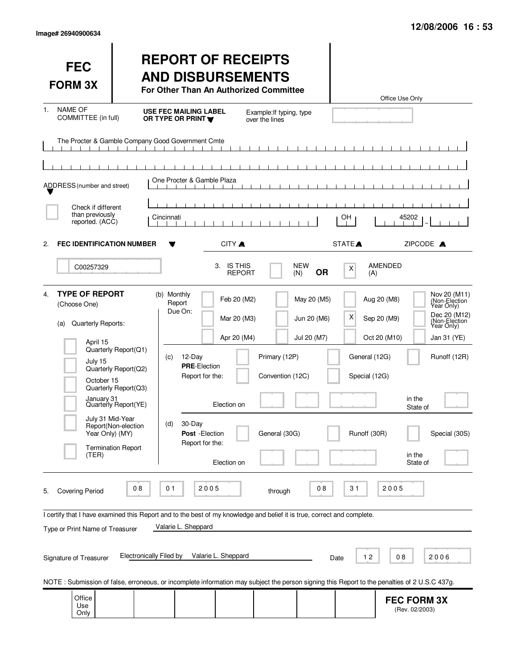| <b>FEC</b><br><b>FORM 3X</b>                                                                                                                                                                                                                                                                                                                                                                                                                                                                                                        |                                                                                                                                                  | <b>REPORT OF RECEIPTS</b><br><b>AND DISBURSEMENTS</b><br>For Other Than An Authorized Committee                                                       |                                                                         |                                                    |                                           |                                                     | Office Use Only                                                                        |                                                                                                                                |
|-------------------------------------------------------------------------------------------------------------------------------------------------------------------------------------------------------------------------------------------------------------------------------------------------------------------------------------------------------------------------------------------------------------------------------------------------------------------------------------------------------------------------------------|--------------------------------------------------------------------------------------------------------------------------------------------------|-------------------------------------------------------------------------------------------------------------------------------------------------------|-------------------------------------------------------------------------|----------------------------------------------------|-------------------------------------------|-----------------------------------------------------|----------------------------------------------------------------------------------------|--------------------------------------------------------------------------------------------------------------------------------|
| <b>NAME OF</b><br>1.<br>COMMITTEE (in full)                                                                                                                                                                                                                                                                                                                                                                                                                                                                                         |                                                                                                                                                  | <b>USE FEC MAILING LABEL</b><br>OR TYPE OR PRINT Y                                                                                                    |                                                                         | Example: If typing, type<br>over the lines         |                                           |                                                     |                                                                                        |                                                                                                                                |
|                                                                                                                                                                                                                                                                                                                                                                                                                                                                                                                                     | The Procter & Gamble Company Good Government Cmte<br>$\mathbf{1}$ $\mathbf{1}$ $\mathbf{1}$                                                      |                                                                                                                                                       |                                                                         |                                                    |                                           |                                                     |                                                                                        |                                                                                                                                |
| ADDRESS (number and street)                                                                                                                                                                                                                                                                                                                                                                                                                                                                                                         |                                                                                                                                                  | One Procter & Gamble Plaza                                                                                                                            |                                                                         |                                                    |                                           |                                                     |                                                                                        |                                                                                                                                |
| Check if different<br>than previously<br>reported. (ACC)                                                                                                                                                                                                                                                                                                                                                                                                                                                                            |                                                                                                                                                  | Cincinnati                                                                                                                                            |                                                                         |                                                    |                                           | OH                                                  | 45202                                                                                  |                                                                                                                                |
| <b>FEC IDENTIFICATION NUMBER</b><br>2.                                                                                                                                                                                                                                                                                                                                                                                                                                                                                              |                                                                                                                                                  |                                                                                                                                                       | CITY A                                                                  |                                                    |                                           | STATE <sup>A</sup>                                  | ZIPCODE A                                                                              |                                                                                                                                |
| C00257329                                                                                                                                                                                                                                                                                                                                                                                                                                                                                                                           |                                                                                                                                                  |                                                                                                                                                       | 3. IS THIS<br><b>REPORT</b>                                             |                                                    | <b>NEW</b><br><b>OR</b><br>(N)            | X<br>(A)                                            | AMENDED                                                                                |                                                                                                                                |
| <b>TYPE OF REPORT</b><br>4.<br>(Choose One)<br>Quarterly Reports:<br>(a)<br>April 15<br>July 15<br>October 15<br>January 31<br>July 31 Mid-Year<br>Year Only) (MY)<br>(TER)                                                                                                                                                                                                                                                                                                                                                         | Quarterly Report(Q1)<br>Quarterly Report(Q2)<br>Quarterly Report(Q3)<br>Quarterly Report(YE)<br>Report(Non-election<br><b>Termination Report</b> | (b) Monthly<br>Report<br>Due On:<br>$12$ -Day<br>(c)<br><b>PRE-Election</b><br>Report for the:<br>30-Day<br>(d)<br>Post - Election<br>Report for the: | Feb 20 (M2)<br>Mar 20 (M3)<br>Apr 20 (M4)<br>Election on<br>Election on | Primary (12P)<br>Convention (12C)<br>General (30G) | May 20 (M5)<br>Jun 20 (M6)<br>Jul 20 (M7) | х<br>General (12G)<br>Special (12G)<br>Runoff (30R) | Aug 20 (M8)<br>Sep 20 (M9)<br>Oct 20 (M10)<br>in the<br>State of<br>in the<br>State of | Nov 20 (M11)<br>(Non-Election)<br>Dec 20 (M12)<br>(Non-Election)<br>Year Only)<br>Jan 31 (YE)<br>Runoff (12R)<br>Special (30S) |
| 2005<br>2005<br>08<br>01<br>08<br>31<br><b>Covering Period</b><br>through<br>5.<br>I certify that I have examined this Report and to the best of my knowledge and belief it is true, correct and complete.<br>Valarie L. Sheppard<br>Type or Print Name of Treasurer<br>Valarie L. Sheppard<br><b>Electronically Filed by</b><br>12<br>08<br>2006<br>Signature of Treasurer<br>Date<br>NOTE: Submission of false, erroneous, or incomplete information may subject the person signing this Report to the penalties of 2 U.S.C 437g. |                                                                                                                                                  |                                                                                                                                                       |                                                                         |                                                    |                                           |                                                     |                                                                                        |                                                                                                                                |
| Office<br>Use                                                                                                                                                                                                                                                                                                                                                                                                                                                                                                                       |                                                                                                                                                  |                                                                                                                                                       |                                                                         |                                                    |                                           |                                                     | <b>FEC FORM 3X</b>                                                                     |                                                                                                                                |
| Only                                                                                                                                                                                                                                                                                                                                                                                                                                                                                                                                |                                                                                                                                                  |                                                                                                                                                       |                                                                         |                                                    |                                           |                                                     | (Rev. 02/2003)                                                                         |                                                                                                                                |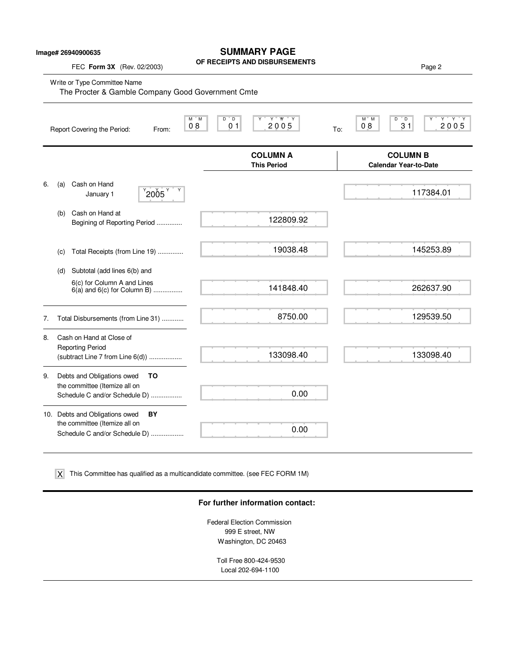## **SUMMARY PAGE**

**OF RECEIPTS AND DISBURSEMENTS**

FEC **Form 3X** (Rev. 02/2003) Page 2

Write or Type Committee Name

| The Procter & Gamble Company Good Government Cmte |     |                                                                                                  |                    |           |                                          |                                       |     |               |                                                 |                          |
|---------------------------------------------------|-----|--------------------------------------------------------------------------------------------------|--------------------|-----------|------------------------------------------|---------------------------------------|-----|---------------|-------------------------------------------------|--------------------------|
|                                                   |     | Report Covering the Period:                                                                      | From:              | M M<br>08 | $D^{\prime\prime}$ $D$<br>0 <sub>1</sub> | $Y$ $W$ $Y$<br>Y<br>2005              | To: | $M^*$ M<br>08 | $^{\circ}$ D<br>D<br>31                         | $Y$ $Y$ $Y$<br>Υ<br>2005 |
|                                                   |     |                                                                                                  |                    |           |                                          | <b>COLUMN A</b><br><b>This Period</b> |     |               | <b>COLUMN B</b><br><b>Calendar Year-to-Date</b> |                          |
| 6.                                                | (a) | Cash on Hand<br>January 1                                                                        | $^{9}$ 2005 $^{9}$ |           |                                          |                                       |     |               |                                                 | 117384.01                |
|                                                   | (b) | Cash on Hand at<br>Begining of Reporting Period                                                  |                    |           |                                          | 122809.92                             |     |               |                                                 |                          |
|                                                   | (C) | Total Receipts (from Line 19)                                                                    |                    |           |                                          | 19038.48                              |     |               |                                                 | 145253.89                |
|                                                   | (d) | Subtotal (add lines 6(b) and                                                                     |                    |           |                                          |                                       |     |               |                                                 |                          |
|                                                   |     | 6(c) for Column A and Lines<br>$6(a)$ and $6(c)$ for Column B)                                   |                    |           |                                          | 141848.40                             |     |               |                                                 | 262637.90                |
| 7.                                                |     | Total Disbursements (from Line 31)                                                               |                    |           |                                          | 8750.00                               |     |               |                                                 | 129539.50                |
| 8.                                                |     | Cash on Hand at Close of<br><b>Reporting Period</b><br>(subtract Line 7 from Line 6(d))          |                    |           |                                          | 133098.40                             |     |               |                                                 | 133098.40                |
| 9.                                                |     | Debts and Obligations owed<br>the committee (Itemize all on<br>Schedule C and/or Schedule D)     | TO                 |           |                                          | 0.00                                  |     |               |                                                 |                          |
|                                                   |     | 10. Debts and Obligations owed<br>the committee (Itemize all on<br>Schedule C and/or Schedule D) | BY                 |           |                                          | 0.00                                  |     |               |                                                 |                          |

This Committee has qualified as a multicandidate committee. (see FEC FORM 1M) X

### **For further information contact:**

Federal Election Commission 999 E street, NW Washington, DC 20463

> Toll Free 800-424-9530 Local 202-694-1100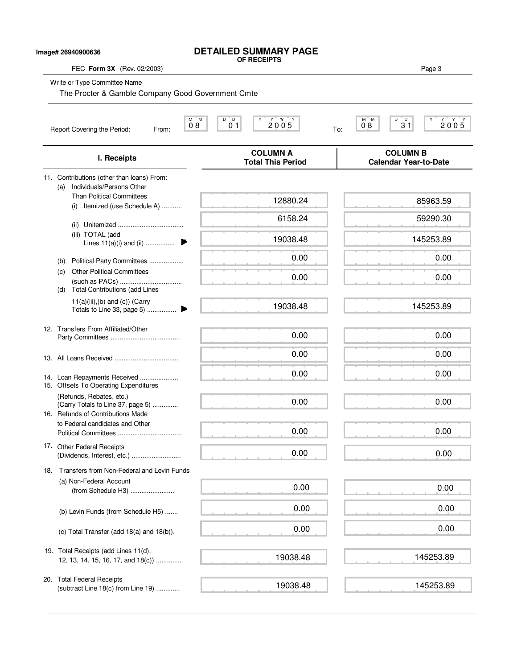## **DETAILED SUMMARY PAGE OF RECEIPTS**

FEC **Form 3X** (Rev. 02/2003) Page 3

| Image# 26940900636 |  |  |
|--------------------|--|--|
|--------------------|--|--|

Write or Type Committee Name

The Procter & Gamble Company Good Government Cmte

| М<br>M<br>08<br>Report Covering the Period:<br>From:                                               | $D^{\circ}D$<br>2005<br>0 <sub>1</sub><br>To: | D<br>D<br>$\begin{array}{c}\n\begin{array}{c}\n\mathbf{Y} \\ \mathbf{2} & \mathbf{0} \\ \mathbf{0} & \mathbf{5}\n\end{array}\n\end{array}$<br>$M$ $M$<br>08<br>31 |
|----------------------------------------------------------------------------------------------------|-----------------------------------------------|-------------------------------------------------------------------------------------------------------------------------------------------------------------------|
| I. Receipts                                                                                        | <b>COLUMN A</b><br><b>Total This Period</b>   | <b>COLUMN B</b><br><b>Calendar Year-to-Date</b>                                                                                                                   |
| 11. Contributions (other than loans) From:<br>Individuals/Persons Other<br>(a)                     |                                               |                                                                                                                                                                   |
| <b>Than Political Committees</b><br>Itemized (use Schedule A)<br>(i)                               | 12880.24                                      | 85963.59                                                                                                                                                          |
|                                                                                                    | 6158.24                                       | 59290.30                                                                                                                                                          |
| (iii) TOTAL (add<br>Lines $11(a)(i)$ and (ii)                                                      | 19038.48                                      | 145253.89                                                                                                                                                         |
| Political Party Committees<br>(b)                                                                  | 0.00                                          | 0.00                                                                                                                                                              |
| <b>Other Political Committees</b><br>(c)<br><b>Total Contributions (add Lines</b><br>(d)           | 0.00                                          | 0.00                                                                                                                                                              |
| $11(a)(iii),(b)$ and $(c)$ ) (Carry<br>▶<br>Totals to Line 33, page 5)                             | 19038.48                                      | 145253.89                                                                                                                                                         |
| 12. Transfers From Affiliated/Other                                                                | 0.00                                          | 0.00                                                                                                                                                              |
|                                                                                                    | 0.00                                          | 0.00                                                                                                                                                              |
| 14. Loan Repayments Received<br>15. Offsets To Operating Expenditures                              | 0.00                                          | 0.00                                                                                                                                                              |
| (Refunds, Rebates, etc.)<br>(Carry Totals to Line 37, page 5)<br>16. Refunds of Contributions Made | 0.00                                          | 0.00                                                                                                                                                              |
| to Federal candidates and Other                                                                    | 0.00                                          | 0.00                                                                                                                                                              |
| 17. Other Federal Receipts                                                                         | 0.00                                          | 0.00                                                                                                                                                              |
| Transfers from Non-Federal and Levin Funds<br>18.<br>(a) Non-Federal Account                       |                                               |                                                                                                                                                                   |
| (from Schedule H3)                                                                                 | 0.00                                          | 0.00                                                                                                                                                              |
| (b) Levin Funds (from Schedule H5)                                                                 | 0.00                                          | 0.00                                                                                                                                                              |
| (c) Total Transfer (add 18(a) and 18(b)).                                                          | 0.00                                          | 0.00                                                                                                                                                              |
| 19. Total Receipts (add Lines 11(d),<br>12, 13, 14, 15, 16, 17, and 18(c))                         | 19038.48                                      | 145253.89                                                                                                                                                         |
| 20. Total Federal Receipts<br>(subtract Line 18(c) from Line 19)                                   | 19038.48                                      | 145253.89                                                                                                                                                         |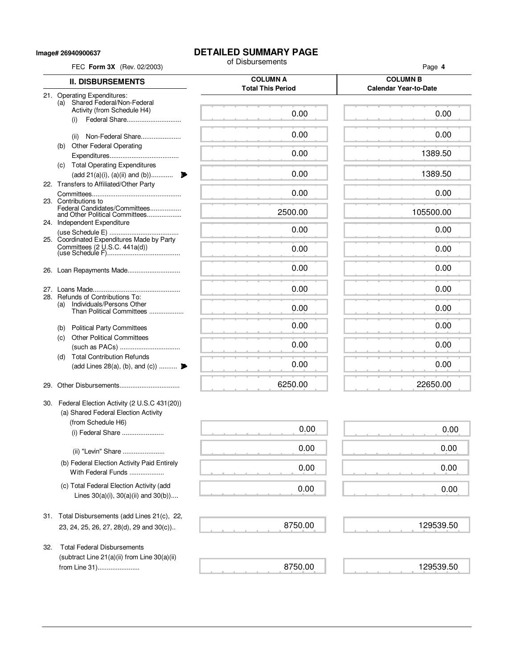**Image# 26940900637**

# **DETAILED SUMMARY PAGE**<br>of Disbursements

|     | FEC Form 3X (Rev. 02/2003)                                                 | of Disbursements                            | Page 4                                          |
|-----|----------------------------------------------------------------------------|---------------------------------------------|-------------------------------------------------|
|     | <b>II. DISBURSEMENTS</b>                                                   | <b>COLUMN A</b><br><b>Total This Period</b> | <b>COLUMN B</b><br><b>Calendar Year-to-Date</b> |
|     | 21. Operating Expenditures:                                                |                                             |                                                 |
|     | (a) Shared Federal/Non-Federal<br>Activity (from Schedule H4)              | 0.00                                        | 0.00                                            |
|     | Federal Share<br>(i)                                                       |                                             |                                                 |
|     | Non-Federal Share<br>(ii)                                                  | 0.00                                        | 0.00                                            |
| (b) | <b>Other Federal Operating</b>                                             |                                             |                                                 |
|     |                                                                            | 0.00                                        | 1389.50                                         |
|     | (c) Total Operating Expenditures                                           |                                             |                                                 |
|     | (add 21(a)(i), (a)(ii) and (b))<br>22. Transfers to Affiliated/Other Party | 0.00                                        | 1389.50                                         |
|     |                                                                            | 0.00                                        | 0.00                                            |
|     | 23. Contributions to<br>Federal Candidates/Committees                      |                                             |                                                 |
|     | and Other Political Committees                                             | 2500.00                                     | 105500.00                                       |
|     | 24. Independent Expenditure                                                | 0.00                                        | 0.00                                            |
|     | 25. Coordinated Expenditures Made by Party                                 |                                             |                                                 |
|     | Committees (2 U.S.C. 441a(d))                                              | 0.00                                        | 0.00                                            |
|     |                                                                            | 0.00                                        | 0.00                                            |
|     |                                                                            |                                             |                                                 |
|     |                                                                            | 0.00                                        | 0.00                                            |
| (a) | 28. Refunds of Contributions To:<br>Individuals/Persons Other              |                                             |                                                 |
|     | Than Political Committees                                                  | 0.00                                        | 0.00                                            |
|     | (b) Political Party Committees                                             | 0.00                                        | 0.00                                            |
| (c) | <b>Other Political Committees</b>                                          |                                             |                                                 |
|     |                                                                            | 0.00                                        | 0.00                                            |
| (d) | <b>Total Contribution Refunds</b>                                          |                                             |                                                 |
|     | (add Lines 28(a), (b), and (c))                                            | 0.00                                        | 0.00                                            |
| 29. |                                                                            | 6250.00                                     | 22650.00                                        |
|     | 30. Federal Election Activity (2 U.S.C 431(20))                            |                                             |                                                 |
|     | (a) Shared Federal Election Activity                                       |                                             |                                                 |
|     | (from Schedule H6)                                                         |                                             |                                                 |
|     | (i) Federal Share                                                          | 0.00                                        | 0.00                                            |
|     | (ii) "Levin" Share                                                         | 0.00                                        | 0.00                                            |
|     | (b) Federal Election Activity Paid Entirely                                |                                             |                                                 |
|     | With Federal Funds                                                         | 0.00                                        | 0.00                                            |
|     | (c) Total Federal Election Activity (add                                   | 0.00                                        | 0.00                                            |
|     | Lines $30(a)(i)$ , $30(a)(ii)$ and $30(b)$ )                               |                                             |                                                 |
|     |                                                                            |                                             |                                                 |
|     | 31. Total Disbursements (add Lines 21(c), 22,                              | 8750.00                                     | 129539.50                                       |
|     | 23, 24, 25, 26, 27, 28(d), 29 and 30(c))                                   |                                             |                                                 |
| 32. | <b>Total Federal Disbursements</b>                                         |                                             |                                                 |
|     | (subtract Line 21(a)(ii) from Line 30(a)(ii)                               |                                             |                                                 |
|     | from Line 31)                                                              | 8750.00                                     | 129539.50                                       |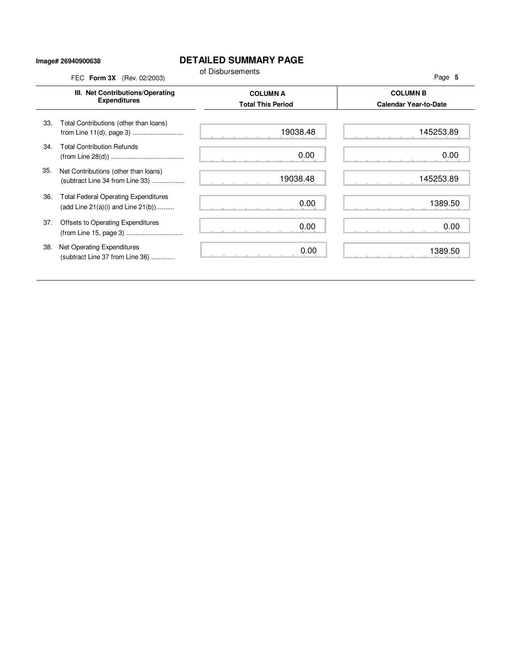### **Image# 26940900638**

## **DETAILED SUMMARY PAGE**

|     | FEC Form 3X (Rev. 02/2003)                                                             | of Disbursements                            | Page 5                                          |
|-----|----------------------------------------------------------------------------------------|---------------------------------------------|-------------------------------------------------|
|     | III. Net Contributions/Operating<br><b>Expenditures</b>                                | <b>COLUMN A</b><br><b>Total This Period</b> | <b>COLUMN B</b><br><b>Calendar Year-to-Date</b> |
| 33. | Total Contributions (other than loans)<br>from Line 11(d), page 3)                     | 19038.48                                    | 145253.89                                       |
| 34. | <b>Total Contribution Refunds</b>                                                      | 0.00                                        | 0.00                                            |
| 35. | Net Contributions (other than loans)<br>(subtract Line 34 from Line 33)                | 19038.48                                    | 145253.89                                       |
| 36. | <b>Total Federal Operating Expenditures</b><br>(add Line $21(a)(i)$ and Line $21(b)$ ) | 0.00                                        | 1389.50                                         |
| 37. | Offsets to Operating Expenditures                                                      | 0.00                                        | 0.00                                            |
| 38. | Net Operating Expenditures<br>(subtract Line 37 from Line 36)                          | 0.00                                        | 1389.50                                         |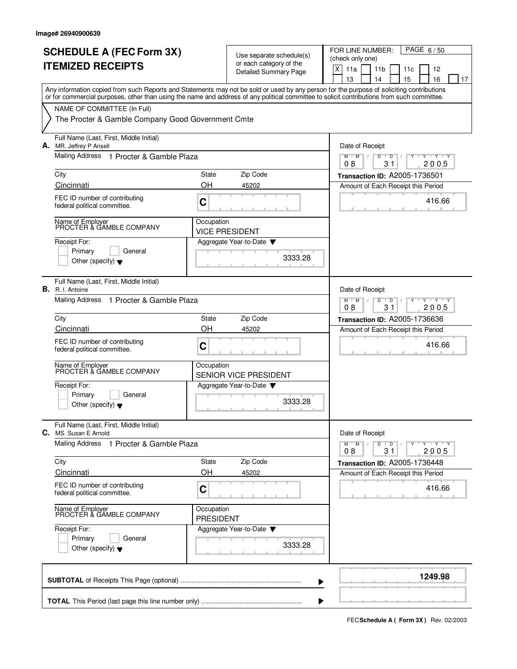| <b>SCHEDULE A (FEC Form 3X)</b><br><b>ITEMIZED RECEIPTS</b>                                                                                                                                                                                                                             |                                                     | Use separate schedule(s)<br>or each category of the<br><b>Detailed Summary Page</b> | PAGE 6/50<br>FOR LINE NUMBER:<br>(check only one)<br>X<br>11a<br>11 <sub>b</sub><br>12<br>11c<br>13<br>15<br>16<br>14<br>17 |
|-----------------------------------------------------------------------------------------------------------------------------------------------------------------------------------------------------------------------------------------------------------------------------------------|-----------------------------------------------------|-------------------------------------------------------------------------------------|-----------------------------------------------------------------------------------------------------------------------------|
| Any information copied from such Reports and Statements may not be sold or used by any person for the purpose of soliciting contributions<br>or for commercial purposes, other than using the name and address of any political committee to solicit contributions from such committee. |                                                     |                                                                                     |                                                                                                                             |
| NAME OF COMMITTEE (In Full)<br>The Procter & Gamble Company Good Government Cmte                                                                                                                                                                                                        |                                                     |                                                                                     |                                                                                                                             |
| Full Name (Last, First, Middle Initial)<br>A. MR. Jeffrey P Ansell                                                                                                                                                                                                                      |                                                     |                                                                                     | Date of Receipt                                                                                                             |
| Mailing Address 1 Procter & Gamble Plaza                                                                                                                                                                                                                                                |                                                     |                                                                                     | $M$ $M$<br>D<br>D<br>$\mathbf{y}$ $\mathbf{y}$<br>08<br>2005<br>31                                                          |
| City                                                                                                                                                                                                                                                                                    | State                                               | Zip Code                                                                            | Transaction ID: A2005-1736501                                                                                               |
| Cincinnati<br>FEC ID number of contributing                                                                                                                                                                                                                                             | OΗ                                                  | 45202                                                                               | Amount of Each Receipt this Period                                                                                          |
| federal political committee.                                                                                                                                                                                                                                                            | C                                                   |                                                                                     | 416.66                                                                                                                      |
| Name of Employer<br>PROCTER & GAMBLE COMPANY                                                                                                                                                                                                                                            | Occupation                                          | <b>VICE PRESIDENT</b>                                                               |                                                                                                                             |
| Receipt For:<br>Primary<br>General<br>Other (specify) $\blacktriangledown$                                                                                                                                                                                                              |                                                     | Aggregate Year-to-Date<br>3333.28                                                   |                                                                                                                             |
| Full Name (Last, First, Middle Initial)<br><b>B.</b> R. I. Antoine                                                                                                                                                                                                                      |                                                     |                                                                                     | Date of Receipt                                                                                                             |
| Mailing Address 1 Procter & Gamble Plaza                                                                                                                                                                                                                                                | $Y - Y - Y$<br>M<br>M<br>D<br>D<br>08<br>31<br>2005 |                                                                                     |                                                                                                                             |
| City                                                                                                                                                                                                                                                                                    | State                                               | Zip Code                                                                            | <b>Transaction ID: A2005-1736636</b>                                                                                        |
| Cincinnati                                                                                                                                                                                                                                                                              | OH                                                  | 45202                                                                               | Amount of Each Receipt this Period                                                                                          |
| FEC ID number of contributing<br>federal political committee.                                                                                                                                                                                                                           | С                                                   |                                                                                     | 416.66                                                                                                                      |
| Name of Employer<br>PROCTER & GAMBLE COMPANY                                                                                                                                                                                                                                            | Occupation                                          | <b>SENIOR VICE PRESIDENT</b>                                                        |                                                                                                                             |
| Receipt For:<br>General                                                                                                                                                                                                                                                                 |                                                     | Aggregate Year-to-Date                                                              |                                                                                                                             |
| Primary<br>Other (specify) $\blacktriangledown$                                                                                                                                                                                                                                         |                                                     | 3333.28                                                                             |                                                                                                                             |
| Full Name (Last, First, Middle Initial)<br>C. MS. Susan E Arnold                                                                                                                                                                                                                        |                                                     |                                                                                     | Date of Receipt                                                                                                             |
| Mailing Address 1 Procter & Gamble Plaza                                                                                                                                                                                                                                                |                                                     |                                                                                     | <b>TEXTEN</b><br>$M$ M<br>D<br>$\overline{D}$<br>08<br>31<br>2005                                                           |
| City                                                                                                                                                                                                                                                                                    | State                                               | Zip Code                                                                            | Transaction ID: A2005-1736448                                                                                               |
| Cincinnati<br>FEC ID number of contributing                                                                                                                                                                                                                                             | OH                                                  | 45202                                                                               | Amount of Each Receipt this Period                                                                                          |
| federal political committee.                                                                                                                                                                                                                                                            | C                                                   |                                                                                     | 416.66                                                                                                                      |
| Name of Employer<br>PROCTER & GAMBLE COMPANY                                                                                                                                                                                                                                            | Occupation<br><b>PRESIDENT</b>                      |                                                                                     |                                                                                                                             |
| Receipt For:<br>Primary<br>General                                                                                                                                                                                                                                                      |                                                     | Aggregate Year-to-Date                                                              |                                                                                                                             |
| Other (specify) $\blacktriangledown$                                                                                                                                                                                                                                                    |                                                     | 3333.28                                                                             |                                                                                                                             |
|                                                                                                                                                                                                                                                                                         |                                                     |                                                                                     | 1249.98                                                                                                                     |

**FECSchedule A ( Form 3X)** Rev. 02/2003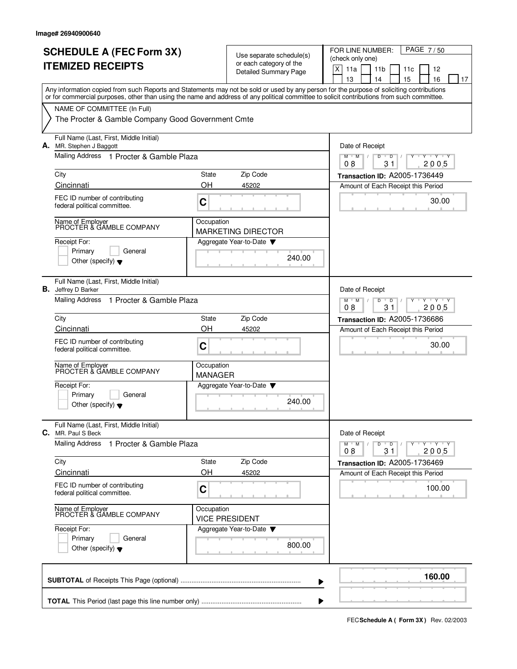|    | <b>SCHEDULE A (FEC Form 3X)</b><br><b>ITEMIZED RECEIPTS</b>                                                                                                                                                                                                                             |                                                                                 | Use separate schedule(s)<br>or each category of the<br><b>Detailed Summary Page</b> | FOR LINE NUMBER:<br>PAGE 7/50<br>(check only one)<br>X<br>11a<br>11 <sub>b</sub><br>12<br>11c<br>13<br>14<br>15<br>16<br>17 |
|----|-----------------------------------------------------------------------------------------------------------------------------------------------------------------------------------------------------------------------------------------------------------------------------------------|---------------------------------------------------------------------------------|-------------------------------------------------------------------------------------|-----------------------------------------------------------------------------------------------------------------------------|
|    | Any information copied from such Reports and Statements may not be sold or used by any person for the purpose of soliciting contributions<br>or for commercial purposes, other than using the name and address of any political committee to solicit contributions from such committee. |                                                                                 |                                                                                     |                                                                                                                             |
|    | NAME OF COMMITTEE (In Full)<br>The Procter & Gamble Company Good Government Cmte                                                                                                                                                                                                        |                                                                                 |                                                                                     |                                                                                                                             |
|    | Full Name (Last, First, Middle Initial)<br>A. MR. Stephen J Baggott<br>Mailing Address 1 Procter & Gamble Plaza                                                                                                                                                                         |                                                                                 |                                                                                     | Date of Receipt<br>$M$ $M$<br>D<br>D<br>$\mathbf{y}$ $\mathbf{y}$                                                           |
|    |                                                                                                                                                                                                                                                                                         |                                                                                 |                                                                                     | 2005<br>08<br>31                                                                                                            |
|    | City<br>Cincinnati                                                                                                                                                                                                                                                                      | State<br>OH                                                                     | Zip Code<br>45202                                                                   | Transaction ID: A2005-1736449<br>Amount of Each Receipt this Period                                                         |
|    | FEC ID number of contributing<br>federal political committee.                                                                                                                                                                                                                           | C                                                                               |                                                                                     | 30.00                                                                                                                       |
|    | Name of Employer<br>PROCTER & GAMBLE COMPANY                                                                                                                                                                                                                                            | Occupation                                                                      | <b>MARKETING DIRECTOR</b>                                                           |                                                                                                                             |
|    | Receipt For:<br>Primary<br>General<br>Other (specify) $\blacktriangledown$                                                                                                                                                                                                              |                                                                                 | Aggregate Year-to-Date<br>240.00                                                    |                                                                                                                             |
| В. | Full Name (Last, First, Middle Initial)<br>Jeffrey D Barker                                                                                                                                                                                                                             |                                                                                 |                                                                                     | Date of Receipt                                                                                                             |
|    | <b>Mailing Address</b><br>1 Procter & Gamble Plaza                                                                                                                                                                                                                                      | $Y - Y - Y$<br>$M$ <sup><math>+</math></sup><br>M<br>D<br>D<br>08<br>31<br>2005 |                                                                                     |                                                                                                                             |
|    | City<br>Cincinnati                                                                                                                                                                                                                                                                      | State<br>OH                                                                     | Zip Code                                                                            | <b>Transaction ID: A2005-1736686</b>                                                                                        |
|    | FEC ID number of contributing<br>federal political committee.                                                                                                                                                                                                                           | C                                                                               | 45202                                                                               | Amount of Each Receipt this Period<br>30.00                                                                                 |
|    | Name of Employer<br>PROCTER & GAMBLE COMPANY                                                                                                                                                                                                                                            | Occupation<br><b>MANAGER</b>                                                    |                                                                                     |                                                                                                                             |
|    | Receipt For:<br>Primary<br>General<br>Other (specify) $\blacktriangledown$                                                                                                                                                                                                              |                                                                                 | Aggregate Year-to-Date<br>240.00                                                    |                                                                                                                             |
|    | Full Name (Last, First, Middle Initial)<br><b>C.</b> MR. Paul S Beck                                                                                                                                                                                                                    |                                                                                 |                                                                                     | Date of Receipt                                                                                                             |
|    | <b>Mailing Address</b><br>1 Procter & Gamble Plaza                                                                                                                                                                                                                                      |                                                                                 |                                                                                     | $Y - Y - Y - Y$<br>$M^+$ M<br>D<br>$\overline{D}$<br>08<br>31<br>2005                                                       |
|    | City<br>Cincinnati                                                                                                                                                                                                                                                                      | State<br>OH                                                                     | Zip Code<br>45202                                                                   | Transaction ID: A2005-1736469<br>Amount of Each Receipt this Period                                                         |
|    | FEC ID number of contributing<br>federal political committee.                                                                                                                                                                                                                           | C                                                                               |                                                                                     | 100.00                                                                                                                      |
|    | Name of Employer<br>PROCTER & GAMBLE COMPANY                                                                                                                                                                                                                                            | Occupation                                                                      | <b>VICE PRESIDENT</b>                                                               |                                                                                                                             |
|    | Receipt For:<br>Primary<br>General<br>Other (specify) $\blacktriangledown$                                                                                                                                                                                                              |                                                                                 | Aggregate Year-to-Date ▼<br>800.00                                                  |                                                                                                                             |
|    |                                                                                                                                                                                                                                                                                         |                                                                                 |                                                                                     | 160.00                                                                                                                      |

**FECSchedule A ( Form 3X)** Rev. 02/2003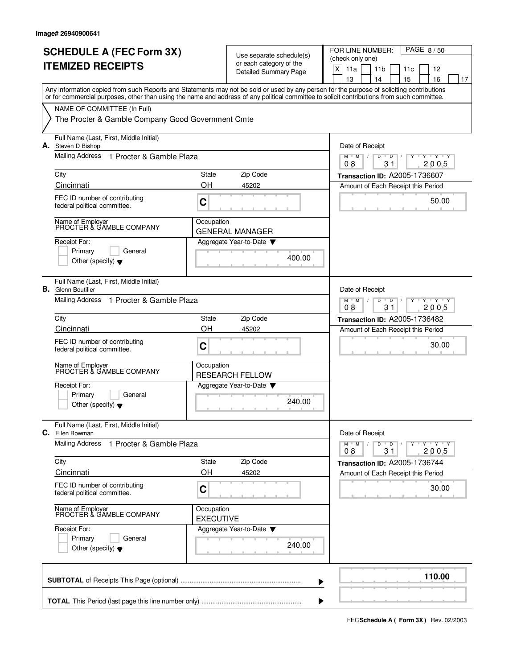|    | <b>SCHEDULE A (FEC Form 3X)</b><br><b>ITEMIZED RECEIPTS</b>                                                                                                                                                                                                                             |                                | Use separate schedule(s)<br>or each category of the<br>Detailed Summary Page | PAGE 8/50<br>FOR LINE NUMBER:<br>(check only one)<br>$\mathsf X$<br>11a<br>11 <sub>b</sub><br>11c<br>12<br>15<br>14 |
|----|-----------------------------------------------------------------------------------------------------------------------------------------------------------------------------------------------------------------------------------------------------------------------------------------|--------------------------------|------------------------------------------------------------------------------|---------------------------------------------------------------------------------------------------------------------|
|    | Any information copied from such Reports and Statements may not be sold or used by any person for the purpose of soliciting contributions<br>or for commercial purposes, other than using the name and address of any political committee to solicit contributions from such committee. |                                |                                                                              | 13<br>16<br>17                                                                                                      |
|    | NAME OF COMMITTEE (In Full)<br>The Procter & Gamble Company Good Government Cmte                                                                                                                                                                                                        |                                |                                                                              |                                                                                                                     |
| А. | Full Name (Last, First, Middle Initial)<br>Steven D Bishop                                                                                                                                                                                                                              |                                |                                                                              | Date of Receipt                                                                                                     |
|    | Mailing Address<br>1 Procter & Gamble Plaza                                                                                                                                                                                                                                             |                                |                                                                              | $M$ $M$ /<br>D<br>$Y$ $Y$<br>D<br>2005<br>08<br>31                                                                  |
|    | City<br>Cincinnati                                                                                                                                                                                                                                                                      | State<br>OH                    | Zip Code<br>45202                                                            | Transaction ID: A2005-1736607                                                                                       |
|    | FEC ID number of contributing<br>federal political committee.                                                                                                                                                                                                                           | C                              |                                                                              | Amount of Each Receipt this Period<br>50.00                                                                         |
|    | Name of Employer<br>PROCTER & GAMBLE COMPANY                                                                                                                                                                                                                                            | Occupation                     | <b>GENERAL MANAGER</b>                                                       |                                                                                                                     |
|    | Receipt For:<br>Primary<br>General<br>Other (specify) $\blacktriangledown$                                                                                                                                                                                                              |                                | Aggregate Year-to-Date<br>400.00                                             |                                                                                                                     |
|    | Full Name (Last, First, Middle Initial)<br><b>B.</b> Glenn Boutilier                                                                                                                                                                                                                    |                                |                                                                              | Date of Receipt                                                                                                     |
|    | <b>Mailing Address</b><br>1 Procter & Gamble Plaza                                                                                                                                                                                                                                      |                                |                                                                              | $Y - Y - Y$<br>$M$ <sup>U</sup><br>M<br>D<br>D<br>08<br>31<br>2005                                                  |
|    | City<br>Cincinnati                                                                                                                                                                                                                                                                      | State<br>OH                    | Zip Code<br>45202                                                            | <b>Transaction ID: A2005-1736482</b>                                                                                |
|    | FEC ID number of contributing<br>federal political committee.                                                                                                                                                                                                                           | C                              |                                                                              | Amount of Each Receipt this Period<br>30.00                                                                         |
|    | Name of Employer<br>PROCTER & GAMBLE COMPANY                                                                                                                                                                                                                                            | Occupation                     | <b>RESEARCH FELLOW</b>                                                       |                                                                                                                     |
|    | Receipt For:<br>Primary<br>General<br>Other (specify) $\blacktriangledown$                                                                                                                                                                                                              |                                | Aggregate Year-to-Date<br>240.00                                             |                                                                                                                     |
|    | Full Name (Last, First, Middle Initial)<br>C. Ellen Bowman                                                                                                                                                                                                                              |                                |                                                                              | Date of Receipt                                                                                                     |
|    | <b>Mailing Address</b><br>1 Procter & Gamble Plaza                                                                                                                                                                                                                                      |                                |                                                                              | $+$ $\gamma$ $+$ $\gamma$ $+$ $\gamma$<br>$M$ $M$ $/$<br>$\overline{D}$<br>D<br>Y<br>$\sqrt{ }$<br>08<br>31<br>2005 |
|    | City                                                                                                                                                                                                                                                                                    | State                          | Zip Code                                                                     | Transaction ID: A2005-1736744                                                                                       |
|    | Cincinnati<br>FEC ID number of contributing<br>federal political committee.                                                                                                                                                                                                             | OH<br>C                        | 45202                                                                        | Amount of Each Receipt this Period<br>30.00                                                                         |
|    | Name of Employer<br>PROCTER & GAMBLE COMPANY                                                                                                                                                                                                                                            | Occupation<br><b>EXECUTIVE</b> |                                                                              |                                                                                                                     |
|    | Receipt For:<br>Primary<br>General<br>Other (specify) $\blacktriangledown$                                                                                                                                                                                                              |                                | Aggregate Year-to-Date ▼<br>240.00                                           |                                                                                                                     |
|    |                                                                                                                                                                                                                                                                                         |                                |                                                                              | 110.00                                                                                                              |

**FECSchedule A ( Form 3X)** Rev. 02/2003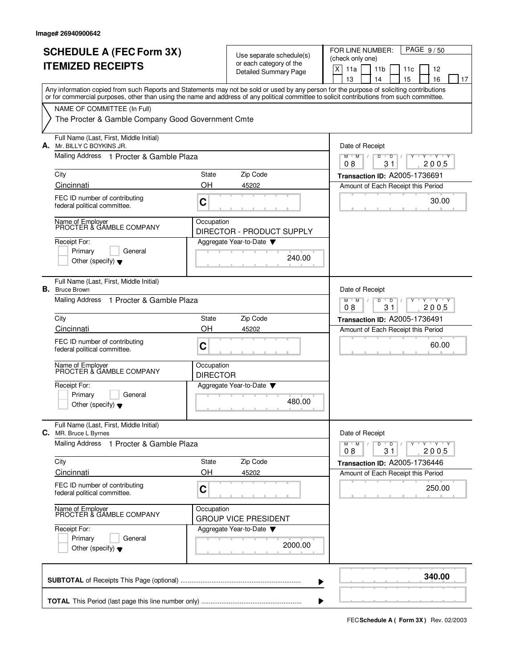|    | <b>SCHEDULE A (FEC Form 3X)</b><br><b>ITEMIZED RECEIPTS</b>                                                                                                                                                                                                                             |                               | Use separate schedule(s)<br>or each category of the<br><b>Detailed Summary Page</b> | PAGE 9/50<br>FOR LINE NUMBER:<br>(check only one)<br>X<br>11a<br>11 <sub>b</sub><br>12<br>11c<br>13<br>15<br>16<br>14<br>17 |
|----|-----------------------------------------------------------------------------------------------------------------------------------------------------------------------------------------------------------------------------------------------------------------------------------------|-------------------------------|-------------------------------------------------------------------------------------|-----------------------------------------------------------------------------------------------------------------------------|
|    | Any information copied from such Reports and Statements may not be sold or used by any person for the purpose of soliciting contributions<br>or for commercial purposes, other than using the name and address of any political committee to solicit contributions from such committee. |                               |                                                                                     |                                                                                                                             |
|    | NAME OF COMMITTEE (In Full)<br>The Procter & Gamble Company Good Government Cmte                                                                                                                                                                                                        |                               |                                                                                     |                                                                                                                             |
|    | Full Name (Last, First, Middle Initial)<br>A. Mr. BILLY C BOYKINS JR.                                                                                                                                                                                                                   |                               |                                                                                     | Date of Receipt                                                                                                             |
|    | Mailing Address 1 Procter & Gamble Plaza                                                                                                                                                                                                                                                |                               |                                                                                     | D<br>$M$ $M$<br>D<br>$\cdots$ Y $\cdots$ Y<br>08<br>31<br>2005                                                              |
|    | City                                                                                                                                                                                                                                                                                    | State                         | Zip Code                                                                            | Transaction ID: A2005-1736691                                                                                               |
|    | Cincinnati<br>FEC ID number of contributing<br>federal political committee.                                                                                                                                                                                                             | OΗ<br>C                       | 45202                                                                               | Amount of Each Receipt this Period<br>30.00                                                                                 |
|    | Name of Employer<br>PROCTER & GAMBLE COMPANY                                                                                                                                                                                                                                            | Occupation                    |                                                                                     |                                                                                                                             |
|    | Receipt For:<br>Primary<br>General<br>Other (specify) $\blacktriangledown$                                                                                                                                                                                                              |                               | DIRECTOR - PRODUCT SUPPLY<br>Aggregate Year-to-Date<br>240.00                       |                                                                                                                             |
| В. | Full Name (Last, First, Middle Initial)<br><b>Bruce Brown</b>                                                                                                                                                                                                                           |                               |                                                                                     | Date of Receipt                                                                                                             |
|    | Mailing Address 1 Procter & Gamble Plaza                                                                                                                                                                                                                                                |                               |                                                                                     | $Y - Y - Y$<br>$M$ <sup>U</sup><br>M<br>D<br>D<br>31<br>2005<br>08                                                          |
|    | City                                                                                                                                                                                                                                                                                    | State<br>OH                   | Zip Code                                                                            | Transaction ID: A2005-1736491                                                                                               |
|    | Cincinnati<br>FEC ID number of contributing<br>federal political committee.                                                                                                                                                                                                             | C                             | 45202                                                                               | Amount of Each Receipt this Period<br>60.00                                                                                 |
|    | Name of Employer<br>PROCTER & GAMBLE COMPANY                                                                                                                                                                                                                                            | Occupation<br><b>DIRECTOR</b> |                                                                                     |                                                                                                                             |
|    | Receipt For:<br>Primary<br>General<br>Other (specify) $\blacktriangledown$                                                                                                                                                                                                              |                               | Aggregate Year-to-Date<br>480.00                                                    |                                                                                                                             |
|    | Full Name (Last, First, Middle Initial)<br><b>C.</b> MR. Bruce L Byrnes                                                                                                                                                                                                                 |                               |                                                                                     | Date of Receipt                                                                                                             |
|    | Mailing Address<br>1 Procter & Gamble Plaza                                                                                                                                                                                                                                             |                               |                                                                                     | $Y - Y - Y$<br>$M$ $M$ /<br>D<br>$\overline{D}$<br>08<br>31<br>2005                                                         |
|    | City<br>Cincinnati                                                                                                                                                                                                                                                                      | State<br>OH                   | Zip Code<br>45202                                                                   | Transaction ID: A2005-1736446<br>Amount of Each Receipt this Period                                                         |
|    | FEC ID number of contributing<br>federal political committee.                                                                                                                                                                                                                           | C                             |                                                                                     | 250.00                                                                                                                      |
|    | Name of Employer<br>PROCTER & GAMBLE COMPANY                                                                                                                                                                                                                                            | Occupation                    | <b>GROUP VICE PRESIDENT</b>                                                         |                                                                                                                             |
|    | Receipt For:<br>Primary<br>General<br>Other (specify) $\blacktriangledown$                                                                                                                                                                                                              |                               | Aggregate Year-to-Date<br>2000.00                                                   |                                                                                                                             |
|    |                                                                                                                                                                                                                                                                                         |                               |                                                                                     | 340.00                                                                                                                      |

**FECSchedule A ( Form 3X)** Rev. 02/2003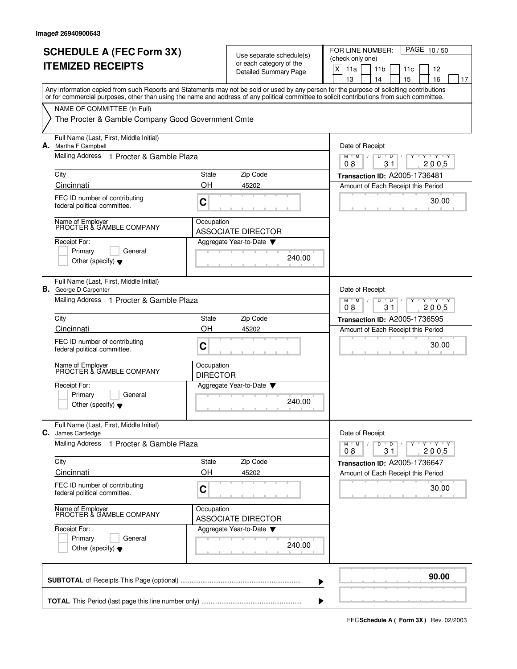|    | <b>SCHEDULE A (FEC Form 3X)</b><br><b>ITEMIZED RECEIPTS</b>                                                                                                                                                                                                                             |                                                                                              | Use separate schedule(s)<br>or each category of the<br>Detailed Summary Page | PAGE 10/50<br>FOR LINE NUMBER:<br>(check only one)<br>$\mathsf X$<br>11a<br>11 <sub>b</sub><br>12<br>11c<br>13<br>15<br>16<br>14<br>17 |
|----|-----------------------------------------------------------------------------------------------------------------------------------------------------------------------------------------------------------------------------------------------------------------------------------------|----------------------------------------------------------------------------------------------|------------------------------------------------------------------------------|----------------------------------------------------------------------------------------------------------------------------------------|
|    | Any information copied from such Reports and Statements may not be sold or used by any person for the purpose of soliciting contributions<br>or for commercial purposes, other than using the name and address of any political committee to solicit contributions from such committee. |                                                                                              |                                                                              |                                                                                                                                        |
|    | NAME OF COMMITTEE (In Full)<br>The Procter & Gamble Company Good Government Cmte                                                                                                                                                                                                        |                                                                                              |                                                                              |                                                                                                                                        |
|    | Full Name (Last, First, Middle Initial)<br>A. Martha F Campbell                                                                                                                                                                                                                         |                                                                                              |                                                                              | Date of Receipt                                                                                                                        |
|    | Mailing Address 1 Procter & Gamble Plaza                                                                                                                                                                                                                                                |                                                                                              |                                                                              | M<br>D<br>M<br>D<br>Y Y Y Y<br>08<br>31<br>2005                                                                                        |
|    | City                                                                                                                                                                                                                                                                                    | State                                                                                        | Zip Code                                                                     | Transaction ID: A2005-1736481                                                                                                          |
|    | Cincinnati<br>FEC ID number of contributing<br>federal political committee.                                                                                                                                                                                                             | OH<br>C                                                                                      | 45202                                                                        | Amount of Each Receipt this Period<br>30.00                                                                                            |
|    | Name of Employer<br>PROCTER & GAMBLE COMPANY                                                                                                                                                                                                                                            | Occupation                                                                                   | <b>ASSOCIATE DIRECTOR</b>                                                    |                                                                                                                                        |
|    | Receipt For:<br>Primary<br>General<br>Other (specify) $\blacktriangledown$                                                                                                                                                                                                              |                                                                                              | Aggregate Year-to-Date<br>240.00                                             |                                                                                                                                        |
| В. | Full Name (Last, First, Middle Initial)<br>George D Carpenter                                                                                                                                                                                                                           |                                                                                              |                                                                              | Date of Receipt                                                                                                                        |
|    | Mailing Address 1 Procter & Gamble Plaza                                                                                                                                                                                                                                                | $Y + Y + Y$<br>$M$ <sup><math>+</math></sup><br>M<br>$\overline{D}$<br>D<br>08<br>31<br>2005 |                                                                              |                                                                                                                                        |
|    | City<br>Cincinnati                                                                                                                                                                                                                                                                      | State<br>OH                                                                                  | Zip Code<br>45202                                                            | Transaction ID: A2005-1736595<br>Amount of Each Receipt this Period                                                                    |
|    | FEC ID number of contributing<br>federal political committee.                                                                                                                                                                                                                           | C                                                                                            |                                                                              | 30.00                                                                                                                                  |
|    | Name of Employer<br>PROCTER & GAMBLE COMPANY                                                                                                                                                                                                                                            | Occupation<br><b>DIRECTOR</b>                                                                |                                                                              |                                                                                                                                        |
|    | Receipt For:<br>Primary<br>General<br>Other (specify) $\blacktriangledown$                                                                                                                                                                                                              |                                                                                              | Aggregate Year-to-Date<br>240.00                                             |                                                                                                                                        |
|    | Full Name (Last, First, Middle Initial)<br><b>C.</b> James Cartledge                                                                                                                                                                                                                    |                                                                                              |                                                                              | Date of Receipt                                                                                                                        |
|    | <b>Mailing Address</b><br>1 Procter & Gamble Plaza                                                                                                                                                                                                                                      |                                                                                              |                                                                              | $Y - Y - Y - Y$<br>$M^+$ M<br>D<br>$\overline{D}$<br>08<br>31<br>2005                                                                  |
|    | City<br>Cincinnati                                                                                                                                                                                                                                                                      | State<br>OH                                                                                  | Zip Code<br>45202                                                            | Transaction ID: A2005-1736647<br>Amount of Each Receipt this Period                                                                    |
|    | FEC ID number of contributing<br>federal political committee.                                                                                                                                                                                                                           | C                                                                                            |                                                                              | 30.00                                                                                                                                  |
|    | Name of Employer<br>PROCTER & GAMBLE COMPANY                                                                                                                                                                                                                                            | Occupation                                                                                   | <b>ASSOCIATE DIRECTOR</b>                                                    |                                                                                                                                        |
|    | Receipt For:<br>Primary<br>General<br>Other (specify) $\blacktriangledown$                                                                                                                                                                                                              |                                                                                              | Aggregate Year-to-Date<br>240.00                                             |                                                                                                                                        |
|    |                                                                                                                                                                                                                                                                                         |                                                                                              |                                                                              | 90.00                                                                                                                                  |

**FECSchedule A ( Form 3X)** Rev. 02/2003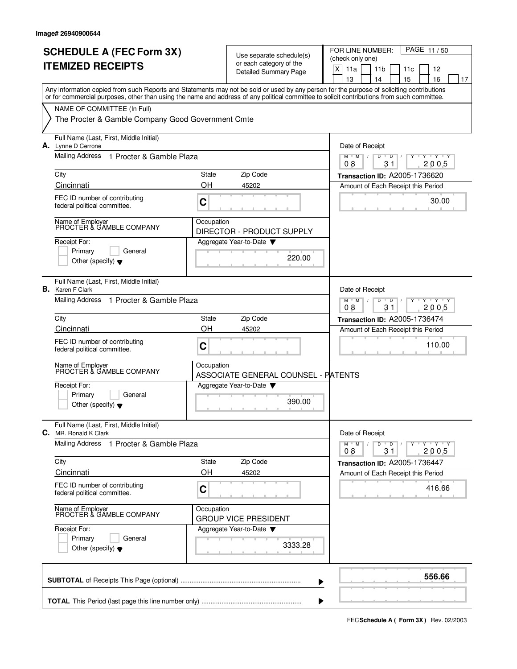|    | <b>ITEMIZED RECEIPTS</b>                                                                                                                                                                                                                                                                |            | Use separate schedule(s)<br>or each category of the<br><b>Detailed Summary Page</b> | PAGE 11/50<br>FOR LINE NUMBER:<br>(check only one)<br>X<br>11a<br>11 <sub>b</sub><br>12<br>11c<br>13<br>15<br>16<br>14<br>17 |
|----|-----------------------------------------------------------------------------------------------------------------------------------------------------------------------------------------------------------------------------------------------------------------------------------------|------------|-------------------------------------------------------------------------------------|------------------------------------------------------------------------------------------------------------------------------|
|    | Any information copied from such Reports and Statements may not be sold or used by any person for the purpose of soliciting contributions<br>or for commercial purposes, other than using the name and address of any political committee to solicit contributions from such committee. |            |                                                                                     |                                                                                                                              |
|    | NAME OF COMMITTEE (In Full)<br>The Procter & Gamble Company Good Government Cmte                                                                                                                                                                                                        |            |                                                                                     |                                                                                                                              |
|    | Full Name (Last, First, Middle Initial)<br>A. Lynne D Cerrone                                                                                                                                                                                                                           |            |                                                                                     | Date of Receipt                                                                                                              |
|    | Mailing Address<br>1 Procter & Gamble Plaza                                                                                                                                                                                                                                             |            |                                                                                     | D<br>$M$ $M$<br>$\overline{D}$<br>$\cdots$ Y $\cdots$ Y<br>08<br>31<br>2005                                                  |
|    | City                                                                                                                                                                                                                                                                                    | State      | Zip Code                                                                            | Transaction ID: A2005-1736620                                                                                                |
|    | Cincinnati                                                                                                                                                                                                                                                                              | OΗ         | 45202                                                                               | Amount of Each Receipt this Period                                                                                           |
|    | FEC ID number of contributing<br>federal political committee.                                                                                                                                                                                                                           | C          |                                                                                     | 30.00                                                                                                                        |
|    | Name of Employer<br>PROCTER & GAMBLE COMPANY                                                                                                                                                                                                                                            | Occupation | DIRECTOR - PRODUCT SUPPLY                                                           |                                                                                                                              |
|    | Receipt For:<br>Primary<br>General<br>Other (specify) $\blacktriangledown$                                                                                                                                                                                                              |            | Aggregate Year-to-Date<br>220.00                                                    |                                                                                                                              |
| В. | Full Name (Last, First, Middle Initial)<br>Karen F Clark                                                                                                                                                                                                                                |            |                                                                                     | Date of Receipt                                                                                                              |
|    | Mailing Address 1 Procter & Gamble Plaza                                                                                                                                                                                                                                                |            |                                                                                     | $Y - Y - Y$<br>$M$ <sup>U</sup><br>M<br>D<br>D<br>31<br>2005<br>08                                                           |
|    | City                                                                                                                                                                                                                                                                                    | State      | Zip Code                                                                            | Transaction ID: A2005-1736474                                                                                                |
|    | Cincinnati                                                                                                                                                                                                                                                                              | OH         | 45202                                                                               | Amount of Each Receipt this Period                                                                                           |
|    | FEC ID number of contributing<br>federal political committee.                                                                                                                                                                                                                           | C          |                                                                                     | 110.00                                                                                                                       |
|    | Name of Employer<br>PROCTER & GAMBLE COMPANY                                                                                                                                                                                                                                            | Occupation | ASSOCIATE GENERAL COUNSEL - PATENTS                                                 |                                                                                                                              |
|    | Receipt For:                                                                                                                                                                                                                                                                            |            | Aggregate Year-to-Date                                                              |                                                                                                                              |
|    | Primary<br>General<br>Other (specify) $\blacktriangledown$                                                                                                                                                                                                                              |            | 390.00                                                                              |                                                                                                                              |
|    | Full Name (Last, First, Middle Initial)<br>C. MR. Ronald K Clark                                                                                                                                                                                                                        |            |                                                                                     | Date of Receipt                                                                                                              |
|    | Mailing Address<br>1 Procter & Gamble Plaza                                                                                                                                                                                                                                             |            |                                                                                     | $Y - Y - Y$<br>$M$ $M$ /<br>D<br>$\overline{D}$<br>08<br>31<br>2005                                                          |
|    | City                                                                                                                                                                                                                                                                                    | State      | Zip Code                                                                            | Transaction ID: A2005-1736447                                                                                                |
|    | Cincinnati                                                                                                                                                                                                                                                                              | OH         | 45202                                                                               | Amount of Each Receipt this Period                                                                                           |
|    | FEC ID number of contributing<br>federal political committee.                                                                                                                                                                                                                           | C          |                                                                                     | 416.66                                                                                                                       |
|    | Name of Employer<br>PROCTER & GAMBLE COMPANY                                                                                                                                                                                                                                            | Occupation | <b>GROUP VICE PRESIDENT</b>                                                         |                                                                                                                              |
|    | Receipt For:<br>Primary<br>General<br>Other (specify) $\blacktriangledown$                                                                                                                                                                                                              |            | Aggregate Year-to-Date<br>3333.28                                                   |                                                                                                                              |
|    |                                                                                                                                                                                                                                                                                         |            |                                                                                     | 556.66                                                                                                                       |

**FECSchedule A ( Form 3X)** Rev. 02/2003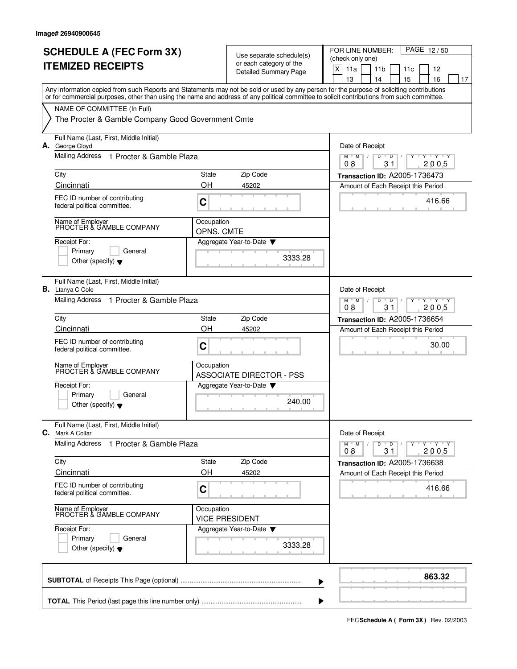|      | <b>SCHEDULE A (FEC Form 3X)</b><br><b>ITEMIZED RECEIPTS</b>                                                                                                                                                                                                                             |                                                                                  | Use separate schedule(s)<br>or each category of the<br><b>Detailed Summary Page</b> | PAGE 12/50<br>FOR LINE NUMBER:<br>(check only one)<br>$\mathsf X$<br>11a<br>11 <sub>b</sub><br>12<br>11c<br>13<br>15<br>16<br>14<br>17 |
|------|-----------------------------------------------------------------------------------------------------------------------------------------------------------------------------------------------------------------------------------------------------------------------------------------|----------------------------------------------------------------------------------|-------------------------------------------------------------------------------------|----------------------------------------------------------------------------------------------------------------------------------------|
|      | Any information copied from such Reports and Statements may not be sold or used by any person for the purpose of soliciting contributions<br>or for commercial purposes, other than using the name and address of any political committee to solicit contributions from such committee. |                                                                                  |                                                                                     |                                                                                                                                        |
|      | NAME OF COMMITTEE (In Full)<br>The Procter & Gamble Company Good Government Cmte                                                                                                                                                                                                        |                                                                                  |                                                                                     |                                                                                                                                        |
|      | Full Name (Last, First, Middle Initial)<br>A. George Cloyd                                                                                                                                                                                                                              |                                                                                  |                                                                                     | Date of Receipt                                                                                                                        |
|      | Mailing Address 1 Procter & Gamble Plaza                                                                                                                                                                                                                                                | D<br>$M$ $M$<br>D<br>Y 'Y 'Y<br>08<br>31<br>2005                                 |                                                                                     |                                                                                                                                        |
| City |                                                                                                                                                                                                                                                                                         | State                                                                            | Zip Code                                                                            | Transaction ID: A2005-1736473                                                                                                          |
|      | Cincinnati                                                                                                                                                                                                                                                                              | OΗ                                                                               | 45202                                                                               | Amount of Each Receipt this Period                                                                                                     |
|      | FEC ID number of contributing<br>federal political committee.                                                                                                                                                                                                                           | C                                                                                |                                                                                     | 416.66                                                                                                                                 |
|      | Name of Employer<br>PROCTER & GAMBLE COMPANY                                                                                                                                                                                                                                            | Occupation<br>OPNS, CMTE                                                         |                                                                                     |                                                                                                                                        |
|      | Receipt For:<br>Primary<br>General<br>Other (specify) $\blacktriangledown$                                                                                                                                                                                                              |                                                                                  | Aggregate Year-to-Date<br>3333.28                                                   |                                                                                                                                        |
|      | Full Name (Last, First, Middle Initial)<br><b>B.</b> Ltanya C Cole                                                                                                                                                                                                                      |                                                                                  |                                                                                     | Date of Receipt                                                                                                                        |
|      | Mailing Address 1 Procter & Gamble Plaza                                                                                                                                                                                                                                                | $Y + Y + Y$<br>$M$ <sup>-1</sup><br>M<br>$\overline{D}$<br>D<br>08<br>31<br>2005 |                                                                                     |                                                                                                                                        |
| City |                                                                                                                                                                                                                                                                                         | State                                                                            | Zip Code                                                                            | Transaction ID: A2005-1736654                                                                                                          |
|      | Cincinnati<br>FEC ID number of contributing<br>federal political committee.                                                                                                                                                                                                             | OH<br>C                                                                          | 45202                                                                               | Amount of Each Receipt this Period<br>30.00                                                                                            |
|      | Name of Employer<br>PROCTER & GAMBLE COMPANY                                                                                                                                                                                                                                            | Occupation                                                                       | <b>ASSOCIATE DIRECTOR - PSS</b>                                                     |                                                                                                                                        |
|      | Receipt For:<br>Primary<br>General<br>Other (specify) $\blacktriangledown$                                                                                                                                                                                                              |                                                                                  | Aggregate Year-to-Date<br>240.00                                                    |                                                                                                                                        |
|      | Full Name (Last, First, Middle Initial)<br>C. Mark A Collar                                                                                                                                                                                                                             |                                                                                  |                                                                                     | Date of Receipt                                                                                                                        |
|      | <b>Mailing Address</b><br>1 Procter & Gamble Plaza                                                                                                                                                                                                                                      |                                                                                  |                                                                                     | $Y - Y - Y - Y$<br>$M$ $M$<br>D<br>$\overline{D}$<br>2005<br>08<br>31                                                                  |
| City |                                                                                                                                                                                                                                                                                         | State                                                                            | Zip Code                                                                            | Transaction ID: A2005-1736638                                                                                                          |
|      | Cincinnati<br>FEC ID number of contributing<br>federal political committee.                                                                                                                                                                                                             | OH<br>C                                                                          | 45202                                                                               | Amount of Each Receipt this Period<br>416.66                                                                                           |
|      | Name of Employer<br>PROCTER & GAMBLE COMPANY                                                                                                                                                                                                                                            | Occupation                                                                       | <b>VICE PRESIDENT</b>                                                               |                                                                                                                                        |
|      | Receipt For:<br>Primary<br>General<br>Other (specify) $\blacktriangledown$                                                                                                                                                                                                              |                                                                                  | Aggregate Year-to-Date<br>3333.28                                                   |                                                                                                                                        |
|      |                                                                                                                                                                                                                                                                                         |                                                                                  |                                                                                     | 863.32                                                                                                                                 |

**FECSchedule A ( Form 3X)** Rev. 02/2003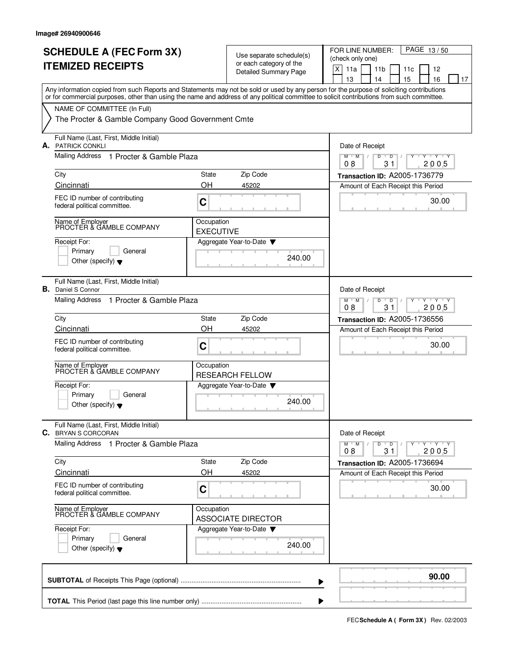|    | <b>SCHEDULE A (FEC Form 3X)</b><br><b>ITEMIZED RECEIPTS</b>                                                                                                                                                                                                                             |                                                                                              | Use separate schedule(s)<br>or each category of the<br>Detailed Summary Page | PAGE 13/50<br>FOR LINE NUMBER:<br>(check only one)<br>$\mathsf X$<br>11a<br>11 <sub>b</sub><br>12<br>11c<br>13<br>15<br>16<br>14<br>17 |
|----|-----------------------------------------------------------------------------------------------------------------------------------------------------------------------------------------------------------------------------------------------------------------------------------------|----------------------------------------------------------------------------------------------|------------------------------------------------------------------------------|----------------------------------------------------------------------------------------------------------------------------------------|
|    | Any information copied from such Reports and Statements may not be sold or used by any person for the purpose of soliciting contributions<br>or for commercial purposes, other than using the name and address of any political committee to solicit contributions from such committee. |                                                                                              |                                                                              |                                                                                                                                        |
|    | NAME OF COMMITTEE (In Full)<br>The Procter & Gamble Company Good Government Cmte                                                                                                                                                                                                        |                                                                                              |                                                                              |                                                                                                                                        |
|    | Full Name (Last, First, Middle Initial)<br><b>A.</b> PATRICK CONKLI                                                                                                                                                                                                                     |                                                                                              |                                                                              | Date of Receipt                                                                                                                        |
|    | Mailing Address 1 Procter & Gamble Plaza                                                                                                                                                                                                                                                |                                                                                              |                                                                              | M<br>D<br>M<br>D<br>Y Y Y Y<br>08<br>31<br>2005                                                                                        |
|    | City                                                                                                                                                                                                                                                                                    | State                                                                                        | Zip Code                                                                     | Transaction ID: A2005-1736779                                                                                                          |
|    | Cincinnati                                                                                                                                                                                                                                                                              | OH                                                                                           | 45202                                                                        | Amount of Each Receipt this Period                                                                                                     |
|    | FEC ID number of contributing<br>federal political committee.                                                                                                                                                                                                                           | C                                                                                            |                                                                              | 30.00                                                                                                                                  |
|    | Name of Employer<br>PROCTER & GAMBLE COMPANY                                                                                                                                                                                                                                            | Occupation<br><b>EXECUTIVE</b>                                                               |                                                                              |                                                                                                                                        |
|    | Receipt For:<br>Primary<br>General<br>Other (specify) $\blacktriangledown$                                                                                                                                                                                                              |                                                                                              | Aggregate Year-to-Date<br>240.00                                             |                                                                                                                                        |
| В. | Full Name (Last, First, Middle Initial)<br>Daniel S Connor                                                                                                                                                                                                                              |                                                                                              |                                                                              | Date of Receipt                                                                                                                        |
|    | Mailing Address<br>1 Procter & Gamble Plaza                                                                                                                                                                                                                                             | $Y - Y - Y$<br>$M$ <sup><math>+</math></sup><br>M<br>$\overline{D}$<br>D<br>08<br>31<br>2005 |                                                                              |                                                                                                                                        |
|    | City                                                                                                                                                                                                                                                                                    | State                                                                                        | Zip Code                                                                     | Transaction ID: A2005-1736556                                                                                                          |
|    | Cincinnati                                                                                                                                                                                                                                                                              | OH                                                                                           | 45202                                                                        | Amount of Each Receipt this Period                                                                                                     |
|    | FEC ID number of contributing<br>federal political committee.                                                                                                                                                                                                                           | C                                                                                            |                                                                              | 30.00                                                                                                                                  |
|    | Name of Employer<br>PROCTER & GAMBLE COMPANY                                                                                                                                                                                                                                            | Occupation                                                                                   | <b>RESEARCH FELLOW</b>                                                       |                                                                                                                                        |
|    | Receipt For:<br>Primary<br>General                                                                                                                                                                                                                                                      |                                                                                              | Aggregate Year-to-Date                                                       |                                                                                                                                        |
|    | Other (specify) $\blacktriangledown$                                                                                                                                                                                                                                                    |                                                                                              | 240.00                                                                       |                                                                                                                                        |
|    | Full Name (Last, First, Middle Initial)<br>C. BRYAN S CORCORAN                                                                                                                                                                                                                          |                                                                                              |                                                                              | Date of Receipt                                                                                                                        |
|    | Mailing Address 1 Procter & Gamble Plaza                                                                                                                                                                                                                                                |                                                                                              |                                                                              | $Y - Y - Y$<br>$M$ $M$<br>D<br>$\overline{D}$<br>2005<br>08<br>31                                                                      |
|    | City                                                                                                                                                                                                                                                                                    | State                                                                                        | Zip Code                                                                     | Transaction ID: A2005-1736694                                                                                                          |
|    | Cincinnati                                                                                                                                                                                                                                                                              | OH                                                                                           | 45202                                                                        | Amount of Each Receipt this Period                                                                                                     |
|    | FEC ID number of contributing<br>federal political committee.                                                                                                                                                                                                                           | C                                                                                            |                                                                              | 30.00                                                                                                                                  |
|    | Name of Employer<br>PROCTER & GAMBLE COMPANY                                                                                                                                                                                                                                            | Occupation                                                                                   | <b>ASSOCIATE DIRECTOR</b>                                                    |                                                                                                                                        |
|    | Receipt For:<br>Primary<br>General                                                                                                                                                                                                                                                      |                                                                                              | Aggregate Year-to-Date                                                       |                                                                                                                                        |
|    | Other (specify) $\blacktriangledown$                                                                                                                                                                                                                                                    |                                                                                              | 240.00                                                                       |                                                                                                                                        |
|    |                                                                                                                                                                                                                                                                                         |                                                                                              |                                                                              | 90.00                                                                                                                                  |

**FECSchedule A ( Form 3X)** Rev. 02/2003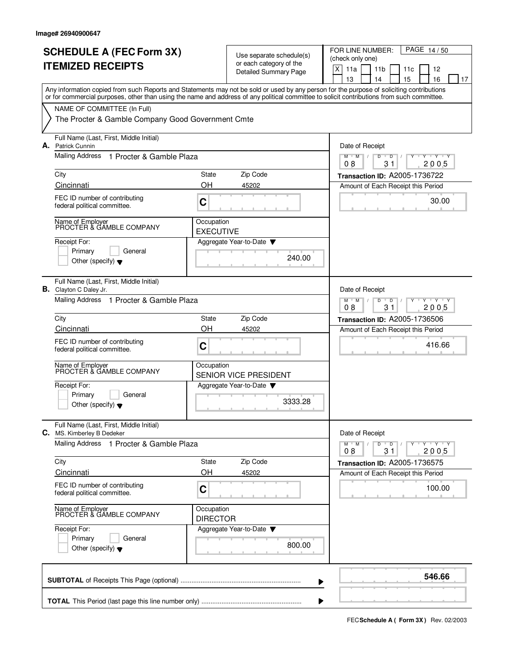|    | <b>SCHEDULE A (FEC Form 3X)</b><br><b>ITEMIZED RECEIPTS</b>                                                                                                                                                                                                                             |                                                 | Use separate schedule(s)<br>or each category of the<br>Detailed Summary Page | PAGE 14/50<br>FOR LINE NUMBER:<br>(check only one)<br>$\mathsf X$<br>11a<br>11 <sub>b</sub><br>12<br>11c<br>13<br>15<br>16<br>14<br>17 |
|----|-----------------------------------------------------------------------------------------------------------------------------------------------------------------------------------------------------------------------------------------------------------------------------------------|-------------------------------------------------|------------------------------------------------------------------------------|----------------------------------------------------------------------------------------------------------------------------------------|
|    | Any information copied from such Reports and Statements may not be sold or used by any person for the purpose of soliciting contributions<br>or for commercial purposes, other than using the name and address of any political committee to solicit contributions from such committee. |                                                 |                                                                              |                                                                                                                                        |
|    | NAME OF COMMITTEE (In Full)<br>The Procter & Gamble Company Good Government Cmte                                                                                                                                                                                                        |                                                 |                                                                              |                                                                                                                                        |
|    | Full Name (Last, First, Middle Initial)<br>A. Patrick Cunnin                                                                                                                                                                                                                            |                                                 |                                                                              | Date of Receipt                                                                                                                        |
|    | Mailing Address 1 Procter & Gamble Plaza                                                                                                                                                                                                                                                | D<br>M<br>M<br>D<br>Y 'Y 'Y<br>08<br>31<br>2005 |                                                                              |                                                                                                                                        |
|    | City                                                                                                                                                                                                                                                                                    | State                                           | Zip Code                                                                     | Transaction ID: A2005-1736722                                                                                                          |
|    | Cincinnati                                                                                                                                                                                                                                                                              | OH                                              | 45202                                                                        | Amount of Each Receipt this Period                                                                                                     |
|    | FEC ID number of contributing<br>federal political committee.                                                                                                                                                                                                                           | C                                               |                                                                              | 30.00                                                                                                                                  |
|    | Name of Employer<br>PROCTER & GAMBLE COMPANY                                                                                                                                                                                                                                            | Occupation<br><b>EXECUTIVE</b>                  |                                                                              |                                                                                                                                        |
|    | Receipt For:<br>Primary<br>General<br>Other (specify) $\blacktriangledown$                                                                                                                                                                                                              |                                                 | Aggregate Year-to-Date<br>240.00                                             |                                                                                                                                        |
| В. | Full Name (Last, First, Middle Initial)<br>Clayton C Daley Jr.                                                                                                                                                                                                                          |                                                 |                                                                              | Date of Receipt                                                                                                                        |
|    | Mailing Address 1 Procter & Gamble Plaza                                                                                                                                                                                                                                                |                                                 |                                                                              | $Y - Y - Y$<br>$M$ <sup><math>+</math></sup><br>M<br>$\overline{D}$<br>D<br>08<br>31<br>2005                                           |
|    | City                                                                                                                                                                                                                                                                                    | State                                           | Zip Code                                                                     | Transaction ID: A2005-1736506                                                                                                          |
|    | Cincinnati                                                                                                                                                                                                                                                                              | OH                                              | 45202                                                                        | Amount of Each Receipt this Period                                                                                                     |
|    | FEC ID number of contributing<br>federal political committee.                                                                                                                                                                                                                           | C                                               |                                                                              | 416.66                                                                                                                                 |
|    | Name of Employer<br>PROCTER & GAMBLE COMPANY                                                                                                                                                                                                                                            | Occupation                                      | SENIOR VICE PRESIDENT                                                        |                                                                                                                                        |
|    | Receipt For:                                                                                                                                                                                                                                                                            |                                                 | Aggregate Year-to-Date                                                       |                                                                                                                                        |
|    | Primary<br>General<br>Other (specify) $\blacktriangledown$                                                                                                                                                                                                                              |                                                 | 3333.28                                                                      |                                                                                                                                        |
|    | Full Name (Last, First, Middle Initial)<br>C. MS. Kimberley B Dedeker                                                                                                                                                                                                                   |                                                 |                                                                              | Date of Receipt                                                                                                                        |
|    | Mailing Address 1 Procter & Gamble Plaza                                                                                                                                                                                                                                                |                                                 |                                                                              | $Y - Y - Y - Y$<br>$M$ $M$<br>D<br>$\overline{D}$<br>2005<br>08<br>31                                                                  |
|    | City                                                                                                                                                                                                                                                                                    | State                                           | Zip Code                                                                     | Transaction ID: A2005-1736575                                                                                                          |
|    | Cincinnati                                                                                                                                                                                                                                                                              | OH                                              | 45202                                                                        | Amount of Each Receipt this Period                                                                                                     |
|    | FEC ID number of contributing<br>federal political committee.                                                                                                                                                                                                                           | C                                               |                                                                              | 100.00                                                                                                                                 |
|    | Name of Employer<br>PROCTER & GAMBLE COMPANY                                                                                                                                                                                                                                            | Occupation<br><b>DIRECTOR</b>                   |                                                                              |                                                                                                                                        |
|    | Receipt For:                                                                                                                                                                                                                                                                            |                                                 | Aggregate Year-to-Date                                                       |                                                                                                                                        |
|    | Primary<br>General<br>Other (specify) $\blacktriangledown$                                                                                                                                                                                                                              |                                                 | 800.00                                                                       |                                                                                                                                        |
|    |                                                                                                                                                                                                                                                                                         |                                                 |                                                                              | 546.66                                                                                                                                 |

**FECSchedule A ( Form 3X)** Rev. 02/2003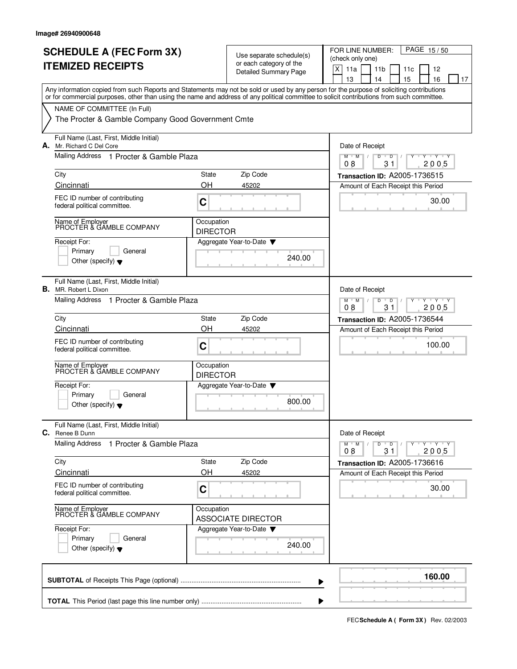|    | <b>SCHEDULE A (FEC Form 3X)</b><br><b>ITEMIZED RECEIPTS</b>                                                                                                                                                                                                                             |                               | Use separate schedule(s)<br>or each category of the<br><b>Detailed Summary Page</b> | FOR LINE NUMBER:<br>PAGE 15/50<br>(check only one)<br>X<br>11a<br>11 <sub>b</sub><br>12<br>11c<br>13<br>14<br>15<br>16<br>17 |
|----|-----------------------------------------------------------------------------------------------------------------------------------------------------------------------------------------------------------------------------------------------------------------------------------------|-------------------------------|-------------------------------------------------------------------------------------|------------------------------------------------------------------------------------------------------------------------------|
|    | Any information copied from such Reports and Statements may not be sold or used by any person for the purpose of soliciting contributions<br>or for commercial purposes, other than using the name and address of any political committee to solicit contributions from such committee. |                               |                                                                                     |                                                                                                                              |
|    | NAME OF COMMITTEE (In Full)<br>The Procter & Gamble Company Good Government Cmte                                                                                                                                                                                                        |                               |                                                                                     |                                                                                                                              |
| А. | Full Name (Last, First, Middle Initial)<br>Mr. Richard C Del Core                                                                                                                                                                                                                       |                               |                                                                                     | Date of Receipt                                                                                                              |
|    | Mailing Address 1 Procter & Gamble Plaza                                                                                                                                                                                                                                                |                               |                                                                                     | $M$ $M$<br>D<br>$T$ $Y$ $T$ $Y$<br>D<br>2005<br>08<br>31                                                                     |
|    | City                                                                                                                                                                                                                                                                                    | State                         | Zip Code                                                                            | Transaction ID: A2005-1736515                                                                                                |
|    | Cincinnati                                                                                                                                                                                                                                                                              | OH                            | 45202                                                                               | Amount of Each Receipt this Period                                                                                           |
|    | FEC ID number of contributing<br>federal political committee.                                                                                                                                                                                                                           | C                             |                                                                                     | 30.00                                                                                                                        |
|    | Name of Employer<br>PROCTER & GAMBLE COMPANY                                                                                                                                                                                                                                            | Occupation<br><b>DIRECTOR</b> |                                                                                     |                                                                                                                              |
|    | Receipt For:<br>Primary<br>General<br>Other (specify) $\blacktriangledown$                                                                                                                                                                                                              |                               | Aggregate Year-to-Date $\blacktriangledown$<br>240.00                               |                                                                                                                              |
| В. | Full Name (Last, First, Middle Initial)<br>MR. Robert L Dixon                                                                                                                                                                                                                           |                               |                                                                                     | Date of Receipt                                                                                                              |
|    | Mailing Address 1 Procter & Gamble Plaza                                                                                                                                                                                                                                                |                               |                                                                                     | $Y - Y - Y$<br>$M$ <sup>U</sup><br>M<br>D<br>$\mathsf D$<br>08<br>31<br>2005                                                 |
|    | City                                                                                                                                                                                                                                                                                    | State                         | Zip Code                                                                            | <b>Transaction ID: A2005-1736544</b>                                                                                         |
|    | Cincinnati                                                                                                                                                                                                                                                                              | OH                            | 45202                                                                               | Amount of Each Receipt this Period                                                                                           |
|    | FEC ID number of contributing<br>federal political committee.                                                                                                                                                                                                                           | C                             |                                                                                     | 100.00                                                                                                                       |
|    | Name of Employer<br>PROCTER & GAMBLE COMPANY                                                                                                                                                                                                                                            | Occupation<br><b>DIRECTOR</b> |                                                                                     |                                                                                                                              |
|    | Receipt For:                                                                                                                                                                                                                                                                            |                               | Aggregate Year-to-Date                                                              |                                                                                                                              |
|    | Primary<br>General<br>Other (specify) $\blacktriangledown$                                                                                                                                                                                                                              |                               | 800.00                                                                              |                                                                                                                              |
|    | Full Name (Last, First, Middle Initial)<br>C. Renee B Dunn                                                                                                                                                                                                                              |                               |                                                                                     | Date of Receipt                                                                                                              |
|    | <b>Mailing Address</b><br>1 Procter & Gamble Plaza                                                                                                                                                                                                                                      |                               |                                                                                     | $Y - Y - Y - Y$<br>$M^+$ M<br>D<br>$\overline{D}$<br>08<br>31<br>2005                                                        |
|    | City                                                                                                                                                                                                                                                                                    | State                         | Zip Code                                                                            | Transaction ID: A2005-1736616                                                                                                |
|    | Cincinnati                                                                                                                                                                                                                                                                              | OH                            | 45202                                                                               | Amount of Each Receipt this Period                                                                                           |
|    | FEC ID number of contributing<br>federal political committee.                                                                                                                                                                                                                           | C                             |                                                                                     | 30.00                                                                                                                        |
|    | Name of Employer<br>PROCTER & GAMBLE COMPANY                                                                                                                                                                                                                                            | Occupation                    | <b>ASSOCIATE DIRECTOR</b>                                                           |                                                                                                                              |
|    | Receipt For:<br>Primary<br>General                                                                                                                                                                                                                                                      |                               | Aggregate Year-to-Date                                                              |                                                                                                                              |
|    | Other (specify) $\blacktriangledown$                                                                                                                                                                                                                                                    |                               | 240.00                                                                              |                                                                                                                              |
|    |                                                                                                                                                                                                                                                                                         |                               |                                                                                     | 160.00                                                                                                                       |

**FECSchedule A ( Form 3X)** Rev. 02/2003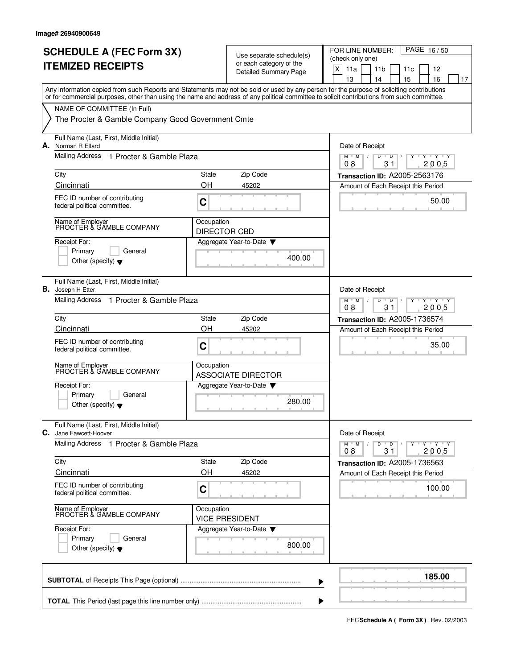|    | <b>SCHEDULE A (FEC Form 3X)</b><br><b>ITEMIZED RECEIPTS</b>                                                                                                                                                                                                                             |                                   | Use separate schedule(s)<br>or each category of the<br>Detailed Summary Page | PAGE 16/50<br>FOR LINE NUMBER:<br>(check only one)<br>$\mathsf X$<br>11a<br>11 <sub>b</sub><br>12<br>11c<br>13<br>15<br>16<br>14<br>17 |
|----|-----------------------------------------------------------------------------------------------------------------------------------------------------------------------------------------------------------------------------------------------------------------------------------------|-----------------------------------|------------------------------------------------------------------------------|----------------------------------------------------------------------------------------------------------------------------------------|
|    | Any information copied from such Reports and Statements may not be sold or used by any person for the purpose of soliciting contributions<br>or for commercial purposes, other than using the name and address of any political committee to solicit contributions from such committee. |                                   |                                                                              |                                                                                                                                        |
|    | NAME OF COMMITTEE (In Full)<br>The Procter & Gamble Company Good Government Cmte                                                                                                                                                                                                        |                                   |                                                                              |                                                                                                                                        |
| А. | Full Name (Last, First, Middle Initial)<br>Norman R Ellard                                                                                                                                                                                                                              |                                   |                                                                              | Date of Receipt                                                                                                                        |
|    | Mailing Address<br>1 Procter & Gamble Plaza                                                                                                                                                                                                                                             |                                   |                                                                              | D<br>M<br>M<br>D<br>Y 'Y 'Y<br>08<br>31<br>2005                                                                                        |
|    | City<br>Cincinnati                                                                                                                                                                                                                                                                      | State<br>OH                       | Zip Code<br>45202                                                            | Transaction ID: A2005-2563176                                                                                                          |
|    | FEC ID number of contributing<br>federal political committee.                                                                                                                                                                                                                           | C                                 |                                                                              | Amount of Each Receipt this Period<br>50.00                                                                                            |
|    | Name of Employer<br>PROCTER & GAMBLE COMPANY                                                                                                                                                                                                                                            | Occupation<br><b>DIRECTOR CBD</b> |                                                                              |                                                                                                                                        |
|    | Receipt For:<br>Primary<br>General<br>Other (specify) $\blacktriangledown$                                                                                                                                                                                                              |                                   | Aggregate Year-to-Date<br>400.00                                             |                                                                                                                                        |
| В. | Full Name (Last, First, Middle Initial)<br>Joseph H Etter                                                                                                                                                                                                                               |                                   |                                                                              | Date of Receipt                                                                                                                        |
|    | Mailing Address 1 Procter & Gamble Plaza                                                                                                                                                                                                                                                |                                   |                                                                              | $Y + Y + Y$<br>$M$ <sup><math>+</math></sup><br>M<br>$\overline{D}$<br>D<br>08<br>31<br>2005                                           |
|    | City<br>Cincinnati                                                                                                                                                                                                                                                                      | State<br>OH                       | Zip Code<br>45202                                                            | Transaction ID: A2005-1736574<br>Amount of Each Receipt this Period                                                                    |
|    | FEC ID number of contributing<br>federal political committee.                                                                                                                                                                                                                           | C                                 |                                                                              | 35.00                                                                                                                                  |
|    | Name of Employer<br>PROCTER & GAMBLE COMPANY                                                                                                                                                                                                                                            | Occupation                        | <b>ASSOCIATE DIRECTOR</b>                                                    |                                                                                                                                        |
|    | Receipt For:<br>Primary<br>General<br>Other (specify) $\blacktriangledown$                                                                                                                                                                                                              |                                   | Aggregate Year-to-Date<br>280.00                                             |                                                                                                                                        |
|    | Full Name (Last, First, Middle Initial)<br>C. Jane Fawcett-Hoover                                                                                                                                                                                                                       |                                   |                                                                              | Date of Receipt                                                                                                                        |
|    | Mailing Address<br>1 Procter & Gamble Plaza                                                                                                                                                                                                                                             |                                   |                                                                              | $Y - Y - Y$<br>$M$ $M$<br>D<br>$\overline{D}$<br>2005<br>08<br>31                                                                      |
|    | City<br>Cincinnati                                                                                                                                                                                                                                                                      | State<br>OH                       | Zip Code<br>45202                                                            | Transaction ID: A2005-1736563<br>Amount of Each Receipt this Period                                                                    |
|    | FEC ID number of contributing<br>federal political committee.                                                                                                                                                                                                                           | C                                 |                                                                              | 100.00                                                                                                                                 |
|    | Name of Employer<br>PROCTER & GAMBLE COMPANY                                                                                                                                                                                                                                            | Occupation                        | <b>VICE PRESIDENT</b>                                                        |                                                                                                                                        |
|    | Receipt For:<br>Primary<br>General<br>Other (specify) $\blacktriangledown$                                                                                                                                                                                                              |                                   | Aggregate Year-to-Date ▼<br>800.00                                           |                                                                                                                                        |
|    |                                                                                                                                                                                                                                                                                         |                                   |                                                                              | 185.00                                                                                                                                 |
|    |                                                                                                                                                                                                                                                                                         |                                   |                                                                              |                                                                                                                                        |

**FECSchedule A ( Form 3X)** Rev. 02/2003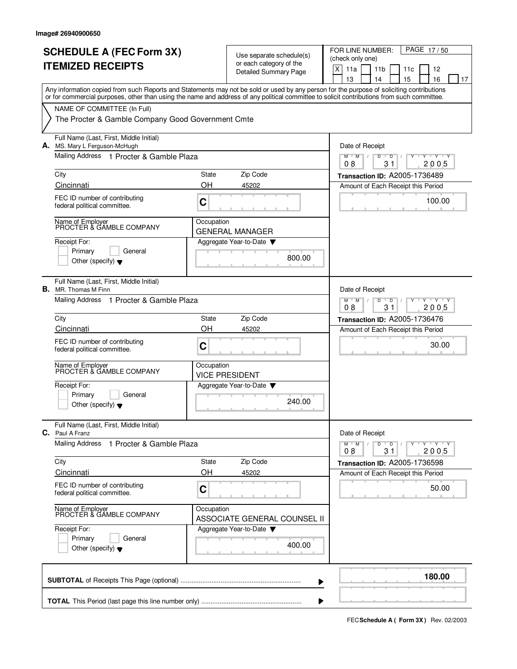| <b>SCHEDULE A (FEC Form 3X)</b><br><b>ITEMIZED RECEIPTS</b> |                                                                                                                                                                                                                                                                                         |                                                                                 | Use separate schedule(s)<br>or each category of the<br><b>Detailed Summary Page</b> | PAGE 17/50<br>FOR LINE NUMBER:<br>(check only one)<br>X<br>11a<br>11 <sub>b</sub><br>12<br>11c<br>13<br>14<br>15<br>16<br>17 |
|-------------------------------------------------------------|-----------------------------------------------------------------------------------------------------------------------------------------------------------------------------------------------------------------------------------------------------------------------------------------|---------------------------------------------------------------------------------|-------------------------------------------------------------------------------------|------------------------------------------------------------------------------------------------------------------------------|
|                                                             | Any information copied from such Reports and Statements may not be sold or used by any person for the purpose of soliciting contributions<br>or for commercial purposes, other than using the name and address of any political committee to solicit contributions from such committee. |                                                                                 |                                                                                     |                                                                                                                              |
|                                                             | NAME OF COMMITTEE (In Full)<br>The Procter & Gamble Company Good Government Cmte                                                                                                                                                                                                        |                                                                                 |                                                                                     |                                                                                                                              |
|                                                             | Full Name (Last, First, Middle Initial)<br>A. MS. Mary L Ferguson-McHugh<br>Mailing Address 1 Procter & Gamble Plaza                                                                                                                                                                    |                                                                                 |                                                                                     | Date of Receipt                                                                                                              |
|                                                             |                                                                                                                                                                                                                                                                                         |                                                                                 |                                                                                     | $M$ $M$<br>D<br>D<br>$\mathbf{y}$ $\mathbf{y}$<br>2005<br>08<br>31                                                           |
|                                                             | City                                                                                                                                                                                                                                                                                    | State                                                                           | Zip Code                                                                            | Transaction ID: A2005-1736489                                                                                                |
|                                                             | Cincinnati<br>FEC ID number of contributing<br>federal political committee.                                                                                                                                                                                                             | OH<br>C                                                                         | 45202                                                                               | Amount of Each Receipt this Period<br>100.00                                                                                 |
|                                                             | Name of Employer<br>PROCTER & GAMBLE COMPANY                                                                                                                                                                                                                                            | Occupation                                                                      | <b>GENERAL MANAGER</b>                                                              |                                                                                                                              |
|                                                             | Receipt For:<br>Primary<br>General<br>Other (specify) $\blacktriangledown$                                                                                                                                                                                                              |                                                                                 | Aggregate Year-to-Date<br>800.00                                                    |                                                                                                                              |
| В.                                                          | Full Name (Last, First, Middle Initial)<br>MR. Thomas M Finn                                                                                                                                                                                                                            |                                                                                 |                                                                                     | Date of Receipt                                                                                                              |
|                                                             | Mailing Address 1 Procter & Gamble Plaza                                                                                                                                                                                                                                                | $Y - Y - Y$<br>$M$ <sup><math>+</math></sup><br>M<br>D<br>D<br>08<br>31<br>2005 |                                                                                     |                                                                                                                              |
|                                                             | City                                                                                                                                                                                                                                                                                    | State                                                                           | Zip Code                                                                            | <b>Transaction ID: A2005-1736476</b>                                                                                         |
|                                                             | Cincinnati<br>FEC ID number of contributing<br>federal political committee.                                                                                                                                                                                                             | OH<br>C                                                                         | 45202                                                                               | Amount of Each Receipt this Period<br>30.00                                                                                  |
|                                                             | Name of Employer<br>PROCTER & GAMBLE COMPANY                                                                                                                                                                                                                                            | Occupation                                                                      | <b>VICE PRESIDENT</b>                                                               |                                                                                                                              |
|                                                             | Receipt For:<br>Primary<br>General<br>Other (specify) $\blacktriangledown$                                                                                                                                                                                                              |                                                                                 | Aggregate Year-to-Date<br>240.00                                                    |                                                                                                                              |
|                                                             | Full Name (Last, First, Middle Initial)<br>C. Paul A Franz                                                                                                                                                                                                                              |                                                                                 |                                                                                     | Date of Receipt                                                                                                              |
|                                                             | <b>Mailing Address</b><br>1 Procter & Gamble Plaza                                                                                                                                                                                                                                      |                                                                                 |                                                                                     | ਦ γ≕⊏γ≕∽γ<br>$M$ M<br>D<br>$\overline{D}$<br>08<br>31<br>2005                                                                |
|                                                             | City<br>Cincinnati                                                                                                                                                                                                                                                                      | State<br>OH                                                                     | Zip Code<br>45202                                                                   | Transaction ID: A2005-1736598<br>Amount of Each Receipt this Period                                                          |
|                                                             | FEC ID number of contributing<br>federal political committee.                                                                                                                                                                                                                           | C                                                                               |                                                                                     | 50.00                                                                                                                        |
|                                                             | Name of Employer<br>PROCTER & GAMBLE COMPANY                                                                                                                                                                                                                                            | Occupation                                                                      | ASSOCIATE GENERAL COUNSEL II                                                        |                                                                                                                              |
|                                                             | Receipt For:<br>Primary<br>General<br>Other (specify) $\blacktriangledown$                                                                                                                                                                                                              |                                                                                 | Aggregate Year-to-Date<br>400.00                                                    |                                                                                                                              |
|                                                             |                                                                                                                                                                                                                                                                                         |                                                                                 |                                                                                     | 180.00                                                                                                                       |

**FECSchedule A ( Form 3X)** Rev. 02/2003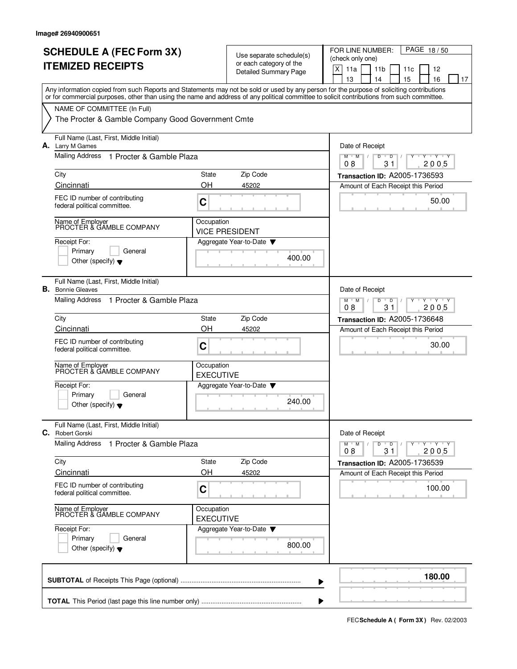|    | <b>SCHEDULE A (FEC Form 3X)</b>                                                                                                                                                                                                                                                         |                                | Use separate schedule(s)     |        | FOR LINE NUMBER:<br>PAGE 18/50                                    |  |  |  |  |
|----|-----------------------------------------------------------------------------------------------------------------------------------------------------------------------------------------------------------------------------------------------------------------------------------------|--------------------------------|------------------------------|--------|-------------------------------------------------------------------|--|--|--|--|
|    | <b>ITEMIZED RECEIPTS</b>                                                                                                                                                                                                                                                                |                                | or each category of the      |        | (check only one)                                                  |  |  |  |  |
|    |                                                                                                                                                                                                                                                                                         |                                | <b>Detailed Summary Page</b> |        | X<br>11a<br>11 <sub>b</sub><br>11c<br>12<br>13<br>14<br>15<br>16  |  |  |  |  |
|    | Any information copied from such Reports and Statements may not be sold or used by any person for the purpose of soliciting contributions<br>or for commercial purposes, other than using the name and address of any political committee to solicit contributions from such committee. |                                |                              |        | 17                                                                |  |  |  |  |
|    | NAME OF COMMITTEE (In Full)                                                                                                                                                                                                                                                             |                                |                              |        |                                                                   |  |  |  |  |
|    | The Procter & Gamble Company Good Government Cmte                                                                                                                                                                                                                                       |                                |                              |        |                                                                   |  |  |  |  |
|    | Full Name (Last, First, Middle Initial)<br>A. Larry M Games                                                                                                                                                                                                                             |                                |                              |        | Date of Receipt                                                   |  |  |  |  |
|    | <b>Mailing Address</b><br>1 Procter & Gamble Plaza                                                                                                                                                                                                                                      |                                |                              |        | $M$ $M$ $/$<br>D<br>Y 'Y 'Y<br>$\overline{D}$<br>2005<br>08<br>31 |  |  |  |  |
|    | City                                                                                                                                                                                                                                                                                    | State                          | Zip Code                     |        | Transaction ID: A2005-1736593                                     |  |  |  |  |
|    | Cincinnati                                                                                                                                                                                                                                                                              | OH                             | 45202                        |        | Amount of Each Receipt this Period                                |  |  |  |  |
|    | FEC ID number of contributing<br>federal political committee.                                                                                                                                                                                                                           | C                              |                              |        | 50.00                                                             |  |  |  |  |
|    | Name of Employer<br>PROCTER & GAMBLE COMPANY                                                                                                                                                                                                                                            | Occupation                     | <b>VICE PRESIDENT</b>        |        |                                                                   |  |  |  |  |
|    | Receipt For:                                                                                                                                                                                                                                                                            |                                | Aggregate Year-to-Date       |        |                                                                   |  |  |  |  |
|    | General<br>Primary<br>Other (specify) $\blacktriangledown$                                                                                                                                                                                                                              |                                |                              | 400.00 |                                                                   |  |  |  |  |
|    | Full Name (Last, First, Middle Initial)<br><b>B.</b> Bonnie Gleaves                                                                                                                                                                                                                     |                                |                              |        | Date of Receipt                                                   |  |  |  |  |
|    | Mailing Address<br>1 Procter & Gamble Plaza                                                                                                                                                                                                                                             |                                |                              |        | $Y - Y - Y$<br>$M$ M<br>D<br>$\overline{D}$<br>08<br>31<br>2005   |  |  |  |  |
|    | City                                                                                                                                                                                                                                                                                    | State                          | Zip Code                     |        | Transaction ID: A2005-1736648                                     |  |  |  |  |
|    | Cincinnati                                                                                                                                                                                                                                                                              | OH                             | 45202                        |        | Amount of Each Receipt this Period                                |  |  |  |  |
|    | FEC ID number of contributing<br>federal political committee.                                                                                                                                                                                                                           | C                              |                              |        | 30.00                                                             |  |  |  |  |
|    | Name of Employer<br>PROCTER & GAMBLE COMPANY                                                                                                                                                                                                                                            | Occupation<br><b>EXECUTIVE</b> |                              |        |                                                                   |  |  |  |  |
|    | Receipt For:                                                                                                                                                                                                                                                                            |                                | Aggregate Year-to-Date       |        |                                                                   |  |  |  |  |
|    | Primary<br>General<br>Other (specify) $\blacktriangledown$                                                                                                                                                                                                                              |                                |                              | 240.00 |                                                                   |  |  |  |  |
| C. | Full Name (Last, First, Middle Initial)<br>Robert Gorski                                                                                                                                                                                                                                |                                |                              |        | Date of Receipt                                                   |  |  |  |  |
|    | Mailing Address 1 Procter & Gamble Plaza                                                                                                                                                                                                                                                |                                |                              |        | $Y$ $Y$ $Y$ $Y$<br>M<br>$\overline{D}$<br>D<br>2005<br>08<br>31   |  |  |  |  |
|    | City                                                                                                                                                                                                                                                                                    | State                          | Zip Code                     |        | Transaction ID: A2005-1736539                                     |  |  |  |  |
|    | Cincinnati                                                                                                                                                                                                                                                                              | OH                             | 45202                        |        | Amount of Each Receipt this Period                                |  |  |  |  |
|    | FEC ID number of contributing<br>federal political committee.                                                                                                                                                                                                                           | C                              |                              |        | 100.00                                                            |  |  |  |  |
|    | Name of Employer<br>PROCTER & GAMBLE COMPANY                                                                                                                                                                                                                                            | Occupation<br><b>EXECUTIVE</b> |                              |        |                                                                   |  |  |  |  |
|    | Receipt For:<br>Primary<br>General<br>Other (specify) $\blacktriangledown$                                                                                                                                                                                                              |                                | Aggregate Year-to-Date       | 800.00 |                                                                   |  |  |  |  |
|    |                                                                                                                                                                                                                                                                                         |                                |                              |        | 180.00                                                            |  |  |  |  |
|    |                                                                                                                                                                                                                                                                                         |                                |                              |        |                                                                   |  |  |  |  |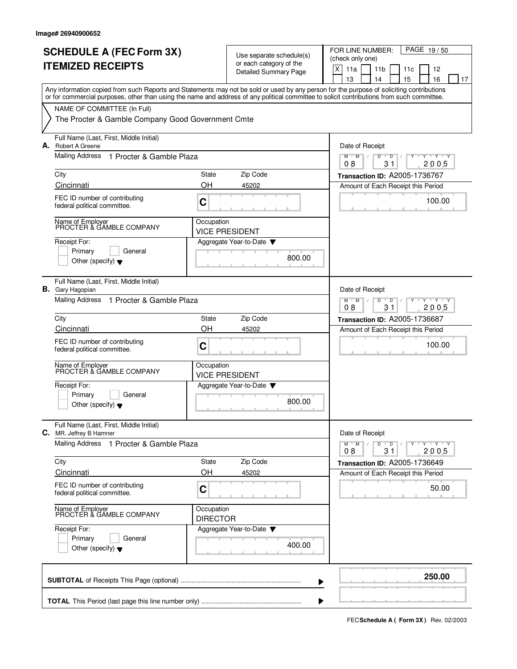|    | <b>SCHEDULE A (FEC Form 3X)</b><br><b>ITEMIZED RECEIPTS</b>                                                                                                                                                                                                                             |                                                                                          | Use separate schedule(s)<br>or each category of the<br>Detailed Summary Page | PAGE 19/50<br>FOR LINE NUMBER:<br>(check only one)<br>$\mathsf X$<br>11a<br>11 <sub>b</sub><br>12<br>11c<br>13<br>15<br>16<br>14<br>17 |
|----|-----------------------------------------------------------------------------------------------------------------------------------------------------------------------------------------------------------------------------------------------------------------------------------------|------------------------------------------------------------------------------------------|------------------------------------------------------------------------------|----------------------------------------------------------------------------------------------------------------------------------------|
|    | Any information copied from such Reports and Statements may not be sold or used by any person for the purpose of soliciting contributions<br>or for commercial purposes, other than using the name and address of any political committee to solicit contributions from such committee. |                                                                                          |                                                                              |                                                                                                                                        |
|    | NAME OF COMMITTEE (In Full)<br>The Procter & Gamble Company Good Government Cmte                                                                                                                                                                                                        |                                                                                          |                                                                              |                                                                                                                                        |
|    | Full Name (Last, First, Middle Initial)<br>A. Robert A Greene                                                                                                                                                                                                                           |                                                                                          |                                                                              | Date of Receipt                                                                                                                        |
|    | Mailing Address<br>1 Procter & Gamble Plaza                                                                                                                                                                                                                                             |                                                                                          |                                                                              | D<br>M<br>M<br>D<br>Y 'Y 'Y<br>08<br>31<br>2005                                                                                        |
|    | City                                                                                                                                                                                                                                                                                    | State                                                                                    | Zip Code                                                                     | Transaction ID: A2005-1736767                                                                                                          |
|    | Cincinnati                                                                                                                                                                                                                                                                              | OH                                                                                       | 45202                                                                        | Amount of Each Receipt this Period                                                                                                     |
|    | FEC ID number of contributing<br>federal political committee.                                                                                                                                                                                                                           | C                                                                                        |                                                                              | 100.00                                                                                                                                 |
|    | Name of Employer<br>PROCTER & GAMBLE COMPANY                                                                                                                                                                                                                                            | Occupation                                                                               | <b>VICE PRESIDENT</b>                                                        |                                                                                                                                        |
|    | Receipt For:<br>Primary<br>General<br>Other (specify) $\blacktriangledown$                                                                                                                                                                                                              |                                                                                          | Aggregate Year-to-Date<br>800.00                                             |                                                                                                                                        |
| В. | Full Name (Last, First, Middle Initial)<br>Gary Hagopian                                                                                                                                                                                                                                |                                                                                          |                                                                              | Date of Receipt                                                                                                                        |
|    | Mailing Address 1 Procter & Gamble Plaza                                                                                                                                                                                                                                                | Y Y Y Y<br>$M$ <sup><math>+</math></sup><br>M<br>$\overline{D}$<br>D<br>08<br>31<br>2005 |                                                                              |                                                                                                                                        |
|    | City                                                                                                                                                                                                                                                                                    | State                                                                                    | Zip Code                                                                     | Transaction ID: A2005-1736687                                                                                                          |
|    | Cincinnati<br>FEC ID number of contributing                                                                                                                                                                                                                                             | OH                                                                                       | 45202                                                                        | Amount of Each Receipt this Period                                                                                                     |
|    | federal political committee.                                                                                                                                                                                                                                                            | C                                                                                        |                                                                              | 100.00                                                                                                                                 |
|    | Name of Employer<br>PROCTER & GAMBLE COMPANY                                                                                                                                                                                                                                            | Occupation                                                                               | <b>VICE PRESIDENT</b>                                                        |                                                                                                                                        |
|    | Receipt For:<br>Primary<br>General                                                                                                                                                                                                                                                      |                                                                                          | Aggregate Year-to-Date                                                       |                                                                                                                                        |
|    | Other (specify) $\blacktriangledown$                                                                                                                                                                                                                                                    |                                                                                          | 800.00                                                                       |                                                                                                                                        |
|    | Full Name (Last, First, Middle Initial)<br>C. MR. Jeffrey B Hamner                                                                                                                                                                                                                      |                                                                                          |                                                                              | Date of Receipt                                                                                                                        |
|    | Mailing Address<br>1 Procter & Gamble Plaza                                                                                                                                                                                                                                             |                                                                                          |                                                                              | $Y - Y - Y - Y$<br>$M$ M<br>D<br>$\overline{D}$<br>2005<br>08<br>31                                                                    |
|    | City                                                                                                                                                                                                                                                                                    | State                                                                                    | Zip Code                                                                     | Transaction ID: A2005-1736649                                                                                                          |
|    | Cincinnati<br>FEC ID number of contributing                                                                                                                                                                                                                                             | OH                                                                                       | 45202                                                                        | Amount of Each Receipt this Period                                                                                                     |
|    | federal political committee.                                                                                                                                                                                                                                                            | C                                                                                        |                                                                              | 50.00                                                                                                                                  |
|    | Name of Employer<br>PROCTER & GAMBLE COMPANY                                                                                                                                                                                                                                            | Occupation<br><b>DIRECTOR</b>                                                            |                                                                              |                                                                                                                                        |
|    | Receipt For:<br>Primary<br>General                                                                                                                                                                                                                                                      |                                                                                          | Aggregate Year-to-Date                                                       |                                                                                                                                        |
|    | Other (specify) $\blacktriangledown$                                                                                                                                                                                                                                                    |                                                                                          | 400.00                                                                       |                                                                                                                                        |
|    |                                                                                                                                                                                                                                                                                         |                                                                                          |                                                                              | 250.00                                                                                                                                 |

**FECSchedule A ( Form 3X)** Rev. 02/2003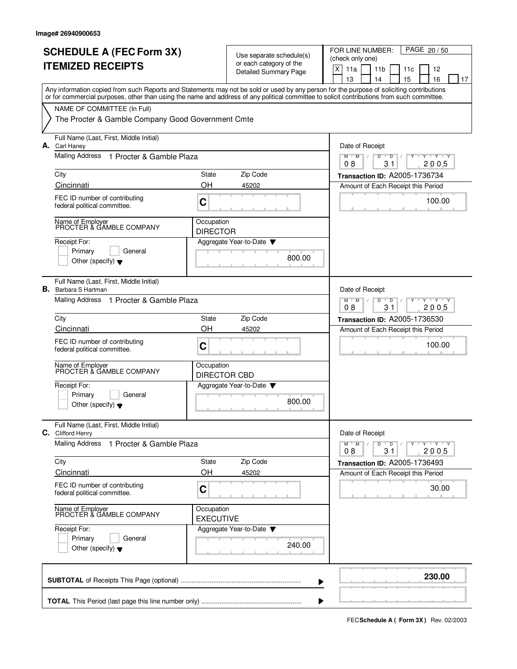|    |                                                                                                                                                                                                                                                                                         |                                                      | Use separate schedule(s)<br>or each category of the<br><b>Detailed Summary Page</b> | (check only one)<br>X<br>11a<br>11 <sub>b</sub><br>12<br>11c<br>15<br>16<br>13<br>14<br>17 |
|----|-----------------------------------------------------------------------------------------------------------------------------------------------------------------------------------------------------------------------------------------------------------------------------------------|------------------------------------------------------|-------------------------------------------------------------------------------------|--------------------------------------------------------------------------------------------|
|    | Any information copied from such Reports and Statements may not be sold or used by any person for the purpose of soliciting contributions<br>or for commercial purposes, other than using the name and address of any political committee to solicit contributions from such committee. |                                                      |                                                                                     |                                                                                            |
|    | NAME OF COMMITTEE (In Full)<br>The Procter & Gamble Company Good Government Cmte                                                                                                                                                                                                        |                                                      |                                                                                     |                                                                                            |
|    | Full Name (Last, First, Middle Initial)<br>A. Carl Haney                                                                                                                                                                                                                                |                                                      |                                                                                     | Date of Receipt                                                                            |
|    | Mailing Address<br>1 Procter & Gamble Plaza                                                                                                                                                                                                                                             |                                                      |                                                                                     | $M$ $M$<br>D<br>$\overline{D}$<br>Y Y Y Y<br>08<br>31<br>2005                              |
|    | City<br>Cincinnati                                                                                                                                                                                                                                                                      | <b>State</b><br>OH                                   | Zip Code<br>45202                                                                   | Transaction ID: A2005-1736734<br>Amount of Each Receipt this Period                        |
|    | FEC ID number of contributing<br>federal political committee.                                                                                                                                                                                                                           | C                                                    |                                                                                     | 100.00                                                                                     |
|    | Name of Employer<br>PROCTER & GAMBLE COMPANY                                                                                                                                                                                                                                            | Occupation<br><b>DIRECTOR</b>                        |                                                                                     |                                                                                            |
|    | Receipt For:<br>Primary<br>General<br>Other (specify) $\blacktriangledown$                                                                                                                                                                                                              |                                                      | Aggregate Year-to-Date<br>800.00                                                    |                                                                                            |
| В. | Full Name (Last, First, Middle Initial)<br>Barbara S Hartman                                                                                                                                                                                                                            |                                                      |                                                                                     | Date of Receipt                                                                            |
|    | Mailing Address 1 Procter & Gamble Plaza                                                                                                                                                                                                                                                | $Y + Y$<br>M<br>M<br>Y<br>D<br>D<br>2005<br>08<br>31 |                                                                                     |                                                                                            |
|    | City                                                                                                                                                                                                                                                                                    | State                                                | Zip Code                                                                            | Transaction ID: A2005-1736530                                                              |
|    | Cincinnati<br>FEC ID number of contributing<br>federal political committee.                                                                                                                                                                                                             | OH<br>C                                              | 45202                                                                               | Amount of Each Receipt this Period<br>100.00                                               |
|    | Name of Employer<br>PROCTER & GAMBLE COMPANY                                                                                                                                                                                                                                            | Occupation<br><b>DIRECTOR CBD</b>                    |                                                                                     |                                                                                            |
|    | Receipt For:<br>Primary<br>General<br>Other (specify) $\blacktriangledown$                                                                                                                                                                                                              |                                                      | Aggregate Year-to-Date<br>800.00                                                    |                                                                                            |
|    | Full Name (Last, First, Middle Initial)<br>C. Clifford Henry                                                                                                                                                                                                                            |                                                      |                                                                                     | Date of Receipt                                                                            |
|    | <b>Mailing Address</b><br>1 Procter & Gamble Plaza                                                                                                                                                                                                                                      |                                                      |                                                                                     | $Y - Y - Y - Y$<br>$M$ $M$ /<br>D<br>$\overline{D}$<br>2005<br>08<br>31                    |
|    | City                                                                                                                                                                                                                                                                                    | State                                                | Zip Code                                                                            | Transaction ID: A2005-1736493                                                              |
|    | Cincinnati<br>FEC ID number of contributing<br>federal political committee.                                                                                                                                                                                                             | OH<br>C                                              | 45202                                                                               | Amount of Each Receipt this Period<br>30.00                                                |
|    | Name of Employer<br>PROCTER & GAMBLE COMPANY                                                                                                                                                                                                                                            | Occupation<br><b>EXECUTIVE</b>                       |                                                                                     |                                                                                            |
|    | Receipt For:<br>Primary<br>General<br>Other (specify) $\blacktriangledown$                                                                                                                                                                                                              |                                                      | Aggregate Year-to-Date<br>240.00                                                    |                                                                                            |
|    |                                                                                                                                                                                                                                                                                         |                                                      |                                                                                     | 230.00                                                                                     |

**FECSchedule A ( Form 3X)** Rev. 02/2003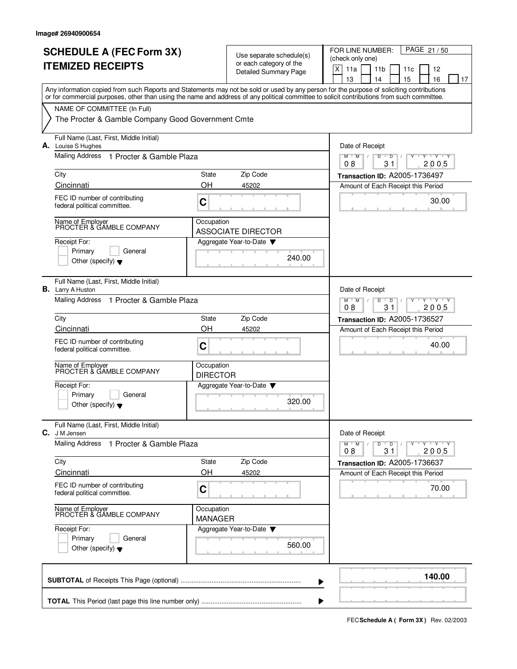|      | <b>SCHEDULE A (FEC Form 3X)</b><br><b>ITEMIZED RECEIPTS</b>                                                                                                                                                                                                                             |                                                                  | Use separate schedule(s)<br>or each category of the<br><b>Detailed Summary Page</b> | PAGE 21/50<br>FOR LINE NUMBER:<br>(check only one)<br>$\mathsf X$<br>11a<br>11 <sub>b</sub><br>12<br>11c<br>13<br>15<br>16<br>14<br>17 |
|------|-----------------------------------------------------------------------------------------------------------------------------------------------------------------------------------------------------------------------------------------------------------------------------------------|------------------------------------------------------------------|-------------------------------------------------------------------------------------|----------------------------------------------------------------------------------------------------------------------------------------|
|      | Any information copied from such Reports and Statements may not be sold or used by any person for the purpose of soliciting contributions<br>or for commercial purposes, other than using the name and address of any political committee to solicit contributions from such committee. |                                                                  |                                                                                     |                                                                                                                                        |
|      | NAME OF COMMITTEE (In Full)<br>The Procter & Gamble Company Good Government Cmte                                                                                                                                                                                                        |                                                                  |                                                                                     |                                                                                                                                        |
|      | Full Name (Last, First, Middle Initial)<br>A. Louise S Hughes                                                                                                                                                                                                                           |                                                                  |                                                                                     | Date of Receipt                                                                                                                        |
|      | <b>Mailing Address</b><br>1 Procter & Gamble Plaza                                                                                                                                                                                                                                      | D<br>$M$ $M$<br>D<br>Y Y Y Y<br>08<br>31<br>2005                 |                                                                                     |                                                                                                                                        |
| City | Cincinnati                                                                                                                                                                                                                                                                              | State<br>OΗ                                                      | Zip Code<br>45202                                                                   | Transaction ID: A2005-1736497<br>Amount of Each Receipt this Period                                                                    |
|      | FEC ID number of contributing<br>federal political committee.                                                                                                                                                                                                                           | C                                                                |                                                                                     | 30.00                                                                                                                                  |
|      | Name of Employer<br>PROCTER & GAMBLE COMPANY                                                                                                                                                                                                                                            | Occupation                                                       | <b>ASSOCIATE DIRECTOR</b>                                                           |                                                                                                                                        |
|      | Receipt For:<br>Primary<br>General<br>Other (specify) $\blacktriangledown$                                                                                                                                                                                                              |                                                                  | Aggregate Year-to-Date<br>240.00                                                    |                                                                                                                                        |
| В.   | Full Name (Last, First, Middle Initial)<br>Larry A Huston                                                                                                                                                                                                                               |                                                                  |                                                                                     | Date of Receipt                                                                                                                        |
|      | Mailing Address 1 Procter & Gamble Plaza                                                                                                                                                                                                                                                | $Y + Y + Y$<br>M<br>M<br>$\overline{D}$<br>D<br>08<br>31<br>2005 |                                                                                     |                                                                                                                                        |
| City |                                                                                                                                                                                                                                                                                         | State                                                            | Zip Code                                                                            | Transaction ID: A2005-1736527                                                                                                          |
|      | Cincinnati<br>FEC ID number of contributing<br>federal political committee.                                                                                                                                                                                                             | OH<br>C                                                          | 45202                                                                               | Amount of Each Receipt this Period<br>40.00                                                                                            |
|      | Name of Employer<br>PROCTER & GAMBLE COMPANY                                                                                                                                                                                                                                            | Occupation<br><b>DIRECTOR</b>                                    |                                                                                     |                                                                                                                                        |
|      | Receipt For:<br>Primary<br>General<br>Other (specify) $\blacktriangledown$                                                                                                                                                                                                              |                                                                  | Aggregate Year-to-Date<br>320.00                                                    |                                                                                                                                        |
|      | Full Name (Last, First, Middle Initial)<br>C. J M Jensen                                                                                                                                                                                                                                |                                                                  |                                                                                     | Date of Receipt                                                                                                                        |
|      | <b>Mailing Address</b><br>1 Procter & Gamble Plaza                                                                                                                                                                                                                                      |                                                                  |                                                                                     | $Y - Y - Y - Y$<br>$M$ $M$<br>D<br>$\overline{D}$<br>31<br>2005<br>08                                                                  |
| City | Cincinnati                                                                                                                                                                                                                                                                              | State<br>OH                                                      | Zip Code                                                                            | Transaction ID: A2005-1736637                                                                                                          |
|      | FEC ID number of contributing<br>federal political committee.                                                                                                                                                                                                                           | C                                                                | 45202                                                                               | Amount of Each Receipt this Period<br>70.00                                                                                            |
|      | Name of Employer<br>PROCTER & GAMBLE COMPANY                                                                                                                                                                                                                                            | Occupation<br><b>MANAGER</b>                                     |                                                                                     |                                                                                                                                        |
|      | Receipt For:<br>Primary<br>General<br>Other (specify) $\blacktriangledown$                                                                                                                                                                                                              |                                                                  | Aggregate Year-to-Date<br>560.00                                                    |                                                                                                                                        |
|      |                                                                                                                                                                                                                                                                                         |                                                                  |                                                                                     | 140.00                                                                                                                                 |
|      |                                                                                                                                                                                                                                                                                         |                                                                  |                                                                                     |                                                                                                                                        |

**FECSchedule A ( Form 3X)** Rev. 02/2003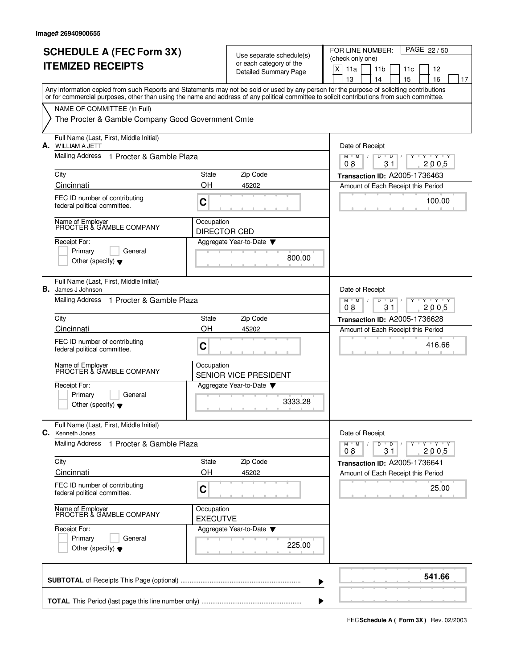|    | <b>SCHEDULE A (FEC Form 3X)</b><br><b>ITEMIZED RECEIPTS</b>                                                                                                                                                                                                                             |                                                | Use separate schedule(s)<br>or each category of the<br>Detailed Summary Page | PAGE 22/50<br>FOR LINE NUMBER:<br>(check only one)<br>X<br>11a<br>11 <sub>b</sub><br>12<br>11c<br>13<br>15<br>16<br>14<br>17 |
|----|-----------------------------------------------------------------------------------------------------------------------------------------------------------------------------------------------------------------------------------------------------------------------------------------|------------------------------------------------|------------------------------------------------------------------------------|------------------------------------------------------------------------------------------------------------------------------|
|    | Any information copied from such Reports and Statements may not be sold or used by any person for the purpose of soliciting contributions<br>or for commercial purposes, other than using the name and address of any political committee to solicit contributions from such committee. |                                                |                                                                              |                                                                                                                              |
|    | NAME OF COMMITTEE (In Full)<br>The Procter & Gamble Company Good Government Cmte                                                                                                                                                                                                        |                                                |                                                                              |                                                                                                                              |
|    | Full Name (Last, First, Middle Initial)<br><b>A.</b> WILLIAM A JETT                                                                                                                                                                                                                     | Date of Receipt                                |                                                                              |                                                                                                                              |
|    | Mailing Address<br>1 Procter & Gamble Plaza                                                                                                                                                                                                                                             |                                                |                                                                              | $M$ $M$<br>D<br>$Y$ $Y$ $Y$<br>$\sqrt{ }$<br>$\overline{D}$<br>08<br>31<br>2005                                              |
|    | City                                                                                                                                                                                                                                                                                    | State                                          | Zip Code                                                                     | Transaction ID: A2005-1736463                                                                                                |
|    | Cincinnati                                                                                                                                                                                                                                                                              | OH                                             | 45202                                                                        | Amount of Each Receipt this Period                                                                                           |
|    | FEC ID number of contributing<br>federal political committee.                                                                                                                                                                                                                           | C                                              |                                                                              | 100.00                                                                                                                       |
|    | Name of Employer<br>PROCTER & GAMBLE COMPANY                                                                                                                                                                                                                                            | Occupation<br><b>DIRECTOR CBD</b>              |                                                                              |                                                                                                                              |
|    | Receipt For:<br>Primary<br>General<br>Other (specify) $\blacktriangledown$                                                                                                                                                                                                              |                                                | Aggregate Year-to-Date<br>800.00                                             |                                                                                                                              |
| В. | Full Name (Last, First, Middle Initial)<br>James J Johnson                                                                                                                                                                                                                              |                                                |                                                                              | Date of Receipt                                                                                                              |
|    | Mailing Address<br>1 Procter & Gamble Plaza                                                                                                                                                                                                                                             | $+Y+Y$<br>M<br>M<br>D<br>D<br>2005<br>08<br>31 |                                                                              |                                                                                                                              |
|    | City                                                                                                                                                                                                                                                                                    | State<br>OH                                    | Zip Code                                                                     | Transaction ID: A2005-1736628                                                                                                |
|    | Cincinnati<br>FEC ID number of contributing<br>federal political committee.                                                                                                                                                                                                             | C                                              | 45202                                                                        | Amount of Each Receipt this Period<br>416.66                                                                                 |
|    | Name of Employer<br>PROCTER & GAMBLE COMPANY                                                                                                                                                                                                                                            | Occupation                                     | SENIOR VICE PRESIDENT                                                        |                                                                                                                              |
|    | Receipt For:<br>Primary<br>General<br>Other (specify) $\blacktriangledown$                                                                                                                                                                                                              |                                                | Aggregate Year-to-Date<br>3333.28                                            |                                                                                                                              |
|    | Full Name (Last, First, Middle Initial)<br><b>C.</b> Kenneth Jones                                                                                                                                                                                                                      |                                                |                                                                              | Date of Receipt                                                                                                              |
|    | <b>Mailing Address</b><br>1 Procter & Gamble Plaza                                                                                                                                                                                                                                      |                                                |                                                                              | $M$ $M$ /<br>D<br>Y Y Y Y<br>$\overline{D}$<br>2005<br>08<br>31                                                              |
|    | City<br>Cincinnati                                                                                                                                                                                                                                                                      | State<br>OH                                    | Zip Code<br>45202                                                            | <b>Transaction ID: A2005-1736641</b><br>Amount of Each Receipt this Period                                                   |
|    | FEC ID number of contributing<br>federal political committee.                                                                                                                                                                                                                           | C                                              |                                                                              | 25.00                                                                                                                        |
|    | Name of Employer<br>PROCTER & GAMBLE COMPANY                                                                                                                                                                                                                                            | Occupation<br><b>EXECUTVE</b>                  |                                                                              |                                                                                                                              |
|    | Receipt For:<br>Primary<br>General<br>Other (specify) $\blacktriangledown$                                                                                                                                                                                                              |                                                | Aggregate Year-to-Date<br>225.00                                             |                                                                                                                              |
|    |                                                                                                                                                                                                                                                                                         |                                                |                                                                              | 541.66                                                                                                                       |

**FECSchedule A ( Form 3X)** Rev. 02/2003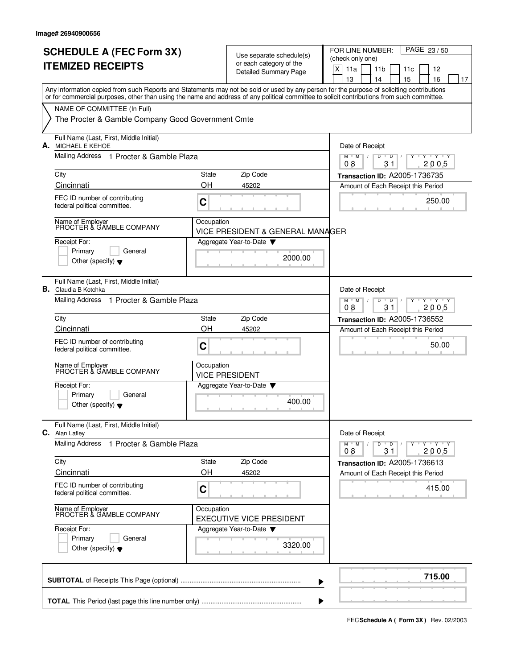|    | <b>SCHEDULE A (FEC Form 3X)</b>                                                                                                            |                                                |                                                     | PAGE 23/50<br>FOR LINE NUMBER:                                                                                                                                                                                                                                                                                                                                                                                                                                                                                                |
|----|--------------------------------------------------------------------------------------------------------------------------------------------|------------------------------------------------|-----------------------------------------------------|-------------------------------------------------------------------------------------------------------------------------------------------------------------------------------------------------------------------------------------------------------------------------------------------------------------------------------------------------------------------------------------------------------------------------------------------------------------------------------------------------------------------------------|
|    | <b>ITEMIZED RECEIPTS</b>                                                                                                                   |                                                | Use separate schedule(s)<br>or each category of the | (check only one)                                                                                                                                                                                                                                                                                                                                                                                                                                                                                                              |
|    |                                                                                                                                            |                                                | <b>Detailed Summary Page</b>                        | $\mathsf X$<br>11a<br>11 <sub>b</sub><br>11c<br>12                                                                                                                                                                                                                                                                                                                                                                                                                                                                            |
|    | Any information copied from such Reports and Statements may not be sold or used by any person for the purpose of soliciting contributions  |                                                |                                                     | 15<br>13<br>14<br>16<br>17                                                                                                                                                                                                                                                                                                                                                                                                                                                                                                    |
|    | or for commercial purposes, other than using the name and address of any political committee to solicit contributions from such committee. |                                                |                                                     |                                                                                                                                                                                                                                                                                                                                                                                                                                                                                                                               |
|    | NAME OF COMMITTEE (In Full)                                                                                                                |                                                |                                                     |                                                                                                                                                                                                                                                                                                                                                                                                                                                                                                                               |
|    | The Procter & Gamble Company Good Government Cmte                                                                                          |                                                |                                                     |                                                                                                                                                                                                                                                                                                                                                                                                                                                                                                                               |
| А. | Full Name (Last, First, Middle Initial)<br><b>MICHAEL E KEHOE</b>                                                                          |                                                |                                                     | Date of Receipt                                                                                                                                                                                                                                                                                                                                                                                                                                                                                                               |
|    | Mailing Address 1 Procter & Gamble Plaza                                                                                                   |                                                |                                                     | $M$ $M$ /<br>D<br>$Y$ $Y$<br>D                                                                                                                                                                                                                                                                                                                                                                                                                                                                                                |
|    | City                                                                                                                                       | State                                          | Zip Code                                            | 2005<br>08<br>31<br>Transaction ID: A2005-1736735                                                                                                                                                                                                                                                                                                                                                                                                                                                                             |
|    | Cincinnati                                                                                                                                 | OH                                             | 45202                                               | Amount of Each Receipt this Period                                                                                                                                                                                                                                                                                                                                                                                                                                                                                            |
|    | FEC ID number of contributing                                                                                                              | C                                              |                                                     | 250.00                                                                                                                                                                                                                                                                                                                                                                                                                                                                                                                        |
|    | federal political committee.                                                                                                               |                                                |                                                     |                                                                                                                                                                                                                                                                                                                                                                                                                                                                                                                               |
|    | Name of Employer<br>PROCTER & GAMBLE COMPANY                                                                                               | Occupation                                     | VICE PRESIDENT & GENERAL MANAGER                    |                                                                                                                                                                                                                                                                                                                                                                                                                                                                                                                               |
|    | Receipt For:                                                                                                                               |                                                | Aggregate Year-to-Date ▼                            |                                                                                                                                                                                                                                                                                                                                                                                                                                                                                                                               |
|    | Primary<br>General                                                                                                                         |                                                |                                                     |                                                                                                                                                                                                                                                                                                                                                                                                                                                                                                                               |
|    | Other (specify) $\blacktriangledown$                                                                                                       |                                                | 2000.00                                             |                                                                                                                                                                                                                                                                                                                                                                                                                                                                                                                               |
|    |                                                                                                                                            |                                                |                                                     |                                                                                                                                                                                                                                                                                                                                                                                                                                                                                                                               |
|    | Full Name (Last, First, Middle Initial)<br><b>B.</b> Claudia B Kotchka                                                                     |                                                |                                                     | Date of Receipt                                                                                                                                                                                                                                                                                                                                                                                                                                                                                                               |
|    | Mailing Address<br>1 Procter & Gamble Plaza                                                                                                | $Y - Y - Y$<br>$M$ <sup>U</sup><br>M<br>D<br>D |                                                     |                                                                                                                                                                                                                                                                                                                                                                                                                                                                                                                               |
|    |                                                                                                                                            |                                                |                                                     | 08<br>31<br>2005                                                                                                                                                                                                                                                                                                                                                                                                                                                                                                              |
|    | City<br>Cincinnati                                                                                                                         | State<br>OH                                    | Zip Code<br>45202                                   | <b>Transaction ID: A2005-1736552</b>                                                                                                                                                                                                                                                                                                                                                                                                                                                                                          |
|    |                                                                                                                                            |                                                |                                                     | Amount of Each Receipt this Period                                                                                                                                                                                                                                                                                                                                                                                                                                                                                            |
|    | FEC ID number of contributing<br>federal political committee.                                                                              | C                                              |                                                     | 50.00                                                                                                                                                                                                                                                                                                                                                                                                                                                                                                                         |
|    |                                                                                                                                            | Occupation                                     |                                                     |                                                                                                                                                                                                                                                                                                                                                                                                                                                                                                                               |
|    | Name of Employer<br>PROCTER & GAMBLE COMPANY                                                                                               |                                                | <b>VICE PRESIDENT</b>                               |                                                                                                                                                                                                                                                                                                                                                                                                                                                                                                                               |
|    | Receipt For:                                                                                                                               |                                                | Aggregate Year-to-Date                              |                                                                                                                                                                                                                                                                                                                                                                                                                                                                                                                               |
|    | Primary<br>General                                                                                                                         |                                                | 400.00                                              |                                                                                                                                                                                                                                                                                                                                                                                                                                                                                                                               |
|    | Other (specify) $\blacktriangledown$                                                                                                       |                                                |                                                     |                                                                                                                                                                                                                                                                                                                                                                                                                                                                                                                               |
|    | Full Name (Last, First, Middle Initial)                                                                                                    |                                                |                                                     |                                                                                                                                                                                                                                                                                                                                                                                                                                                                                                                               |
|    | C. Alan Lafley<br><b>Mailing Address</b><br>1 Procter & Gamble Plaza                                                                       |                                                |                                                     | Date of Receipt<br>$\begin{array}{c} \top \!\!\!\!\! \top \!\!\!\! \top \!\!\!\! \top \!\!\!\! \top \!\!\!\! \top \!\!\!\! \top \!\!\!\! \top \!\!\!\! \top \!\!\!\! \top \!\!\!\! \top \!\!\!\! \top \!\!\!\! \top \!\!\!\! \top \!\!\!\! \top \!\!\!\! \top \!\!\!\! \top \!\!\!\! \top \!\!\!\! \top \!\!\!\! \top \!\!\!\! \top \!\!\!\! \top \!\!\!\! \top \!\!\!\! \top \!\!\!\! \top \!\!\!\! \top \!\!\!\! \top \!\!\!\! \top \!\!\!\! \top \!\!\!\! \top \!\!\!\! \top$<br>$M$ $M$ $/$<br>D<br>$\overline{D}$ /<br>Y |
|    |                                                                                                                                            |                                                |                                                     | 08<br>31<br>2005                                                                                                                                                                                                                                                                                                                                                                                                                                                                                                              |
|    | City                                                                                                                                       | State                                          | Zip Code                                            | Transaction ID: A2005-1736613                                                                                                                                                                                                                                                                                                                                                                                                                                                                                                 |
|    | Cincinnati                                                                                                                                 | OH                                             | 45202                                               | Amount of Each Receipt this Period                                                                                                                                                                                                                                                                                                                                                                                                                                                                                            |
|    | FEC ID number of contributing<br>federal political committee.                                                                              | C                                              |                                                     | 415.00                                                                                                                                                                                                                                                                                                                                                                                                                                                                                                                        |
|    | Name of Employer<br>PROCTER & GAMBLE COMPANY                                                                                               | Occupation                                     |                                                     |                                                                                                                                                                                                                                                                                                                                                                                                                                                                                                                               |
|    |                                                                                                                                            |                                                | EXECUTIVE VICE PRESIDENT                            |                                                                                                                                                                                                                                                                                                                                                                                                                                                                                                                               |
|    | Receipt For:<br>Primary<br>General                                                                                                         |                                                | Aggregate Year-to-Date                              |                                                                                                                                                                                                                                                                                                                                                                                                                                                                                                                               |
|    | Other (specify) $\blacktriangledown$                                                                                                       |                                                | 3320.00                                             |                                                                                                                                                                                                                                                                                                                                                                                                                                                                                                                               |
|    |                                                                                                                                            |                                                |                                                     |                                                                                                                                                                                                                                                                                                                                                                                                                                                                                                                               |
|    |                                                                                                                                            |                                                |                                                     |                                                                                                                                                                                                                                                                                                                                                                                                                                                                                                                               |
|    |                                                                                                                                            |                                                |                                                     | 715.00                                                                                                                                                                                                                                                                                                                                                                                                                                                                                                                        |
|    |                                                                                                                                            |                                                |                                                     |                                                                                                                                                                                                                                                                                                                                                                                                                                                                                                                               |

**FECSchedule A ( Form 3X)** Rev. 02/2003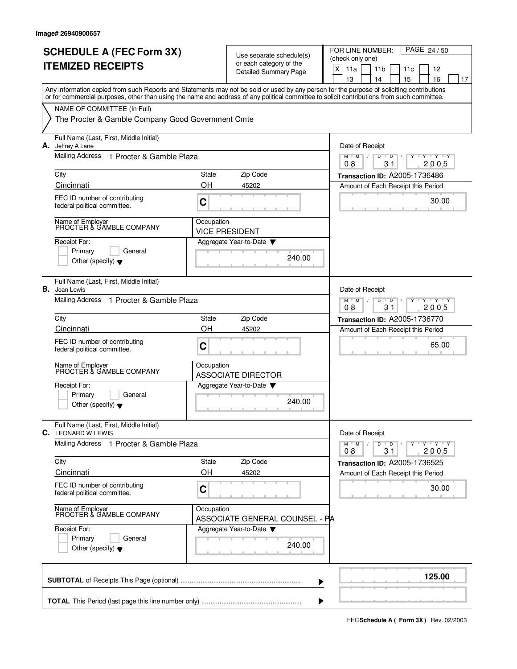|    | <b>SCHEDULE A (FEC Form 3X)</b><br><b>ITEMIZED RECEIPTS</b>                                                                                                                                                                                                                             |                                                                    | Use separate schedule(s)<br>or each category of the<br><b>Detailed Summary Page</b> | PAGE 24/50<br>FOR LINE NUMBER:<br>(check only one)<br>$\mathsf X$<br>11a<br>11 <sub>b</sub><br>11c<br>12            |
|----|-----------------------------------------------------------------------------------------------------------------------------------------------------------------------------------------------------------------------------------------------------------------------------------------|--------------------------------------------------------------------|-------------------------------------------------------------------------------------|---------------------------------------------------------------------------------------------------------------------|
|    | Any information copied from such Reports and Statements may not be sold or used by any person for the purpose of soliciting contributions<br>or for commercial purposes, other than using the name and address of any political committee to solicit contributions from such committee. |                                                                    |                                                                                     | 15<br>13<br>14<br>16<br>17                                                                                          |
|    | NAME OF COMMITTEE (In Full)<br>The Procter & Gamble Company Good Government Cmte                                                                                                                                                                                                        |                                                                    |                                                                                     |                                                                                                                     |
|    | Full Name (Last, First, Middle Initial)<br>A. Jeffrey A Lane                                                                                                                                                                                                                            |                                                                    |                                                                                     | Date of Receipt                                                                                                     |
|    | Mailing Address<br>1 Procter & Gamble Plaza                                                                                                                                                                                                                                             |                                                                    |                                                                                     | $M$ $M$ $/$<br>D<br>$Y$ $Y$<br>D<br>2005<br>08<br>31                                                                |
|    | City<br>Cincinnati                                                                                                                                                                                                                                                                      | State<br>OH                                                        | Zip Code<br>45202                                                                   | Transaction ID: A2005-1736486                                                                                       |
|    | FEC ID number of contributing<br>federal political committee.                                                                                                                                                                                                                           | C                                                                  |                                                                                     | Amount of Each Receipt this Period<br>30.00                                                                         |
|    | Name of Employer<br>PROCTER & GAMBLE COMPANY                                                                                                                                                                                                                                            | Occupation                                                         | <b>VICE PRESIDENT</b>                                                               |                                                                                                                     |
|    | Receipt For:<br>Primary<br>General<br>Other (specify) $\blacktriangledown$                                                                                                                                                                                                              |                                                                    | Aggregate Year-to-Date<br>240.00                                                    |                                                                                                                     |
| В. | Full Name (Last, First, Middle Initial)<br>Joan Lewis                                                                                                                                                                                                                                   |                                                                    |                                                                                     | Date of Receipt                                                                                                     |
|    | <b>Mailing Address</b><br>1 Procter & Gamble Plaza                                                                                                                                                                                                                                      | $Y - Y - Y$<br>$M$ <sup>U</sup><br>M<br>D<br>D<br>08<br>31<br>2005 |                                                                                     |                                                                                                                     |
|    | City<br>Cincinnati                                                                                                                                                                                                                                                                      | State<br>OH                                                        | Zip Code<br>45202                                                                   | <b>Transaction ID: A2005-1736770</b><br>Amount of Each Receipt this Period                                          |
|    | FEC ID number of contributing<br>federal political committee.                                                                                                                                                                                                                           | C                                                                  |                                                                                     | 65.00                                                                                                               |
|    | Name of Employer<br>PROCTER & GAMBLE COMPANY                                                                                                                                                                                                                                            | Occupation                                                         | <b>ASSOCIATE DIRECTOR</b>                                                           |                                                                                                                     |
|    | Receipt For:<br>Primary<br>General<br>Other (specify) $\blacktriangledown$                                                                                                                                                                                                              |                                                                    | Aggregate Year-to-Date<br>240.00                                                    |                                                                                                                     |
|    | Full Name (Last, First, Middle Initial)<br><b>C.</b> LEONARD W LEWIS                                                                                                                                                                                                                    |                                                                    |                                                                                     | Date of Receipt                                                                                                     |
|    | <b>Mailing Address</b><br>1 Procter & Gamble Plaza                                                                                                                                                                                                                                      |                                                                    |                                                                                     | $\mathbf{y}$ $\mathbf{y}$ $\mathbf{y}$ $\mathbf{y}$<br>$M^+M^-$ /<br>D<br>$\overline{D}$ /<br>Y<br>08<br>31<br>2005 |
|    | City<br>Cincinnati                                                                                                                                                                                                                                                                      | State<br>OН                                                        | Zip Code<br>45202                                                                   | Transaction ID: A2005-1736525<br>Amount of Each Receipt this Period                                                 |
|    | FEC ID number of contributing<br>federal political committee.                                                                                                                                                                                                                           | $\mathbf C$                                                        |                                                                                     | 30.00                                                                                                               |
|    | Name of Employer<br>PROCTER & GAMBLE COMPANY                                                                                                                                                                                                                                            | Occupation                                                         | ASSOCIATE GENERAL COUNSEL - PA                                                      |                                                                                                                     |
|    | Receipt For:<br>Primary<br>General<br>Other (specify) $\blacktriangledown$                                                                                                                                                                                                              |                                                                    | Aggregate Year-to-Date<br>240.00                                                    |                                                                                                                     |
|    |                                                                                                                                                                                                                                                                                         |                                                                    |                                                                                     | 125.00                                                                                                              |
|    |                                                                                                                                                                                                                                                                                         |                                                                    |                                                                                     |                                                                                                                     |

**FECSchedule A ( Form 3X)** Rev. 02/2003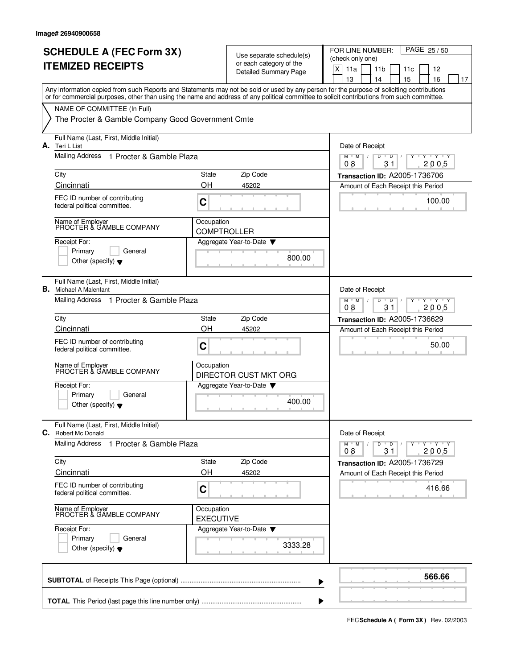|    | <b>SCHEDULE A (FEC Form 3X)</b><br><b>ITEMIZED RECEIPTS</b>                                                                                                                                                                                                                             |                                                                                  | Use separate schedule(s)<br>or each category of the<br><b>Detailed Summary Page</b> | PAGE 25/50<br>FOR LINE NUMBER:<br>(check only one)<br>$\mathsf X$<br>11a<br>11 <sub>b</sub><br>12<br>11c<br>13<br>15<br>16<br>14<br>17 |
|----|-----------------------------------------------------------------------------------------------------------------------------------------------------------------------------------------------------------------------------------------------------------------------------------------|----------------------------------------------------------------------------------|-------------------------------------------------------------------------------------|----------------------------------------------------------------------------------------------------------------------------------------|
|    | Any information copied from such Reports and Statements may not be sold or used by any person for the purpose of soliciting contributions<br>or for commercial purposes, other than using the name and address of any political committee to solicit contributions from such committee. |                                                                                  |                                                                                     |                                                                                                                                        |
|    | NAME OF COMMITTEE (In Full)<br>The Procter & Gamble Company Good Government Cmte                                                                                                                                                                                                        |                                                                                  |                                                                                     |                                                                                                                                        |
|    | Full Name (Last, First, Middle Initial)<br>A. Teri L List                                                                                                                                                                                                                               |                                                                                  |                                                                                     | Date of Receipt                                                                                                                        |
|    | Mailing Address<br>1 Procter & Gamble Plaza                                                                                                                                                                                                                                             |                                                                                  |                                                                                     | D<br>$M$ $M$<br>D<br>Y 'Y 'Y<br>2005<br>08<br>31                                                                                       |
|    | City                                                                                                                                                                                                                                                                                    | State                                                                            | Zip Code                                                                            | Transaction ID: A2005-1736706                                                                                                          |
|    | Cincinnati                                                                                                                                                                                                                                                                              | OΗ                                                                               | 45202                                                                               | Amount of Each Receipt this Period                                                                                                     |
|    | FEC ID number of contributing<br>federal political committee.                                                                                                                                                                                                                           | C                                                                                |                                                                                     | 100.00                                                                                                                                 |
|    | Name of Employer<br>PROCTER & GAMBLE COMPANY                                                                                                                                                                                                                                            | Occupation<br><b>COMPTROLLER</b>                                                 |                                                                                     |                                                                                                                                        |
|    | Receipt For:<br>Primary<br>General<br>Other (specify) $\blacktriangledown$                                                                                                                                                                                                              |                                                                                  | Aggregate Year-to-Date<br>800.00                                                    |                                                                                                                                        |
| В. | Full Name (Last, First, Middle Initial)<br>Michael A Malenfant                                                                                                                                                                                                                          |                                                                                  |                                                                                     | Date of Receipt                                                                                                                        |
|    | Mailing Address 1 Procter & Gamble Plaza                                                                                                                                                                                                                                                | $Y - Y - Y$<br>$M$ <sup>-1</sup><br>M<br>$\overline{D}$<br>D<br>08<br>31<br>2005 |                                                                                     |                                                                                                                                        |
|    | City                                                                                                                                                                                                                                                                                    | State                                                                            | Zip Code                                                                            | Transaction ID: A2005-1736629                                                                                                          |
|    | Cincinnati                                                                                                                                                                                                                                                                              | OH                                                                               | 45202                                                                               | Amount of Each Receipt this Period                                                                                                     |
|    | FEC ID number of contributing<br>federal political committee.                                                                                                                                                                                                                           | C                                                                                |                                                                                     | 50.00                                                                                                                                  |
|    | Name of Employer<br>PROCTER & GAMBLE COMPANY                                                                                                                                                                                                                                            | Occupation                                                                       | DIRECTOR CUST MKT ORG                                                               |                                                                                                                                        |
|    | Receipt For:<br>Primary<br>General<br>Other (specify) $\blacktriangledown$                                                                                                                                                                                                              |                                                                                  | Aggregate Year-to-Date<br>400.00                                                    |                                                                                                                                        |
|    | Full Name (Last, First, Middle Initial)<br>C. Robert Mc Donald                                                                                                                                                                                                                          |                                                                                  |                                                                                     | Date of Receipt                                                                                                                        |
|    | <b>Mailing Address</b><br>1 Procter & Gamble Plaza                                                                                                                                                                                                                                      |                                                                                  |                                                                                     | $Y - Y - Y - Y$<br>$M$ $M$<br>D<br>$\overline{D}$<br>2005<br>08<br>31                                                                  |
|    | City                                                                                                                                                                                                                                                                                    | State                                                                            | Zip Code                                                                            | Transaction ID: A2005-1736729                                                                                                          |
|    | Cincinnati                                                                                                                                                                                                                                                                              | OH                                                                               | 45202                                                                               | Amount of Each Receipt this Period                                                                                                     |
|    | FEC ID number of contributing<br>federal political committee.                                                                                                                                                                                                                           | C                                                                                |                                                                                     | 416.66                                                                                                                                 |
|    | Name of Employer<br>PROCTER & GAMBLE COMPANY                                                                                                                                                                                                                                            | Occupation<br><b>EXECUTIVE</b>                                                   |                                                                                     |                                                                                                                                        |
|    | Receipt For:                                                                                                                                                                                                                                                                            |                                                                                  | Aggregate Year-to-Date                                                              |                                                                                                                                        |
|    | Primary<br>General<br>Other (specify) $\blacktriangledown$                                                                                                                                                                                                                              |                                                                                  | 3333.28                                                                             |                                                                                                                                        |
|    |                                                                                                                                                                                                                                                                                         |                                                                                  |                                                                                     | 566.66                                                                                                                                 |

**FECSchedule A ( Form 3X)** Rev. 02/2003

 $\blacktriangleright$ 

J.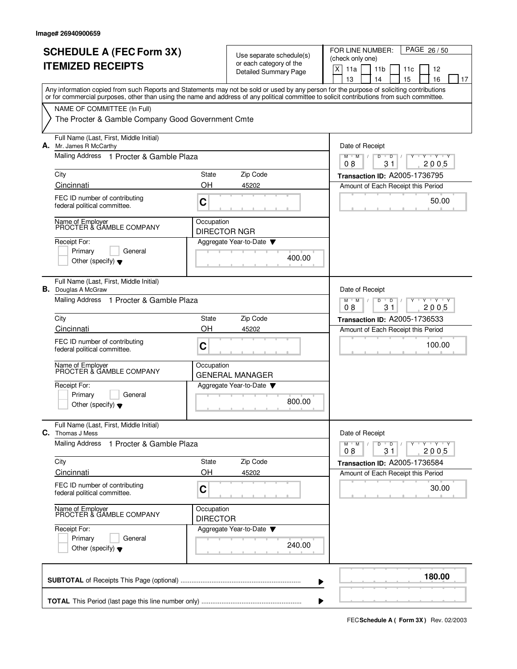| Any information copied from such Reports and Statements may not be sold or used by any person for the purpose of soliciting contributions<br>or for commercial purposes, other than using the name and address of any political committee to solicit contributions from such committee.<br>NAME OF COMMITTEE (In Full)<br>The Procter & Gamble Company Good Government Cmte<br>Full Name (Last, First, Middle Initial)<br>A. Mr. James R McCarthy<br>Date of Receipt<br>Mailing Address 1 Procter & Gamble Plaza<br>M<br>D<br>M<br>D<br>Y Y Y Y<br>08<br>31<br>2005<br>Zip Code<br>City<br>State<br>Transaction ID: A2005-1736795<br>OH<br>Cincinnati<br>45202<br>Amount of Each Receipt this Period<br>FEC ID number of contributing<br>50.00<br>C<br>federal political committee.<br>Name of Employer<br>PROCTER & GAMBLE COMPANY<br>Occupation<br><b>DIRECTOR NGR</b><br>Receipt For:<br>Aggregate Year-to-Date<br>Primary<br>General<br>400.00<br>Other (specify) $\blacktriangledown$<br>Full Name (Last, First, Middle Initial)<br>В.<br>Date of Receipt<br>Douglas A McGraw<br>Mailing Address 1 Procter & Gamble Plaza<br>$Y - Y - Y$<br>$M$ <sup><math>+</math></sup><br>M<br>$\overline{D}$<br>D<br>08<br>31<br>2005<br>State<br>Zip Code<br>City<br>Transaction ID: A2005-1736533<br>OH<br>Cincinnati<br>45202<br>Amount of Each Receipt this Period<br>FEC ID number of contributing<br>100.00<br>C<br>federal political committee.<br>Name of Employer<br>PROCTER & GAMBLE COMPANY<br>Occupation<br><b>GENERAL MANAGER</b><br>Receipt For:<br>Aggregate Year-to-Date<br>Primary<br>General<br>800.00<br>Other (specify) $\blacktriangledown$<br>Full Name (Last, First, Middle Initial)<br>C. Thomas J Mess<br>Date of Receipt<br><b>Mailing Address</b><br>1 Procter & Gamble Plaza<br>$M^+$ M<br>D<br>$\overline{D}$<br>2005<br>08<br>31<br>Zip Code<br>City<br>State<br>Transaction ID: A2005-1736584<br>OH<br>Cincinnati<br>45202<br>Amount of Each Receipt this Period<br>FEC ID number of contributing<br>30.00<br>C<br>federal political committee.<br>Name of Employer<br>PROCTER & GAMBLE COMPANY<br>Occupation<br><b>DIRECTOR</b><br>Receipt For:<br>Aggregate Year-to-Date<br>Primary<br>General<br>240.00<br>Other (specify) $\blacktriangledown$ | <b>SCHEDULE A (FEC Form 3X)</b><br><b>ITEMIZED RECEIPTS</b> | Use separate schedule(s)<br>or each category of the<br>Detailed Summary Page | PAGE 26/50<br>FOR LINE NUMBER:<br>(check only one)<br>$\mathsf X$<br>11a<br>11 <sub>b</sub><br>12<br>11c<br>13<br>15<br>16<br>14<br>17 |
|----------------------------------------------------------------------------------------------------------------------------------------------------------------------------------------------------------------------------------------------------------------------------------------------------------------------------------------------------------------------------------------------------------------------------------------------------------------------------------------------------------------------------------------------------------------------------------------------------------------------------------------------------------------------------------------------------------------------------------------------------------------------------------------------------------------------------------------------------------------------------------------------------------------------------------------------------------------------------------------------------------------------------------------------------------------------------------------------------------------------------------------------------------------------------------------------------------------------------------------------------------------------------------------------------------------------------------------------------------------------------------------------------------------------------------------------------------------------------------------------------------------------------------------------------------------------------------------------------------------------------------------------------------------------------------------------------------------------------------------------------------------------------------------------------------------------------------------------------------------------------------------------------------------------------------------------------------------------------------------------------------------------------------------------------------------------------------------------------------------------------------------------------------------------------------------------------------------------------------------------------------------------------|-------------------------------------------------------------|------------------------------------------------------------------------------|----------------------------------------------------------------------------------------------------------------------------------------|
|                                                                                                                                                                                                                                                                                                                                                                                                                                                                                                                                                                                                                                                                                                                                                                                                                                                                                                                                                                                                                                                                                                                                                                                                                                                                                                                                                                                                                                                                                                                                                                                                                                                                                                                                                                                                                                                                                                                                                                                                                                                                                                                                                                                                                                                                            |                                                             |                                                                              |                                                                                                                                        |
|                                                                                                                                                                                                                                                                                                                                                                                                                                                                                                                                                                                                                                                                                                                                                                                                                                                                                                                                                                                                                                                                                                                                                                                                                                                                                                                                                                                                                                                                                                                                                                                                                                                                                                                                                                                                                                                                                                                                                                                                                                                                                                                                                                                                                                                                            |                                                             |                                                                              |                                                                                                                                        |
|                                                                                                                                                                                                                                                                                                                                                                                                                                                                                                                                                                                                                                                                                                                                                                                                                                                                                                                                                                                                                                                                                                                                                                                                                                                                                                                                                                                                                                                                                                                                                                                                                                                                                                                                                                                                                                                                                                                                                                                                                                                                                                                                                                                                                                                                            |                                                             |                                                                              |                                                                                                                                        |
|                                                                                                                                                                                                                                                                                                                                                                                                                                                                                                                                                                                                                                                                                                                                                                                                                                                                                                                                                                                                                                                                                                                                                                                                                                                                                                                                                                                                                                                                                                                                                                                                                                                                                                                                                                                                                                                                                                                                                                                                                                                                                                                                                                                                                                                                            |                                                             |                                                                              |                                                                                                                                        |
|                                                                                                                                                                                                                                                                                                                                                                                                                                                                                                                                                                                                                                                                                                                                                                                                                                                                                                                                                                                                                                                                                                                                                                                                                                                                                                                                                                                                                                                                                                                                                                                                                                                                                                                                                                                                                                                                                                                                                                                                                                                                                                                                                                                                                                                                            |                                                             |                                                                              |                                                                                                                                        |
|                                                                                                                                                                                                                                                                                                                                                                                                                                                                                                                                                                                                                                                                                                                                                                                                                                                                                                                                                                                                                                                                                                                                                                                                                                                                                                                                                                                                                                                                                                                                                                                                                                                                                                                                                                                                                                                                                                                                                                                                                                                                                                                                                                                                                                                                            |                                                             |                                                                              |                                                                                                                                        |
|                                                                                                                                                                                                                                                                                                                                                                                                                                                                                                                                                                                                                                                                                                                                                                                                                                                                                                                                                                                                                                                                                                                                                                                                                                                                                                                                                                                                                                                                                                                                                                                                                                                                                                                                                                                                                                                                                                                                                                                                                                                                                                                                                                                                                                                                            |                                                             |                                                                              |                                                                                                                                        |
|                                                                                                                                                                                                                                                                                                                                                                                                                                                                                                                                                                                                                                                                                                                                                                                                                                                                                                                                                                                                                                                                                                                                                                                                                                                                                                                                                                                                                                                                                                                                                                                                                                                                                                                                                                                                                                                                                                                                                                                                                                                                                                                                                                                                                                                                            |                                                             |                                                                              |                                                                                                                                        |
|                                                                                                                                                                                                                                                                                                                                                                                                                                                                                                                                                                                                                                                                                                                                                                                                                                                                                                                                                                                                                                                                                                                                                                                                                                                                                                                                                                                                                                                                                                                                                                                                                                                                                                                                                                                                                                                                                                                                                                                                                                                                                                                                                                                                                                                                            |                                                             |                                                                              |                                                                                                                                        |
|                                                                                                                                                                                                                                                                                                                                                                                                                                                                                                                                                                                                                                                                                                                                                                                                                                                                                                                                                                                                                                                                                                                                                                                                                                                                                                                                                                                                                                                                                                                                                                                                                                                                                                                                                                                                                                                                                                                                                                                                                                                                                                                                                                                                                                                                            |                                                             |                                                                              |                                                                                                                                        |
|                                                                                                                                                                                                                                                                                                                                                                                                                                                                                                                                                                                                                                                                                                                                                                                                                                                                                                                                                                                                                                                                                                                                                                                                                                                                                                                                                                                                                                                                                                                                                                                                                                                                                                                                                                                                                                                                                                                                                                                                                                                                                                                                                                                                                                                                            |                                                             |                                                                              |                                                                                                                                        |
|                                                                                                                                                                                                                                                                                                                                                                                                                                                                                                                                                                                                                                                                                                                                                                                                                                                                                                                                                                                                                                                                                                                                                                                                                                                                                                                                                                                                                                                                                                                                                                                                                                                                                                                                                                                                                                                                                                                                                                                                                                                                                                                                                                                                                                                                            |                                                             |                                                                              |                                                                                                                                        |
|                                                                                                                                                                                                                                                                                                                                                                                                                                                                                                                                                                                                                                                                                                                                                                                                                                                                                                                                                                                                                                                                                                                                                                                                                                                                                                                                                                                                                                                                                                                                                                                                                                                                                                                                                                                                                                                                                                                                                                                                                                                                                                                                                                                                                                                                            |                                                             |                                                                              |                                                                                                                                        |
|                                                                                                                                                                                                                                                                                                                                                                                                                                                                                                                                                                                                                                                                                                                                                                                                                                                                                                                                                                                                                                                                                                                                                                                                                                                                                                                                                                                                                                                                                                                                                                                                                                                                                                                                                                                                                                                                                                                                                                                                                                                                                                                                                                                                                                                                            |                                                             |                                                                              |                                                                                                                                        |
|                                                                                                                                                                                                                                                                                                                                                                                                                                                                                                                                                                                                                                                                                                                                                                                                                                                                                                                                                                                                                                                                                                                                                                                                                                                                                                                                                                                                                                                                                                                                                                                                                                                                                                                                                                                                                                                                                                                                                                                                                                                                                                                                                                                                                                                                            |                                                             |                                                                              |                                                                                                                                        |
|                                                                                                                                                                                                                                                                                                                                                                                                                                                                                                                                                                                                                                                                                                                                                                                                                                                                                                                                                                                                                                                                                                                                                                                                                                                                                                                                                                                                                                                                                                                                                                                                                                                                                                                                                                                                                                                                                                                                                                                                                                                                                                                                                                                                                                                                            |                                                             |                                                                              | $Y - Y - Y$                                                                                                                            |
|                                                                                                                                                                                                                                                                                                                                                                                                                                                                                                                                                                                                                                                                                                                                                                                                                                                                                                                                                                                                                                                                                                                                                                                                                                                                                                                                                                                                                                                                                                                                                                                                                                                                                                                                                                                                                                                                                                                                                                                                                                                                                                                                                                                                                                                                            |                                                             |                                                                              |                                                                                                                                        |
|                                                                                                                                                                                                                                                                                                                                                                                                                                                                                                                                                                                                                                                                                                                                                                                                                                                                                                                                                                                                                                                                                                                                                                                                                                                                                                                                                                                                                                                                                                                                                                                                                                                                                                                                                                                                                                                                                                                                                                                                                                                                                                                                                                                                                                                                            |                                                             |                                                                              |                                                                                                                                        |
|                                                                                                                                                                                                                                                                                                                                                                                                                                                                                                                                                                                                                                                                                                                                                                                                                                                                                                                                                                                                                                                                                                                                                                                                                                                                                                                                                                                                                                                                                                                                                                                                                                                                                                                                                                                                                                                                                                                                                                                                                                                                                                                                                                                                                                                                            |                                                             |                                                                              |                                                                                                                                        |
|                                                                                                                                                                                                                                                                                                                                                                                                                                                                                                                                                                                                                                                                                                                                                                                                                                                                                                                                                                                                                                                                                                                                                                                                                                                                                                                                                                                                                                                                                                                                                                                                                                                                                                                                                                                                                                                                                                                                                                                                                                                                                                                                                                                                                                                                            |                                                             |                                                                              |                                                                                                                                        |
| 180.00                                                                                                                                                                                                                                                                                                                                                                                                                                                                                                                                                                                                                                                                                                                                                                                                                                                                                                                                                                                                                                                                                                                                                                                                                                                                                                                                                                                                                                                                                                                                                                                                                                                                                                                                                                                                                                                                                                                                                                                                                                                                                                                                                                                                                                                                     |                                                             |                                                                              |                                                                                                                                        |

**FECSchedule A ( Form 3X)** Rev. 02/2003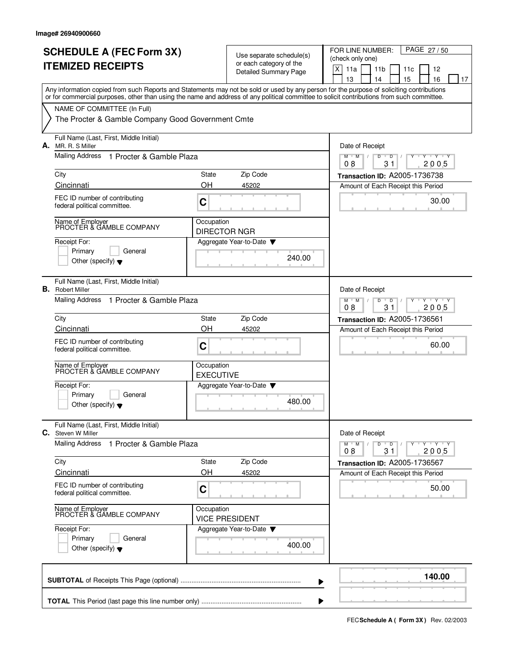|    | <b>SCHEDULE A (FEC Form 3X)</b>                                                                                                                                                                                                                                                         |                                                                                              |                                                     | FOR LINE NUMBER:<br>PAGE 27/50                                         |
|----|-----------------------------------------------------------------------------------------------------------------------------------------------------------------------------------------------------------------------------------------------------------------------------------------|----------------------------------------------------------------------------------------------|-----------------------------------------------------|------------------------------------------------------------------------|
|    | <b>ITEMIZED RECEIPTS</b>                                                                                                                                                                                                                                                                |                                                                                              | Use separate schedule(s)<br>or each category of the | (check only one)                                                       |
|    |                                                                                                                                                                                                                                                                                         |                                                                                              | <b>Detailed Summary Page</b>                        | X<br>11a<br>11 <sub>b</sub><br>12<br>11c<br>13<br>14<br>15<br>16<br>17 |
|    | Any information copied from such Reports and Statements may not be sold or used by any person for the purpose of soliciting contributions<br>or for commercial purposes, other than using the name and address of any political committee to solicit contributions from such committee. |                                                                                              |                                                     |                                                                        |
|    | NAME OF COMMITTEE (In Full)                                                                                                                                                                                                                                                             |                                                                                              |                                                     |                                                                        |
|    | The Procter & Gamble Company Good Government Cmte                                                                                                                                                                                                                                       |                                                                                              |                                                     |                                                                        |
| А. | Full Name (Last, First, Middle Initial)<br>MR. R. S Miller                                                                                                                                                                                                                              |                                                                                              |                                                     | Date of Receipt                                                        |
|    | Mailing Address<br>1 Procter & Gamble Plaza                                                                                                                                                                                                                                             |                                                                                              |                                                     | $M$ $M$<br>D<br>D<br>$+Y+Y$<br>2005<br>08<br>31                        |
|    | City                                                                                                                                                                                                                                                                                    | <b>State</b>                                                                                 | Zip Code                                            | Transaction ID: A2005-1736738                                          |
|    | Cincinnati                                                                                                                                                                                                                                                                              | OH                                                                                           | 45202                                               | Amount of Each Receipt this Period                                     |
|    | FEC ID number of contributing<br>federal political committee.                                                                                                                                                                                                                           | C                                                                                            |                                                     | 30.00                                                                  |
|    | Name of Employer<br>PROCTER & GAMBLE COMPANY                                                                                                                                                                                                                                            | Occupation<br><b>DIRECTOR NGR</b>                                                            |                                                     |                                                                        |
|    | Receipt For:                                                                                                                                                                                                                                                                            |                                                                                              | Aggregate Year-to-Date                              |                                                                        |
|    | Primary<br>General                                                                                                                                                                                                                                                                      |                                                                                              | 240.00                                              |                                                                        |
|    | Other (specify) $\blacktriangledown$                                                                                                                                                                                                                                                    |                                                                                              |                                                     |                                                                        |
| В. | Full Name (Last, First, Middle Initial)<br><b>Robert Miller</b>                                                                                                                                                                                                                         |                                                                                              |                                                     | Date of Receipt                                                        |
|    | Mailing Address 1 Procter & Gamble Plaza                                                                                                                                                                                                                                                | $Y - Y - Y$<br>$M$ <sup><math>+</math></sup><br>M<br>D<br>$\overline{D}$<br>08<br>31<br>2005 |                                                     |                                                                        |
|    | City                                                                                                                                                                                                                                                                                    | State                                                                                        | Zip Code                                            | <b>Transaction ID: A2005-1736561</b>                                   |
|    | Cincinnati                                                                                                                                                                                                                                                                              | OH                                                                                           | 45202                                               | Amount of Each Receipt this Period                                     |
|    | FEC ID number of contributing<br>federal political committee.                                                                                                                                                                                                                           | C                                                                                            |                                                     | 60.00                                                                  |
|    | Name of Employer<br>PROCTER & GAMBLE COMPANY                                                                                                                                                                                                                                            | Occupation<br><b>EXECUTIVE</b>                                                               |                                                     |                                                                        |
|    | Receipt For:                                                                                                                                                                                                                                                                            |                                                                                              | Aggregate Year-to-Date                              |                                                                        |
|    | Primary<br>General<br>Other (specify) $\blacktriangledown$                                                                                                                                                                                                                              |                                                                                              | 480.00                                              |                                                                        |
|    | Full Name (Last, First, Middle Initial)<br>C. Steven W Miller                                                                                                                                                                                                                           |                                                                                              |                                                     | Date of Receipt                                                        |
|    | <b>Mailing Address</b><br>1 Procter & Gamble Plaza                                                                                                                                                                                                                                      |                                                                                              |                                                     | $M^+$ M<br>$Y - Y - Y - Y$<br>D<br>$\overline{D}$<br>31<br>08<br>2005  |
|    | City                                                                                                                                                                                                                                                                                    | State                                                                                        | Zip Code                                            | Transaction ID: A2005-1736567                                          |
|    | Cincinnati                                                                                                                                                                                                                                                                              | OH                                                                                           | 45202                                               | Amount of Each Receipt this Period                                     |
|    | FEC ID number of contributing<br>federal political committee.                                                                                                                                                                                                                           | C                                                                                            |                                                     | 50.00                                                                  |
|    | Name of Employer<br>PROCTER & GAMBLE COMPANY                                                                                                                                                                                                                                            | Occupation                                                                                   | <b>VICE PRESIDENT</b>                               |                                                                        |
|    | Receipt For:                                                                                                                                                                                                                                                                            |                                                                                              | Aggregate Year-to-Date                              |                                                                        |
|    | Primary<br>General<br>Other (specify) $\blacktriangledown$                                                                                                                                                                                                                              |                                                                                              | 400.00                                              |                                                                        |
|    |                                                                                                                                                                                                                                                                                         |                                                                                              |                                                     |                                                                        |
|    |                                                                                                                                                                                                                                                                                         |                                                                                              | ▶                                                   | 140.00                                                                 |
|    |                                                                                                                                                                                                                                                                                         |                                                                                              |                                                     |                                                                        |

**FECSchedule A ( Form 3X)** Rev. 02/2003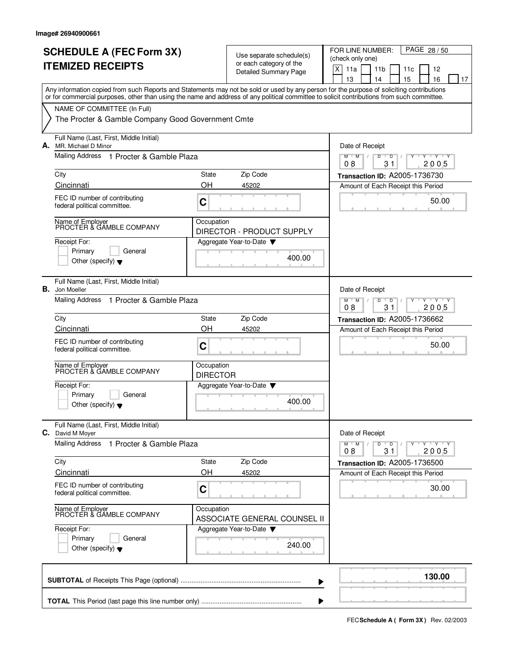|    | <b>SCHEDULE A (FEC Form 3X)</b><br><b>ITEMIZED RECEIPTS</b>                                                                                                                                                                                                                             |                                                                    | Use separate schedule(s)<br>or each category of the<br>Detailed Summary Page | PAGE 28/50<br>FOR LINE NUMBER:<br>(check only one)<br>$\mathsf X$<br>11a<br>11 <sub>b</sub><br>11c<br>12<br>15<br>13<br>14<br>16<br>17 |
|----|-----------------------------------------------------------------------------------------------------------------------------------------------------------------------------------------------------------------------------------------------------------------------------------------|--------------------------------------------------------------------|------------------------------------------------------------------------------|----------------------------------------------------------------------------------------------------------------------------------------|
|    | Any information copied from such Reports and Statements may not be sold or used by any person for the purpose of soliciting contributions<br>or for commercial purposes, other than using the name and address of any political committee to solicit contributions from such committee. |                                                                    |                                                                              |                                                                                                                                        |
|    | NAME OF COMMITTEE (In Full)<br>The Procter & Gamble Company Good Government Cmte                                                                                                                                                                                                        |                                                                    |                                                                              |                                                                                                                                        |
| А. | Full Name (Last, First, Middle Initial)<br>MR. Michael D Minor                                                                                                                                                                                                                          |                                                                    |                                                                              | Date of Receipt                                                                                                                        |
|    | Mailing Address 1 Procter & Gamble Plaza                                                                                                                                                                                                                                                |                                                                    |                                                                              | $M$ $M$ /<br>D<br>$Y$ $Y$<br>D<br>2005<br>08<br>31                                                                                     |
|    | City                                                                                                                                                                                                                                                                                    | State                                                              | Zip Code                                                                     | Transaction ID: A2005-1736730                                                                                                          |
|    | Cincinnati<br>FEC ID number of contributing<br>federal political committee.                                                                                                                                                                                                             | OH<br>C                                                            | 45202                                                                        | Amount of Each Receipt this Period<br>50.00                                                                                            |
|    | Name of Employer<br>PROCTER & GAMBLE COMPANY                                                                                                                                                                                                                                            | Occupation                                                         | DIRECTOR - PRODUCT SUPPLY                                                    |                                                                                                                                        |
|    | Receipt For:<br>Primary<br>General<br>Other (specify) $\blacktriangledown$                                                                                                                                                                                                              |                                                                    | Aggregate Year-to-Date ▼<br>400.00                                           |                                                                                                                                        |
| В. | Full Name (Last, First, Middle Initial)<br>Jon Moeller                                                                                                                                                                                                                                  |                                                                    |                                                                              | Date of Receipt                                                                                                                        |
|    | Mailing Address<br>1 Procter & Gamble Plaza                                                                                                                                                                                                                                             | $Y - Y - Y$<br>$M$ <sup>U</sup><br>M<br>D<br>D<br>08<br>31<br>2005 |                                                                              |                                                                                                                                        |
|    | City<br>Cincinnati                                                                                                                                                                                                                                                                      | State<br>OH                                                        | Zip Code<br>45202                                                            | <b>Transaction ID: A2005-1736662</b><br>Amount of Each Receipt this Period                                                             |
|    | FEC ID number of contributing<br>federal political committee.                                                                                                                                                                                                                           | C                                                                  |                                                                              | 50.00                                                                                                                                  |
|    | Name of Employer<br>PROCTER & GAMBLE COMPANY                                                                                                                                                                                                                                            | Occupation<br><b>DIRECTOR</b>                                      |                                                                              |                                                                                                                                        |
|    | Receipt For:<br>Primary<br>General<br>Other (specify) $\blacktriangledown$                                                                                                                                                                                                              |                                                                    | Aggregate Year-to-Date<br>400.00                                             |                                                                                                                                        |
|    | Full Name (Last, First, Middle Initial)<br>C. David M Moyer                                                                                                                                                                                                                             |                                                                    |                                                                              | Date of Receipt                                                                                                                        |
|    | <b>Mailing Address</b><br>1 Procter & Gamble Plaza                                                                                                                                                                                                                                      |                                                                    |                                                                              | $M$ $M$ $/$<br>D<br>$\overline{D}$<br>Y<br>$\sqrt{ }$<br>08<br>31<br>2005                                                              |
|    | City<br>Cincinnati                                                                                                                                                                                                                                                                      | State<br>OH                                                        | Zip Code<br>45202                                                            | Transaction ID: A2005-1736500<br>Amount of Each Receipt this Period                                                                    |
|    | FEC ID number of contributing<br>federal political committee.                                                                                                                                                                                                                           | $\mathbf C$                                                        |                                                                              | 30.00                                                                                                                                  |
|    | Name of Employer<br>PROCTER & GAMBLE COMPANY                                                                                                                                                                                                                                            | Occupation                                                         | ASSOCIATE GENERAL COUNSEL II                                                 |                                                                                                                                        |
|    | Receipt For:<br>Primary<br>General<br>Other (specify) $\blacktriangledown$                                                                                                                                                                                                              |                                                                    | Aggregate Year-to-Date<br>240.00                                             |                                                                                                                                        |
|    |                                                                                                                                                                                                                                                                                         |                                                                    |                                                                              | 130.00                                                                                                                                 |

**FECSchedule A ( Form 3X)** Rev. 02/2003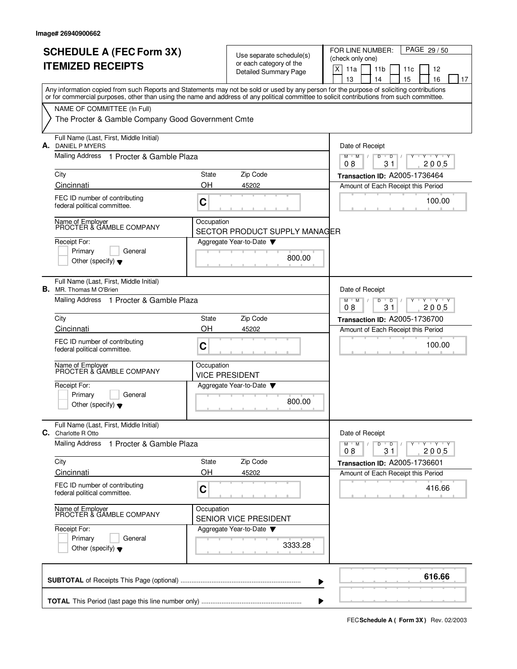|    | <b>SCHEDULE A (FEC Form 3X)</b><br><b>ITEMIZED RECEIPTS</b>                                                                                                                                                                                                                             |             | Use separate schedule(s)<br>or each category of the<br><b>Detailed Summary Page</b> | PAGE 29/50<br>FOR LINE NUMBER:<br>(check only one)<br>X<br>11a<br>11 <sub>b</sub><br>12<br>11c<br>13<br>14<br>15<br>16<br>17 |
|----|-----------------------------------------------------------------------------------------------------------------------------------------------------------------------------------------------------------------------------------------------------------------------------------------|-------------|-------------------------------------------------------------------------------------|------------------------------------------------------------------------------------------------------------------------------|
|    | Any information copied from such Reports and Statements may not be sold or used by any person for the purpose of soliciting contributions<br>or for commercial purposes, other than using the name and address of any political committee to solicit contributions from such committee. |             |                                                                                     |                                                                                                                              |
|    | NAME OF COMMITTEE (In Full)<br>The Procter & Gamble Company Good Government Cmte                                                                                                                                                                                                        |             |                                                                                     |                                                                                                                              |
|    | Full Name (Last, First, Middle Initial)<br><b>A.</b> DANIEL P MYERS                                                                                                                                                                                                                     |             |                                                                                     | Date of Receipt                                                                                                              |
|    | Mailing Address 1 Procter & Gamble Plaza                                                                                                                                                                                                                                                |             |                                                                                     | D<br>$M$ $M$<br>$\overline{D}$<br>Y Y Y Y<br>08<br>31<br>2005                                                                |
|    | City<br>Cincinnati                                                                                                                                                                                                                                                                      | State<br>OΗ | Zip Code<br>45202                                                                   | Transaction ID: A2005-1736464                                                                                                |
|    | FEC ID number of contributing<br>federal political committee.                                                                                                                                                                                                                           | C           |                                                                                     | Amount of Each Receipt this Period<br>100.00<br><b>CONTRACTOR</b>                                                            |
|    | Name of Employer<br>PROCTER & GAMBLE COMPANY                                                                                                                                                                                                                                            | Occupation  | SECTOR PRODUCT SUPPLY MANAGER                                                       |                                                                                                                              |
|    | Receipt For:<br>Primary<br>General<br>Other (specify) $\blacktriangledown$                                                                                                                                                                                                              |             | Aggregate Year-to-Date $\blacktriangledown$<br>800.00                               |                                                                                                                              |
| В. | Full Name (Last, First, Middle Initial)<br>MR. Thomas M O'Brien                                                                                                                                                                                                                         |             |                                                                                     | Date of Receipt                                                                                                              |
|    | Mailing Address 1 Procter & Gamble Plaza                                                                                                                                                                                                                                                |             |                                                                                     | $Y$ $Y$ $Y$<br>$M$ <sup>-1</sup><br>M<br>D<br>D<br>08<br>31<br>2005                                                          |
|    | City<br>Cincinnati                                                                                                                                                                                                                                                                      | State<br>ΟH | Zip Code<br>45202                                                                   | Transaction ID: A2005-1736700<br>Amount of Each Receipt this Period                                                          |
|    | FEC ID number of contributing<br>federal political committee.                                                                                                                                                                                                                           | C           |                                                                                     | 100.00                                                                                                                       |
|    | Name of Employer<br>PROCTER & GAMBLE COMPANY                                                                                                                                                                                                                                            | Occupation  | <b>VICE PRESIDENT</b>                                                               |                                                                                                                              |
|    | Receipt For:<br>Primary<br>General<br>Other (specify) $\blacktriangledown$                                                                                                                                                                                                              |             | Aggregate Year-to-Date<br>800.00                                                    |                                                                                                                              |
|    | Full Name (Last, First, Middle Initial)<br>C. Charlotte R Otto                                                                                                                                                                                                                          |             |                                                                                     | Date of Receipt                                                                                                              |
|    | <b>Mailing Address</b><br>1 Procter & Gamble Plaza                                                                                                                                                                                                                                      |             |                                                                                     | $Y - Y - Y - Y$<br>$M$ $M$<br>D<br>$\overline{D}$<br>2005<br>08<br>31                                                        |
|    | City<br>Cincinnati                                                                                                                                                                                                                                                                      | State<br>OH | Zip Code<br>45202                                                                   | Transaction ID: A2005-1736601                                                                                                |
|    | FEC ID number of contributing<br>federal political committee.                                                                                                                                                                                                                           | C           |                                                                                     | Amount of Each Receipt this Period<br>416.66                                                                                 |
|    | Name of Employer<br>PROCTER & GAMBLE COMPANY                                                                                                                                                                                                                                            | Occupation  | SENIOR VICE PRESIDENT                                                               |                                                                                                                              |
|    | Receipt For:<br>Primary<br>General<br>Other (specify) $\blacktriangledown$                                                                                                                                                                                                              |             | Aggregate Year-to-Date<br>3333.28                                                   |                                                                                                                              |
|    |                                                                                                                                                                                                                                                                                         |             |                                                                                     | 616.66                                                                                                                       |

**FECSchedule A ( Form 3X)** Rev. 02/2003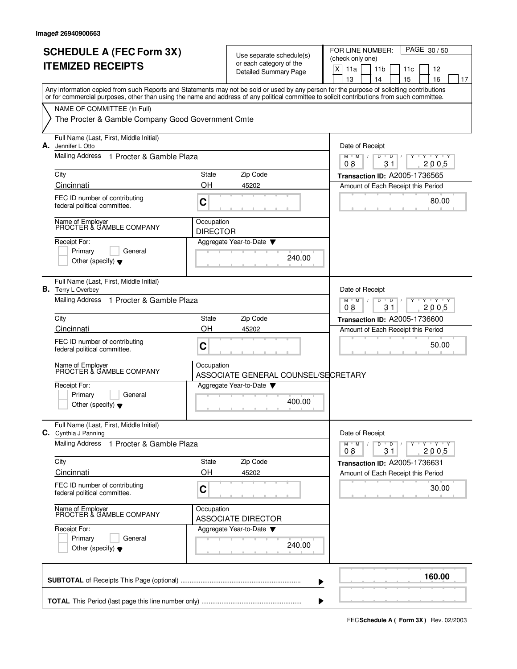|    | <b>SCHEDULE A (FEC Form 3X)</b><br><b>ITEMIZED RECEIPTS</b>                                                                                                                                                                                                                             |                                                                                  | Use separate schedule(s)<br>or each category of the<br><b>Detailed Summary Page</b> | PAGE 30/50<br>FOR LINE NUMBER:<br>(check only one)<br>$\mathsf X$<br>11a<br>11 <sub>b</sub><br>12<br>11c<br>13<br>15<br>16<br>14<br>17 |
|----|-----------------------------------------------------------------------------------------------------------------------------------------------------------------------------------------------------------------------------------------------------------------------------------------|----------------------------------------------------------------------------------|-------------------------------------------------------------------------------------|----------------------------------------------------------------------------------------------------------------------------------------|
|    | Any information copied from such Reports and Statements may not be sold or used by any person for the purpose of soliciting contributions<br>or for commercial purposes, other than using the name and address of any political committee to solicit contributions from such committee. |                                                                                  |                                                                                     |                                                                                                                                        |
|    | NAME OF COMMITTEE (In Full)<br>The Procter & Gamble Company Good Government Cmte                                                                                                                                                                                                        |                                                                                  |                                                                                     |                                                                                                                                        |
| А. | Full Name (Last, First, Middle Initial)<br>Jennifer L Otto                                                                                                                                                                                                                              |                                                                                  |                                                                                     | Date of Receipt                                                                                                                        |
|    | Mailing Address 1 Procter & Gamble Plaza                                                                                                                                                                                                                                                |                                                                                  |                                                                                     | D<br>$M$ M<br>D<br>Y Y Y Y<br>08<br>31<br>2005                                                                                         |
|    | City                                                                                                                                                                                                                                                                                    | State                                                                            | Zip Code                                                                            | Transaction ID: A2005-1736565                                                                                                          |
|    | Cincinnati                                                                                                                                                                                                                                                                              | OΗ                                                                               | 45202                                                                               | Amount of Each Receipt this Period                                                                                                     |
|    | FEC ID number of contributing<br>federal political committee.                                                                                                                                                                                                                           | C                                                                                |                                                                                     | 80.00                                                                                                                                  |
|    | Name of Employer<br>PROCTER & GAMBLE COMPANY                                                                                                                                                                                                                                            | Occupation<br><b>DIRECTOR</b>                                                    |                                                                                     |                                                                                                                                        |
|    | Receipt For:<br>Primary<br>General<br>Other (specify) $\blacktriangledown$                                                                                                                                                                                                              |                                                                                  | Aggregate Year-to-Date<br>240.00                                                    |                                                                                                                                        |
| В. | Full Name (Last, First, Middle Initial)<br>Terry L Overbey                                                                                                                                                                                                                              |                                                                                  |                                                                                     | Date of Receipt                                                                                                                        |
|    | Mailing Address 1 Procter & Gamble Plaza                                                                                                                                                                                                                                                | $Y - Y - Y$<br>$M$ <sup>-1</sup><br>M<br>$\overline{D}$<br>D<br>08<br>31<br>2005 |                                                                                     |                                                                                                                                        |
|    | City                                                                                                                                                                                                                                                                                    | State                                                                            | Zip Code                                                                            | Transaction ID: A2005-1736600                                                                                                          |
|    | Cincinnati                                                                                                                                                                                                                                                                              | OH                                                                               | 45202                                                                               | Amount of Each Receipt this Period                                                                                                     |
|    | FEC ID number of contributing<br>federal political committee.                                                                                                                                                                                                                           | C                                                                                |                                                                                     | 50.00                                                                                                                                  |
|    | Name of Employer<br>PROCTER & GAMBLE COMPANY                                                                                                                                                                                                                                            | Occupation                                                                       | ASSOCIATE GENERAL COUNSEL/SECRETARY                                                 |                                                                                                                                        |
|    | Receipt For:<br>Primary<br>General                                                                                                                                                                                                                                                      |                                                                                  | Aggregate Year-to-Date                                                              |                                                                                                                                        |
|    | Other (specify) $\blacktriangledown$                                                                                                                                                                                                                                                    |                                                                                  | 400.00                                                                              |                                                                                                                                        |
|    | Full Name (Last, First, Middle Initial)<br>C. Cynthia J Panning                                                                                                                                                                                                                         |                                                                                  |                                                                                     | Date of Receipt                                                                                                                        |
|    | <b>Mailing Address</b><br>1 Procter & Gamble Plaza                                                                                                                                                                                                                                      |                                                                                  |                                                                                     | $Y - Y - Y - Y$<br>$M$ $M$<br>D<br>$\overline{D}$<br>2005<br>08<br>31                                                                  |
|    | City                                                                                                                                                                                                                                                                                    | State                                                                            | Zip Code                                                                            | Transaction ID: A2005-1736631                                                                                                          |
|    | Cincinnati                                                                                                                                                                                                                                                                              | OH                                                                               | 45202                                                                               | Amount of Each Receipt this Period                                                                                                     |
|    | FEC ID number of contributing<br>federal political committee.                                                                                                                                                                                                                           | C                                                                                |                                                                                     | 30.00                                                                                                                                  |
|    | Name of Employer<br>PROCTER & GAMBLE COMPANY                                                                                                                                                                                                                                            | Occupation                                                                       | <b>ASSOCIATE DIRECTOR</b>                                                           |                                                                                                                                        |
|    | Receipt For:                                                                                                                                                                                                                                                                            |                                                                                  | Aggregate Year-to-Date                                                              |                                                                                                                                        |
|    | Primary<br>General<br>Other (specify) $\blacktriangledown$                                                                                                                                                                                                                              |                                                                                  | 240.00                                                                              |                                                                                                                                        |
|    |                                                                                                                                                                                                                                                                                         |                                                                                  |                                                                                     | 160.00                                                                                                                                 |

**FECSchedule A ( Form 3X)** Rev. 02/2003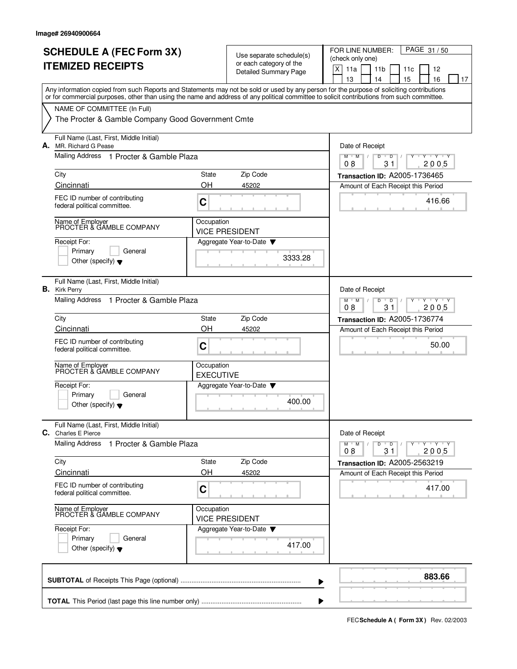| <b>SCHEDULE A (FEC Form 3X)</b><br><b>ITEMIZED RECEIPTS</b>                                                                                                                                                                                                                             |                                                                                 | Use separate schedule(s)<br>or each category of the<br><b>Detailed Summary Page</b> | FOR LINE NUMBER:<br>PAGE 31/50<br>(check only one)<br>X<br>11a<br>11 <sub>b</sub><br>12<br>11c<br>13<br>14<br>15<br>16<br>17 |
|-----------------------------------------------------------------------------------------------------------------------------------------------------------------------------------------------------------------------------------------------------------------------------------------|---------------------------------------------------------------------------------|-------------------------------------------------------------------------------------|------------------------------------------------------------------------------------------------------------------------------|
| Any information copied from such Reports and Statements may not be sold or used by any person for the purpose of soliciting contributions<br>or for commercial purposes, other than using the name and address of any political committee to solicit contributions from such committee. |                                                                                 |                                                                                     |                                                                                                                              |
| NAME OF COMMITTEE (In Full)<br>The Procter & Gamble Company Good Government Cmte                                                                                                                                                                                                        |                                                                                 |                                                                                     |                                                                                                                              |
| Full Name (Last, First, Middle Initial)<br>A. MR. Richard G Pease                                                                                                                                                                                                                       | Date of Receipt                                                                 |                                                                                     |                                                                                                                              |
| Mailing Address 1 Procter & Gamble Plaza                                                                                                                                                                                                                                                |                                                                                 |                                                                                     | $T$ $Y$ $T$ $Y$<br>$M$ M<br>D<br>D<br>2005<br>08<br>31                                                                       |
| City                                                                                                                                                                                                                                                                                    | State                                                                           | Zip Code                                                                            | Transaction ID: A2005-1736465                                                                                                |
| Cincinnati                                                                                                                                                                                                                                                                              | OH                                                                              | 45202                                                                               | Amount of Each Receipt this Period                                                                                           |
| FEC ID number of contributing<br>federal political committee.                                                                                                                                                                                                                           | C                                                                               |                                                                                     | 416.66                                                                                                                       |
| Name of Employer<br>PROCTER & GAMBLE COMPANY                                                                                                                                                                                                                                            | Occupation                                                                      | <b>VICE PRESIDENT</b>                                                               |                                                                                                                              |
| Receipt For:<br>Primary<br>General<br>Other (specify) $\blacktriangledown$                                                                                                                                                                                                              |                                                                                 | Aggregate Year-to-Date<br>3333.28                                                   |                                                                                                                              |
| Full Name (Last, First, Middle Initial)<br><b>B.</b> Kirk Perry                                                                                                                                                                                                                         |                                                                                 |                                                                                     | Date of Receipt                                                                                                              |
| Mailing Address 1 Procter & Gamble Plaza                                                                                                                                                                                                                                                | $Y - Y - Y$<br>$M$ <sup>U</sup><br>M<br>D<br>$\overline{D}$<br>08<br>31<br>2005 |                                                                                     |                                                                                                                              |
| City<br>Cincinnati                                                                                                                                                                                                                                                                      | State<br>OH                                                                     | Zip Code<br>45202                                                                   | <b>Transaction ID: A2005-1736774</b>                                                                                         |
| FEC ID number of contributing<br>federal political committee.                                                                                                                                                                                                                           | C                                                                               |                                                                                     | Amount of Each Receipt this Period<br>50.00                                                                                  |
| Name of Employer<br>PROCTER & GAMBLE COMPANY                                                                                                                                                                                                                                            | Occupation<br><b>EXECUTIVE</b>                                                  |                                                                                     |                                                                                                                              |
| Receipt For:<br>Primary<br>General<br>Other (specify) $\blacktriangledown$                                                                                                                                                                                                              |                                                                                 | Aggregate Year-to-Date<br>400.00                                                    |                                                                                                                              |
| Full Name (Last, First, Middle Initial)<br>C. Charles E Pierce                                                                                                                                                                                                                          |                                                                                 |                                                                                     | Date of Receipt                                                                                                              |
| <b>Mailing Address</b><br>1 Procter & Gamble Plaza                                                                                                                                                                                                                                      |                                                                                 |                                                                                     | $M$ $M$<br>Y 'Y 'Y<br>D<br>$\overline{D}$<br>08<br>31<br>2005                                                                |
| City                                                                                                                                                                                                                                                                                    | State                                                                           | Zip Code                                                                            | Transaction ID: A2005-2563219                                                                                                |
| Cincinnati<br>FEC ID number of contributing<br>federal political committee.                                                                                                                                                                                                             | OH<br>C                                                                         | 45202                                                                               | Amount of Each Receipt this Period<br>417.00                                                                                 |
| Name of Employer<br>PROCTER & GAMBLE COMPANY                                                                                                                                                                                                                                            | Occupation                                                                      | <b>VICE PRESIDENT</b>                                                               |                                                                                                                              |
| Receipt For:<br>Primary<br>General<br>Other (specify) $\blacktriangledown$                                                                                                                                                                                                              |                                                                                 | Aggregate Year-to-Date ▼<br>417.00                                                  |                                                                                                                              |
|                                                                                                                                                                                                                                                                                         |                                                                                 |                                                                                     | 883.66                                                                                                                       |

**FECSchedule A ( Form 3X)** Rev. 02/2003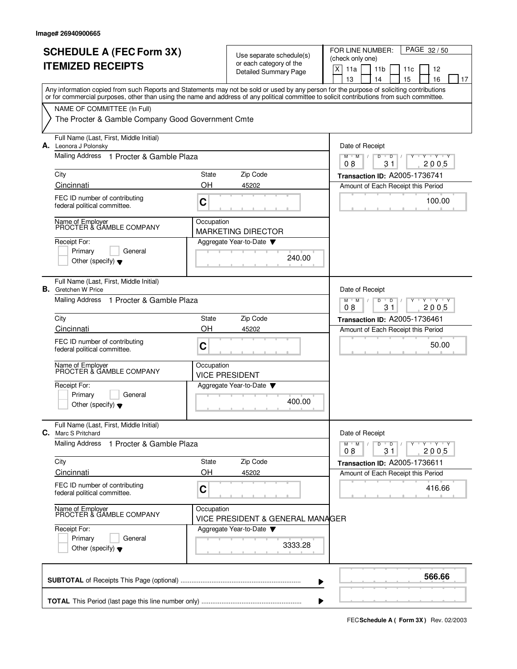|    | <b>SCHEDULE A (FEC Form 3X)</b><br><b>ITEMIZED RECEIPTS</b>                                                                                                                                                                                                                             |             | Use separate schedule(s)<br>or each category of the<br>Detailed Summary Page | PAGE 32/50<br>FOR LINE NUMBER:<br>(check only one)<br>$\mathsf X$<br>11a<br>11 <sub>b</sub><br>12<br>11c<br>13<br>15<br>16<br>14<br>17 |
|----|-----------------------------------------------------------------------------------------------------------------------------------------------------------------------------------------------------------------------------------------------------------------------------------------|-------------|------------------------------------------------------------------------------|----------------------------------------------------------------------------------------------------------------------------------------|
|    | Any information copied from such Reports and Statements may not be sold or used by any person for the purpose of soliciting contributions<br>or for commercial purposes, other than using the name and address of any political committee to solicit contributions from such committee. |             |                                                                              |                                                                                                                                        |
|    | NAME OF COMMITTEE (In Full)<br>The Procter & Gamble Company Good Government Cmte                                                                                                                                                                                                        |             |                                                                              |                                                                                                                                        |
|    | Full Name (Last, First, Middle Initial)<br>A. Leonora J Polonsky                                                                                                                                                                                                                        |             |                                                                              | Date of Receipt                                                                                                                        |
|    | Mailing Address 1 Procter & Gamble Plaza                                                                                                                                                                                                                                                |             |                                                                              | $M$ M<br>D<br>D<br>Y 'Y 'Y<br>08<br>31<br>2005                                                                                         |
|    | City<br>Cincinnati                                                                                                                                                                                                                                                                      | State<br>OH | Zip Code<br>45202                                                            | Transaction ID: A2005-1736741<br>Amount of Each Receipt this Period                                                                    |
|    | FEC ID number of contributing<br>federal political committee.                                                                                                                                                                                                                           | C           |                                                                              | 100.00                                                                                                                                 |
|    | Name of Employer<br>PROCTER & GAMBLE COMPANY                                                                                                                                                                                                                                            | Occupation  | <b>MARKETING DIRECTOR</b>                                                    |                                                                                                                                        |
|    | Receipt For:<br>Primary<br>General<br>Other (specify) $\blacktriangledown$                                                                                                                                                                                                              |             | Aggregate Year-to-Date<br>240.00                                             |                                                                                                                                        |
| В. | Full Name (Last, First, Middle Initial)<br>Gretchen W Price                                                                                                                                                                                                                             |             |                                                                              | Date of Receipt                                                                                                                        |
|    | Mailing Address<br>1 Procter & Gamble Plaza                                                                                                                                                                                                                                             |             |                                                                              | $Y - Y - Y$<br>$M$ <sup><math>+</math></sup><br>M<br>$\overline{D}$<br>D<br>08<br>31<br>2005                                           |
|    | City<br>Cincinnati                                                                                                                                                                                                                                                                      | State<br>OH | Zip Code<br>45202                                                            | Transaction ID: A2005-1736461<br>Amount of Each Receipt this Period                                                                    |
|    | FEC ID number of contributing<br>federal political committee.                                                                                                                                                                                                                           | C           |                                                                              | 50.00                                                                                                                                  |
|    | Name of Employer<br>PROCTER & GAMBLE COMPANY                                                                                                                                                                                                                                            | Occupation  | <b>VICE PRESIDENT</b>                                                        |                                                                                                                                        |
|    | Receipt For:<br>Primary<br>General<br>Other (specify) $\blacktriangledown$                                                                                                                                                                                                              |             | Aggregate Year-to-Date<br>400.00                                             |                                                                                                                                        |
|    | Full Name (Last, First, Middle Initial)<br><b>C.</b> Marc S Pritchard                                                                                                                                                                                                                   |             |                                                                              | Date of Receipt                                                                                                                        |
|    | <b>Mailing Address</b><br>1 Procter & Gamble Plaza                                                                                                                                                                                                                                      |             |                                                                              | $Y - Y - Y$<br>$M$ $M$<br>D<br>$\overline{D}$<br>2005<br>08<br>31                                                                      |
|    | City<br>Cincinnati                                                                                                                                                                                                                                                                      | State<br>OH | Zip Code<br>45202                                                            | Transaction ID: A2005-1736611<br>Amount of Each Receipt this Period                                                                    |
|    | FEC ID number of contributing<br>federal political committee.                                                                                                                                                                                                                           | C           |                                                                              | 416.66                                                                                                                                 |
|    | Name of Employer<br>PROCTER & GAMBLE COMPANY                                                                                                                                                                                                                                            | Occupation  | VICE PRESIDENT & GENERAL MANAGER                                             |                                                                                                                                        |
|    | Receipt For:<br>Primary<br>General<br>Other (specify) $\blacktriangledown$                                                                                                                                                                                                              |             | Aggregate Year-to-Date<br>3333.28                                            |                                                                                                                                        |
|    |                                                                                                                                                                                                                                                                                         |             |                                                                              | 566.66                                                                                                                                 |

**FECSchedule A ( Form 3X)** Rev. 02/2003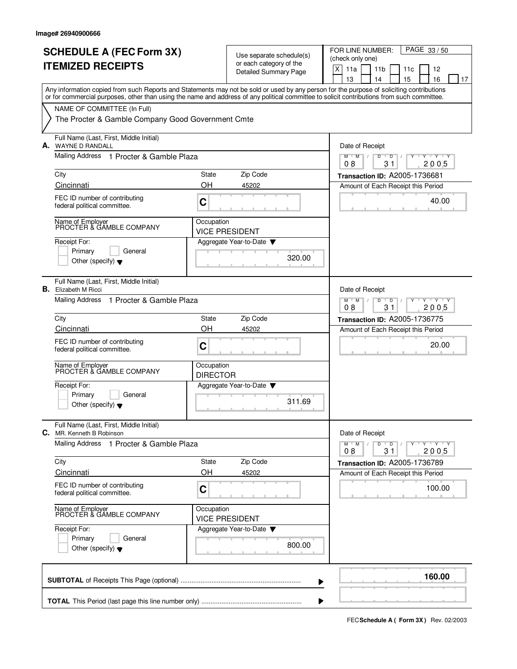|    | <b>SCHEDULE A (FEC Form 3X)</b><br><b>ITEMIZED RECEIPTS</b>                                                                                                                                                                                                                             |                               | Use separate schedule(s)<br>or each category of the<br><b>Detailed Summary Page</b> | FOR LINE NUMBER:<br>PAGE 33/50<br>(check only one)<br>X<br>11a<br>11 <sub>b</sub><br>12<br>11c<br>13<br>14<br>15<br>16<br>17 |
|----|-----------------------------------------------------------------------------------------------------------------------------------------------------------------------------------------------------------------------------------------------------------------------------------------|-------------------------------|-------------------------------------------------------------------------------------|------------------------------------------------------------------------------------------------------------------------------|
|    | Any information copied from such Reports and Statements may not be sold or used by any person for the purpose of soliciting contributions<br>or for commercial purposes, other than using the name and address of any political committee to solicit contributions from such committee. |                               |                                                                                     |                                                                                                                              |
|    | NAME OF COMMITTEE (In Full)<br>The Procter & Gamble Company Good Government Cmte                                                                                                                                                                                                        |                               |                                                                                     |                                                                                                                              |
|    | Full Name (Last, First, Middle Initial)<br>A. WAYNE D RANDALL                                                                                                                                                                                                                           | Date of Receipt               |                                                                                     |                                                                                                                              |
|    | Mailing Address 1 Procter & Gamble Plaza                                                                                                                                                                                                                                                |                               |                                                                                     | $M$ $M$<br>D<br>D<br>$\mathbf{y}$ $\mathbf{y}$<br>2005<br>08<br>31                                                           |
|    | City                                                                                                                                                                                                                                                                                    | State                         | Zip Code                                                                            | Transaction ID: A2005-1736681                                                                                                |
|    | Cincinnati<br>FEC ID number of contributing                                                                                                                                                                                                                                             | OH                            | 45202                                                                               | Amount of Each Receipt this Period<br>40.00                                                                                  |
|    | federal political committee.                                                                                                                                                                                                                                                            | C                             |                                                                                     |                                                                                                                              |
|    | Name of Employer<br>PROCTER & GAMBLE COMPANY                                                                                                                                                                                                                                            | Occupation                    | <b>VICE PRESIDENT</b>                                                               |                                                                                                                              |
|    | Receipt For:<br>Primary<br>General<br>Other (specify) $\bullet$                                                                                                                                                                                                                         |                               | Aggregate Year-to-Date<br>320.00                                                    |                                                                                                                              |
| В. | Full Name (Last, First, Middle Initial)<br>Elizabeth M Ricci                                                                                                                                                                                                                            |                               |                                                                                     | Date of Receipt                                                                                                              |
|    | <b>Mailing Address</b><br>1 Procter & Gamble Plaza                                                                                                                                                                                                                                      |                               |                                                                                     | $Y - Y - Y$<br>$M$ <sup>U</sup><br>M<br>D<br>D<br>08<br>31<br>2005                                                           |
|    | City                                                                                                                                                                                                                                                                                    | State                         | Zip Code                                                                            | <b>Transaction ID: A2005-1736775</b>                                                                                         |
|    | Cincinnati<br>FEC ID number of contributing                                                                                                                                                                                                                                             | OH                            | 45202                                                                               | Amount of Each Receipt this Period                                                                                           |
|    | federal political committee.                                                                                                                                                                                                                                                            | C                             |                                                                                     | 20.00                                                                                                                        |
|    | Name of Employer<br>PROCTER & GAMBLE COMPANY                                                                                                                                                                                                                                            | Occupation<br><b>DIRECTOR</b> |                                                                                     |                                                                                                                              |
|    | Receipt For:<br>General                                                                                                                                                                                                                                                                 |                               | Aggregate Year-to-Date                                                              |                                                                                                                              |
|    | Primary<br>Other (specify) $\blacktriangledown$                                                                                                                                                                                                                                         |                               | 311.69                                                                              |                                                                                                                              |
|    | Full Name (Last, First, Middle Initial)<br><b>C.</b> MR. Kenneth B Robinson                                                                                                                                                                                                             |                               |                                                                                     | Date of Receipt                                                                                                              |
|    | Mailing Address 1 Procter & Gamble Plaza                                                                                                                                                                                                                                                |                               |                                                                                     | $M$ $M$<br>ਦ γ≕⊏γ≕∽γ<br>D<br>$\overline{D}$<br>08<br>31<br>2005                                                              |
|    | City                                                                                                                                                                                                                                                                                    | State                         | Zip Code                                                                            | Transaction ID: A2005-1736789                                                                                                |
|    | Cincinnati<br>FEC ID number of contributing                                                                                                                                                                                                                                             | OH                            | 45202                                                                               | Amount of Each Receipt this Period                                                                                           |
|    | federal political committee.                                                                                                                                                                                                                                                            | C                             |                                                                                     | 100.00                                                                                                                       |
|    | Name of Employer<br>PROCTER & GAMBLE COMPANY                                                                                                                                                                                                                                            | Occupation                    | <b>VICE PRESIDENT</b>                                                               |                                                                                                                              |
|    | Receipt For:                                                                                                                                                                                                                                                                            |                               | Aggregate Year-to-Date                                                              |                                                                                                                              |
|    | Primary<br>General<br>Other (specify) $\blacktriangledown$                                                                                                                                                                                                                              |                               | 800.00                                                                              |                                                                                                                              |
|    |                                                                                                                                                                                                                                                                                         |                               |                                                                                     | 160.00                                                                                                                       |

**FECSchedule A ( Form 3X)** Rev. 02/2003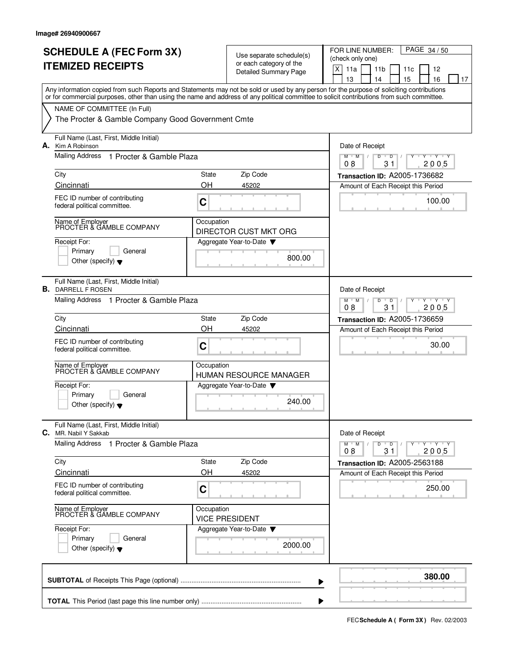|    | <b>SCHEDULE A (FEC Form 3X)</b><br><b>ITEMIZED RECEIPTS</b>                                                                                                                                                                                                                             |                                                | Use separate schedule(s)<br>or each category of the<br>Detailed Summary Page | PAGE 34/50<br>FOR LINE NUMBER:<br>(check only one)<br>X<br>11a<br>11 <sub>b</sub><br>12<br>11c<br>15<br>16<br>13<br>14<br>17 |
|----|-----------------------------------------------------------------------------------------------------------------------------------------------------------------------------------------------------------------------------------------------------------------------------------------|------------------------------------------------|------------------------------------------------------------------------------|------------------------------------------------------------------------------------------------------------------------------|
|    | Any information copied from such Reports and Statements may not be sold or used by any person for the purpose of soliciting contributions<br>or for commercial purposes, other than using the name and address of any political committee to solicit contributions from such committee. |                                                |                                                                              |                                                                                                                              |
|    | NAME OF COMMITTEE (In Full)<br>The Procter & Gamble Company Good Government Cmte                                                                                                                                                                                                        |                                                |                                                                              |                                                                                                                              |
| А. | Full Name (Last, First, Middle Initial)<br>Kim A Robinson                                                                                                                                                                                                                               |                                                |                                                                              | Date of Receipt                                                                                                              |
|    | Mailing Address<br>1 Procter & Gamble Plaza                                                                                                                                                                                                                                             |                                                |                                                                              | $M$ $M$<br>D<br>$\overline{D}$<br>Y Y Y Y<br>$\sqrt{ }$<br>08<br>31<br>2005                                                  |
|    | City                                                                                                                                                                                                                                                                                    | State                                          | Zip Code                                                                     | Transaction ID: A2005-1736682                                                                                                |
|    | Cincinnati<br>FEC ID number of contributing<br>federal political committee.                                                                                                                                                                                                             | OH<br>C                                        | 45202                                                                        | Amount of Each Receipt this Period<br>100.00                                                                                 |
|    | Name of Employer<br>PROCTER & GAMBLE COMPANY                                                                                                                                                                                                                                            | Occupation                                     | DIRECTOR CUST MKT ORG                                                        |                                                                                                                              |
|    | Receipt For:<br>Primary<br>General<br>Other (specify) $\blacktriangledown$                                                                                                                                                                                                              |                                                | Aggregate Year-to-Date<br>800.00                                             |                                                                                                                              |
| В. | Full Name (Last, First, Middle Initial)<br>DARRELL F ROSEN                                                                                                                                                                                                                              |                                                |                                                                              | Date of Receipt                                                                                                              |
|    | Mailing Address 1 Procter & Gamble Plaza                                                                                                                                                                                                                                                | $+Y+Y$<br>M<br>M<br>D<br>D<br>2005<br>08<br>31 |                                                                              |                                                                                                                              |
|    | City<br>Cincinnati                                                                                                                                                                                                                                                                      | State<br><b>OH</b>                             | Zip Code<br>45202                                                            | Transaction ID: A2005-1736659<br>Amount of Each Receipt this Period                                                          |
|    | FEC ID number of contributing<br>federal political committee.                                                                                                                                                                                                                           | C                                              |                                                                              | 30.00                                                                                                                        |
|    | Name of Employer<br>PROCTER & GAMBLE COMPANY                                                                                                                                                                                                                                            | Occupation                                     | HUMAN RESOURCE MANAGER                                                       |                                                                                                                              |
|    | Receipt For:<br>Primary<br>General<br>Other (specify) $\blacktriangledown$                                                                                                                                                                                                              |                                                | Aggregate Year-to-Date<br>240.00                                             |                                                                                                                              |
|    | Full Name (Last, First, Middle Initial)<br><b>C.</b> MR. Nabil Y Sakkab                                                                                                                                                                                                                 |                                                |                                                                              | Date of Receipt                                                                                                              |
|    | <b>Mailing Address</b><br>1 Procter & Gamble Plaza                                                                                                                                                                                                                                      |                                                |                                                                              | $Y - Y - Y - Y$<br>$M$ $M$ /<br>D<br>$\overline{D}$<br>08<br>31<br>2005                                                      |
|    | City<br>Cincinnati                                                                                                                                                                                                                                                                      | State<br>OH                                    | Zip Code<br>45202                                                            | Transaction ID: A2005-2563188<br>Amount of Each Receipt this Period                                                          |
|    | FEC ID number of contributing<br>federal political committee.                                                                                                                                                                                                                           | C                                              |                                                                              | 250.00                                                                                                                       |
|    | Name of Employer<br>PROCTER & GAMBLE COMPANY                                                                                                                                                                                                                                            | Occupation                                     | <b>VICE PRESIDENT</b>                                                        |                                                                                                                              |
|    | Receipt For:<br>Primary<br>General<br>Other (specify) $\blacktriangledown$                                                                                                                                                                                                              |                                                | Aggregate Year-to-Date<br>2000.00                                            |                                                                                                                              |
|    |                                                                                                                                                                                                                                                                                         |                                                |                                                                              | 380.00                                                                                                                       |

**FECSchedule A ( Form 3X)** Rev. 02/2003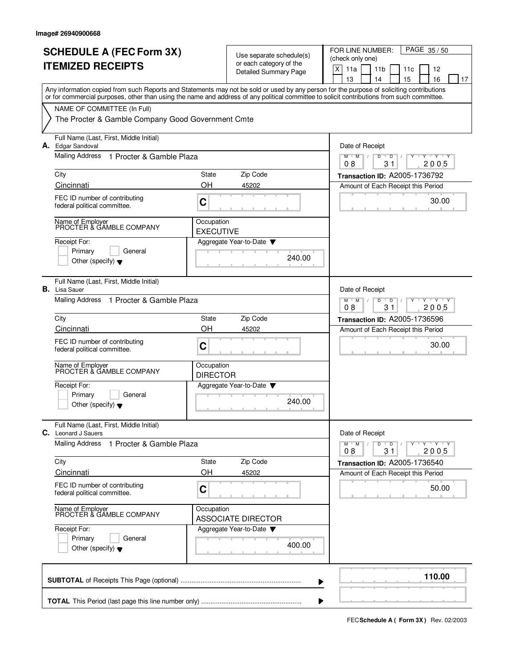| <b>SCHEDULE A (FEC Form 3X)</b><br><b>ITEMIZED RECEIPTS</b>                                                                                                                                                                                                                             |                                | Use separate schedule(s)<br>or each category of the<br><b>Detailed Summary Page</b> | PAGE 35/50<br>FOR LINE NUMBER:<br>(check only one)<br>$\mathsf X$<br>11a<br>11 <sub>b</sub><br>12<br>11c<br>13<br>15<br>16<br>14<br>17 |
|-----------------------------------------------------------------------------------------------------------------------------------------------------------------------------------------------------------------------------------------------------------------------------------------|--------------------------------|-------------------------------------------------------------------------------------|----------------------------------------------------------------------------------------------------------------------------------------|
| Any information copied from such Reports and Statements may not be sold or used by any person for the purpose of soliciting contributions<br>or for commercial purposes, other than using the name and address of any political committee to solicit contributions from such committee. |                                |                                                                                     |                                                                                                                                        |
| NAME OF COMMITTEE (In Full)<br>The Procter & Gamble Company Good Government Cmte                                                                                                                                                                                                        |                                |                                                                                     |                                                                                                                                        |
| Full Name (Last, First, Middle Initial)<br>A. Edgar Sandoval                                                                                                                                                                                                                            |                                |                                                                                     | Date of Receipt                                                                                                                        |
| Mailing Address<br>1 Procter & Gamble Plaza                                                                                                                                                                                                                                             |                                |                                                                                     | D<br>$M$ $M$<br>D<br>Y 'Y 'Y<br>08<br>31<br>2005                                                                                       |
| City<br>Cincinnati                                                                                                                                                                                                                                                                      | State<br>OΗ                    | Zip Code<br>45202                                                                   | Transaction ID: A2005-1736792                                                                                                          |
| FEC ID number of contributing<br>federal political committee.                                                                                                                                                                                                                           | C                              |                                                                                     | Amount of Each Receipt this Period<br>30.00                                                                                            |
| Name of Employer<br>PROCTER & GAMBLE COMPANY                                                                                                                                                                                                                                            | Occupation<br><b>EXECUTIVE</b> |                                                                                     |                                                                                                                                        |
| Receipt For:<br>Primary<br>General<br>Other (specify) $\blacktriangledown$                                                                                                                                                                                                              |                                | Aggregate Year-to-Date<br>240.00                                                    |                                                                                                                                        |
| Full Name (Last, First, Middle Initial)<br>В.<br>Lisa Sauer                                                                                                                                                                                                                             |                                |                                                                                     | Date of Receipt                                                                                                                        |
| Mailing Address 1 Procter & Gamble Plaza                                                                                                                                                                                                                                                |                                |                                                                                     | $Y + Y + Y$<br>M<br>M<br>$\overline{D}$<br>D<br>08<br>31<br>2005                                                                       |
| City                                                                                                                                                                                                                                                                                    | State                          | Zip Code                                                                            | Transaction ID: A2005-1736596                                                                                                          |
| Cincinnati<br>FEC ID number of contributing<br>federal political committee.                                                                                                                                                                                                             | OH<br>C                        | 45202                                                                               | Amount of Each Receipt this Period<br>30.00                                                                                            |
| Name of Employer<br>PROCTER & GAMBLE COMPANY                                                                                                                                                                                                                                            | Occupation<br><b>DIRECTOR</b>  |                                                                                     |                                                                                                                                        |
| Receipt For:<br>Primary<br>General<br>Other (specify) $\blacktriangledown$                                                                                                                                                                                                              |                                | Aggregate Year-to-Date<br>240.00                                                    |                                                                                                                                        |
| Full Name (Last, First, Middle Initial)<br>C. Leonard J Sauers                                                                                                                                                                                                                          |                                |                                                                                     | Date of Receipt                                                                                                                        |
| <b>Mailing Address</b><br>1 Procter & Gamble Plaza                                                                                                                                                                                                                                      |                                |                                                                                     | $Y - Y - Y - Y$<br>$M$ $M$<br>D<br>$\overline{D}$<br>2005<br>08<br>31                                                                  |
| City<br>Cincinnati                                                                                                                                                                                                                                                                      | State<br>OH                    | Zip Code                                                                            | Transaction ID: A2005-1736540                                                                                                          |
| FEC ID number of contributing<br>federal political committee.                                                                                                                                                                                                                           | C                              | 45202                                                                               | Amount of Each Receipt this Period<br>50.00                                                                                            |
| Name of Employer<br>PROCTER & GAMBLE COMPANY                                                                                                                                                                                                                                            | Occupation                     | <b>ASSOCIATE DIRECTOR</b>                                                           |                                                                                                                                        |
| Receipt For:<br>Primary<br>General<br>Other (specify) $\blacktriangledown$                                                                                                                                                                                                              |                                | Aggregate Year-to-Date<br>400.00                                                    |                                                                                                                                        |
|                                                                                                                                                                                                                                                                                         |                                |                                                                                     | 110.00                                                                                                                                 |

**FECSchedule A ( Form 3X)** Rev. 02/2003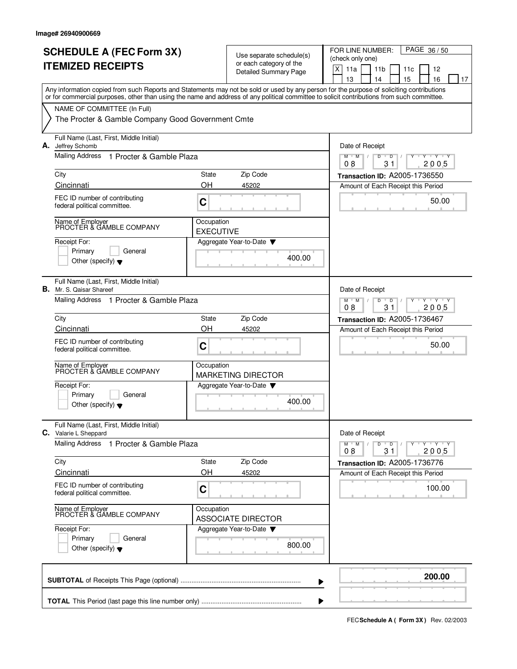|    | Any information copied from such Reports and Statements may not be sold or used by any person for the purpose of soliciting contributions<br>or for commercial purposes, other than using the name and address of any political committee to solicit contributions from such committee.<br>NAME OF COMMITTEE (In Full) |                                |                                  |                                                                             |
|----|------------------------------------------------------------------------------------------------------------------------------------------------------------------------------------------------------------------------------------------------------------------------------------------------------------------------|--------------------------------|----------------------------------|-----------------------------------------------------------------------------|
|    |                                                                                                                                                                                                                                                                                                                        |                                |                                  |                                                                             |
|    | The Procter & Gamble Company Good Government Cmte                                                                                                                                                                                                                                                                      |                                |                                  |                                                                             |
| А. | Full Name (Last, First, Middle Initial)<br>Jeffrey Schomb                                                                                                                                                                                                                                                              |                                |                                  | Date of Receipt                                                             |
|    | Mailing Address 1 Procter & Gamble Plaza                                                                                                                                                                                                                                                                               |                                |                                  | $M$ $M$<br>D<br>Y Y Y Y<br>$\sqrt{ }$<br>$\overline{D}$<br>08<br>31<br>2005 |
|    | City                                                                                                                                                                                                                                                                                                                   | State                          | Zip Code                         | Transaction ID: A2005-1736550                                               |
|    | Cincinnati                                                                                                                                                                                                                                                                                                             | OH                             | 45202                            | Amount of Each Receipt this Period                                          |
|    | FEC ID number of contributing<br>federal political committee.                                                                                                                                                                                                                                                          | C                              |                                  | 50.00                                                                       |
|    | Name of Employer<br>PROCTER & GAMBLE COMPANY                                                                                                                                                                                                                                                                           | Occupation<br><b>EXECUTIVE</b> |                                  |                                                                             |
|    | Receipt For:<br>Primary<br>General<br>Other (specify) $\blacktriangledown$                                                                                                                                                                                                                                             |                                | Aggregate Year-to-Date<br>400.00 |                                                                             |
| В. | Full Name (Last, First, Middle Initial)<br>Mr. S. Qaisar Shareef                                                                                                                                                                                                                                                       |                                |                                  | Date of Receipt                                                             |
|    | Mailing Address 1 Procter & Gamble Plaza                                                                                                                                                                                                                                                                               |                                |                                  | $+Y+Y$<br>M<br>M<br>D<br>D<br>2005<br>08<br>31                              |
|    | City                                                                                                                                                                                                                                                                                                                   | State                          | Zip Code                         | Transaction ID: A2005-1736467                                               |
|    | Cincinnati                                                                                                                                                                                                                                                                                                             | OH                             | 45202                            | Amount of Each Receipt this Period                                          |
|    | FEC ID number of contributing<br>federal political committee.                                                                                                                                                                                                                                                          | C                              |                                  | 50.00                                                                       |
|    | Name of Employer<br>PROCTER & GAMBLE COMPANY                                                                                                                                                                                                                                                                           | Occupation                     | <b>MARKETING DIRECTOR</b>        |                                                                             |
|    | Receipt For:<br>Primary<br>General                                                                                                                                                                                                                                                                                     |                                | Aggregate Year-to-Date           |                                                                             |
|    | Other (specify) $\blacktriangledown$                                                                                                                                                                                                                                                                                   |                                | 400.00                           |                                                                             |
|    | Full Name (Last, First, Middle Initial)<br><b>C.</b> Valarie L Sheppard                                                                                                                                                                                                                                                |                                |                                  | Date of Receipt                                                             |
|    | Mailing Address<br>1 Procter & Gamble Plaza                                                                                                                                                                                                                                                                            |                                |                                  | $M$ $M$ /<br>D<br>$Y - Y - Y - Y$<br>$\overline{D}$<br>2005<br>08<br>31     |
|    | City                                                                                                                                                                                                                                                                                                                   | State                          | Zip Code                         | Transaction ID: A2005-1736776                                               |
|    | Cincinnati                                                                                                                                                                                                                                                                                                             | OH                             | 45202                            | Amount of Each Receipt this Period                                          |
|    | FEC ID number of contributing<br>federal political committee.                                                                                                                                                                                                                                                          | C                              |                                  | 100.00                                                                      |
|    | Name of Employer<br>PROCTER & GAMBLE COMPANY                                                                                                                                                                                                                                                                           | Occupation                     | <b>ASSOCIATE DIRECTOR</b>        |                                                                             |
|    | Receipt For:<br>Primary<br>General                                                                                                                                                                                                                                                                                     |                                | Aggregate Year-to-Date           |                                                                             |
|    | Other (specify) $\blacktriangledown$                                                                                                                                                                                                                                                                                   |                                | 800.00                           |                                                                             |
|    |                                                                                                                                                                                                                                                                                                                        |                                |                                  | 200.00                                                                      |

**FECSchedule A ( Form 3X)** Rev. 02/2003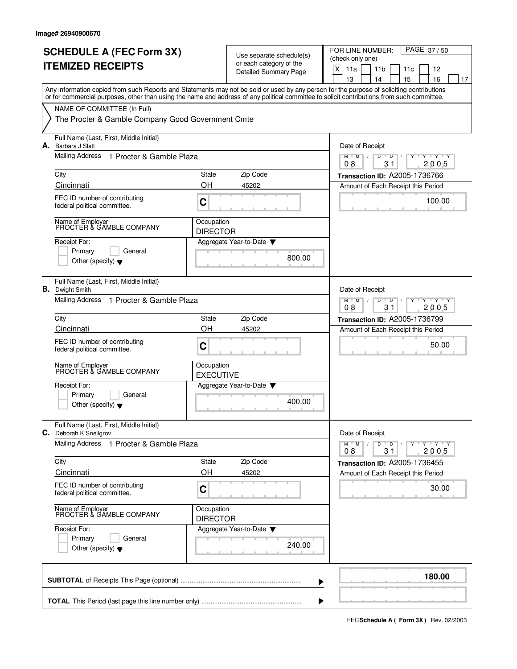|    | <b>SCHEDULE A (FEC Form 3X)</b>                                                                                                            |                                |                                                     | FOR LINE NUMBER:<br>PAGE 37/50                                                                         |
|----|--------------------------------------------------------------------------------------------------------------------------------------------|--------------------------------|-----------------------------------------------------|--------------------------------------------------------------------------------------------------------|
|    |                                                                                                                                            |                                | Use separate schedule(s)<br>or each category of the | (check only one)                                                                                       |
|    | <b>ITEMIZED RECEIPTS</b>                                                                                                                   |                                | <b>Detailed Summary Page</b>                        | X<br>11a<br>11 <sub>b</sub><br>12<br>11c                                                               |
|    | Any information copied from such Reports and Statements may not be sold or used by any person for the purpose of soliciting contributions  |                                |                                                     | 13<br>14<br>15<br>16<br>17                                                                             |
|    | or for commercial purposes, other than using the name and address of any political committee to solicit contributions from such committee. |                                |                                                     |                                                                                                        |
|    | NAME OF COMMITTEE (In Full)                                                                                                                |                                |                                                     |                                                                                                        |
|    | The Procter & Gamble Company Good Government Cmte                                                                                          |                                |                                                     |                                                                                                        |
|    | Full Name (Last, First, Middle Initial)<br>A. Barbara J Slatt                                                                              |                                |                                                     | Date of Receipt                                                                                        |
|    | Mailing Address<br>1 Procter & Gamble Plaza                                                                                                |                                |                                                     | $M$ $M$<br>D<br>D<br>$+Y+Y$<br>2005<br>08<br>31                                                        |
|    | City                                                                                                                                       | <b>State</b>                   | Zip Code                                            | Transaction ID: A2005-1736766                                                                          |
|    | Cincinnati                                                                                                                                 | OH                             | 45202                                               | Amount of Each Receipt this Period                                                                     |
|    | FEC ID number of contributing<br>federal political committee.                                                                              | C                              |                                                     | 100.00                                                                                                 |
|    | Name of Employer<br>PROCTER & GAMBLE COMPANY                                                                                               | Occupation<br><b>DIRECTOR</b>  |                                                     |                                                                                                        |
|    | Receipt For:                                                                                                                               |                                | Aggregate Year-to-Date $\blacktriangledown$         |                                                                                                        |
|    | Primary<br>General                                                                                                                         |                                | 800.00                                              |                                                                                                        |
|    | Other (specify) $\blacktriangledown$                                                                                                       |                                |                                                     |                                                                                                        |
| В. | Full Name (Last, First, Middle Initial)<br>Dwight Smith                                                                                    |                                |                                                     | Date of Receipt                                                                                        |
|    | Mailing Address 1 Procter & Gamble Plaza                                                                                                   |                                |                                                     | $Y - Y - Y$<br>$M$ <sup><math>+</math></sup><br>M<br>D<br>$\overline{D}$<br>08<br>31<br>2005           |
|    | City                                                                                                                                       | State                          | Zip Code                                            | <b>Transaction ID: A2005-1736799</b>                                                                   |
|    | Cincinnati                                                                                                                                 | OH                             | 45202                                               | Amount of Each Receipt this Period                                                                     |
|    | FEC ID number of contributing<br>federal political committee.                                                                              | C                              |                                                     | 50.00                                                                                                  |
|    | Name of Employer<br>PROCTER & GAMBLE COMPANY                                                                                               | Occupation<br><b>EXECUTIVE</b> |                                                     |                                                                                                        |
|    | Receipt For:                                                                                                                               |                                | Aggregate Year-to-Date                              |                                                                                                        |
|    | Primary<br>General<br>Other (specify) $\blacktriangledown$                                                                                 |                                | 400.00                                              |                                                                                                        |
|    | Full Name (Last, First, Middle Initial)<br>C. Deborah K Snellgrov                                                                          |                                |                                                     | Date of Receipt                                                                                        |
|    | Mailing Address 1 Procter & Gamble Plaza                                                                                                   |                                |                                                     | $\mathsf{Y} \dashv \mathsf{Y} \dashv \mathsf{Y}$<br>$M$ $M$<br>D<br>$\overline{D}$<br>31<br>08<br>2005 |
|    | City                                                                                                                                       | State                          | Zip Code                                            | Transaction ID: A2005-1736455                                                                          |
|    | Cincinnati                                                                                                                                 | OH                             | 45202                                               | Amount of Each Receipt this Period                                                                     |
|    | FEC ID number of contributing<br>federal political committee.                                                                              | C                              |                                                     | 30.00                                                                                                  |
|    | Name of Employer<br>PROCTER & GAMBLE COMPANY                                                                                               | Occupation<br><b>DIRECTOR</b>  |                                                     |                                                                                                        |
|    | Receipt For:                                                                                                                               |                                | Aggregate Year-to-Date                              |                                                                                                        |
|    | Primary<br>General<br>Other (specify) $\blacktriangledown$                                                                                 |                                | 240.00                                              |                                                                                                        |
|    |                                                                                                                                            |                                |                                                     | 180.00                                                                                                 |
|    |                                                                                                                                            |                                |                                                     |                                                                                                        |

**FECSchedule A ( Form 3X)** Rev. 02/2003

 $\blacktriangleright$ 

J.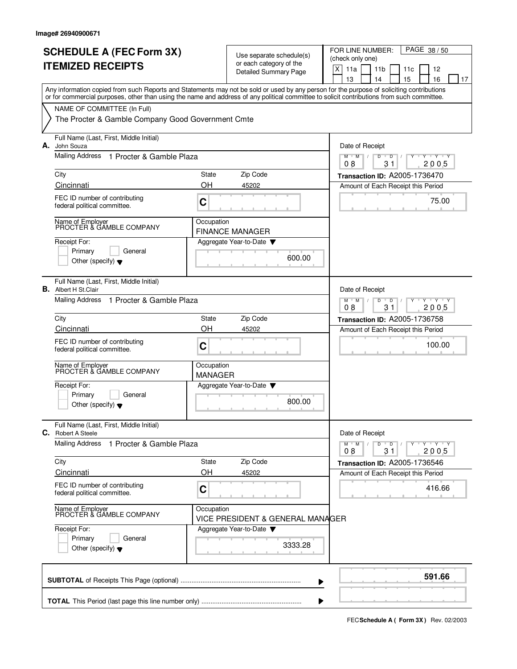|    | <b>SCHEDULE A (FEC Form 3X)</b>                                                                                                                                                                                                                                                         |                              | Use separate schedule(s)                                | PAGE 38/50<br>FOR LINE NUMBER:<br>(check only one)                                                                                                                                                                                                                                                                                                                                                                                                                                                                                         |
|----|-----------------------------------------------------------------------------------------------------------------------------------------------------------------------------------------------------------------------------------------------------------------------------------------|------------------------------|---------------------------------------------------------|--------------------------------------------------------------------------------------------------------------------------------------------------------------------------------------------------------------------------------------------------------------------------------------------------------------------------------------------------------------------------------------------------------------------------------------------------------------------------------------------------------------------------------------------|
|    | <b>ITEMIZED RECEIPTS</b>                                                                                                                                                                                                                                                                |                              | or each category of the<br><b>Detailed Summary Page</b> | $\mathsf X$<br>11a<br>11 <sub>b</sub><br>11c<br>12<br>15<br>13<br>14<br>16<br>17                                                                                                                                                                                                                                                                                                                                                                                                                                                           |
|    | Any information copied from such Reports and Statements may not be sold or used by any person for the purpose of soliciting contributions<br>or for commercial purposes, other than using the name and address of any political committee to solicit contributions from such committee. |                              |                                                         |                                                                                                                                                                                                                                                                                                                                                                                                                                                                                                                                            |
|    | NAME OF COMMITTEE (In Full)                                                                                                                                                                                                                                                             |                              |                                                         |                                                                                                                                                                                                                                                                                                                                                                                                                                                                                                                                            |
|    | The Procter & Gamble Company Good Government Cmte                                                                                                                                                                                                                                       |                              |                                                         |                                                                                                                                                                                                                                                                                                                                                                                                                                                                                                                                            |
| А. | Full Name (Last, First, Middle Initial)<br>John Souza                                                                                                                                                                                                                                   |                              |                                                         | Date of Receipt                                                                                                                                                                                                                                                                                                                                                                                                                                                                                                                            |
|    | Mailing Address<br>1 Procter & Gamble Plaza                                                                                                                                                                                                                                             |                              |                                                         | $M$ $M$ /<br>D<br>$Y$ $Y$<br>D<br>2005<br>08<br>31                                                                                                                                                                                                                                                                                                                                                                                                                                                                                         |
|    | City                                                                                                                                                                                                                                                                                    | State                        | Zip Code                                                | Transaction ID: A2005-1736470                                                                                                                                                                                                                                                                                                                                                                                                                                                                                                              |
|    | Cincinnati                                                                                                                                                                                                                                                                              | OH                           | 45202                                                   | Amount of Each Receipt this Period                                                                                                                                                                                                                                                                                                                                                                                                                                                                                                         |
|    | FEC ID number of contributing<br>federal political committee.                                                                                                                                                                                                                           | C                            |                                                         | 75.00                                                                                                                                                                                                                                                                                                                                                                                                                                                                                                                                      |
|    | Name of Employer<br>PROCTER & GAMBLE COMPANY                                                                                                                                                                                                                                            | Occupation                   | <b>FINANCE MANAGER</b>                                  |                                                                                                                                                                                                                                                                                                                                                                                                                                                                                                                                            |
|    | Receipt For:<br>Primary<br>General                                                                                                                                                                                                                                                      |                              | Aggregate Year-to-Date                                  |                                                                                                                                                                                                                                                                                                                                                                                                                                                                                                                                            |
|    | Other (specify) $\blacktriangledown$                                                                                                                                                                                                                                                    |                              | 600.00                                                  |                                                                                                                                                                                                                                                                                                                                                                                                                                                                                                                                            |
|    | Full Name (Last, First, Middle Initial)<br><b>B.</b> Albert H St.Clair                                                                                                                                                                                                                  |                              |                                                         | Date of Receipt                                                                                                                                                                                                                                                                                                                                                                                                                                                                                                                            |
|    | <b>Mailing Address</b><br>1 Procter & Gamble Plaza                                                                                                                                                                                                                                      |                              |                                                         | $Y - Y - Y$<br>$M$ <sup>U</sup><br>M<br>D<br>D<br>08<br>31<br>2005                                                                                                                                                                                                                                                                                                                                                                                                                                                                         |
|    | City                                                                                                                                                                                                                                                                                    | State                        | Zip Code                                                | <b>Transaction ID: A2005-1736758</b>                                                                                                                                                                                                                                                                                                                                                                                                                                                                                                       |
|    | Cincinnati                                                                                                                                                                                                                                                                              | OH                           | 45202                                                   | Amount of Each Receipt this Period                                                                                                                                                                                                                                                                                                                                                                                                                                                                                                         |
|    | FEC ID number of contributing<br>federal political committee.                                                                                                                                                                                                                           | C                            |                                                         | 100.00                                                                                                                                                                                                                                                                                                                                                                                                                                                                                                                                     |
|    | Name of Employer<br>PROCTER & GAMBLE COMPANY                                                                                                                                                                                                                                            | Occupation<br><b>MANAGER</b> |                                                         |                                                                                                                                                                                                                                                                                                                                                                                                                                                                                                                                            |
|    | Receipt For:                                                                                                                                                                                                                                                                            |                              | Aggregate Year-to-Date                                  |                                                                                                                                                                                                                                                                                                                                                                                                                                                                                                                                            |
|    | Primary<br>General<br>Other (specify) $\blacktriangledown$                                                                                                                                                                                                                              |                              | 800.00                                                  |                                                                                                                                                                                                                                                                                                                                                                                                                                                                                                                                            |
|    | Full Name (Last, First, Middle Initial)<br>C. Robert A Steele                                                                                                                                                                                                                           |                              |                                                         | Date of Receipt                                                                                                                                                                                                                                                                                                                                                                                                                                                                                                                            |
|    | <b>Mailing Address</b><br>1 Procter & Gamble Plaza                                                                                                                                                                                                                                      |                              |                                                         | $\begin{array}{c} \top \!\!\!\!\! \top \!\!\!\! \top \!\!\!\! \top \!\!\!\! \top \!\!\!\! \top \!\!\!\! \top \!\!\!\! \top \!\!\!\! \top \!\!\!\! \top \!\!\!\! \top \!\!\!\! \top \!\!\!\! \top \!\!\!\! \top \!\!\!\! \top \!\!\!\! \top \!\!\!\! \top \!\!\!\! \top \!\!\!\! \top \!\!\!\! \top \!\!\!\! \top \!\!\!\! \top \!\!\!\! \top \!\!\!\! \top \!\!\!\! \top \!\!\!\! \top \!\!\!\! \top \!\!\!\! \top \!\!\!\! \top \!\!\!\! \top \!\!\!\! \top$<br>$M$ $M$ $/$<br>D<br>$\overline{D}$<br>Y<br>$\sqrt{ }$<br>08<br>31<br>2005 |
|    | City                                                                                                                                                                                                                                                                                    | State                        | Zip Code                                                | Transaction ID: A2005-1736546                                                                                                                                                                                                                                                                                                                                                                                                                                                                                                              |
|    | Cincinnati                                                                                                                                                                                                                                                                              | OH                           | 45202                                                   | Amount of Each Receipt this Period                                                                                                                                                                                                                                                                                                                                                                                                                                                                                                         |
|    | FEC ID number of contributing<br>federal political committee.                                                                                                                                                                                                                           | $\mathbf C$                  |                                                         | 416.66                                                                                                                                                                                                                                                                                                                                                                                                                                                                                                                                     |
|    | Name of Employer<br>PROCTER & GAMBLE COMPANY                                                                                                                                                                                                                                            | Occupation                   | VICE PRESIDENT & GENERAL MANAGER                        |                                                                                                                                                                                                                                                                                                                                                                                                                                                                                                                                            |
|    | Receipt For:<br>Primary<br>General                                                                                                                                                                                                                                                      |                              | Aggregate Year-to-Date                                  |                                                                                                                                                                                                                                                                                                                                                                                                                                                                                                                                            |
|    | Other (specify) $\blacktriangledown$                                                                                                                                                                                                                                                    |                              | 3333.28                                                 |                                                                                                                                                                                                                                                                                                                                                                                                                                                                                                                                            |
|    |                                                                                                                                                                                                                                                                                         |                              |                                                         | 591.66                                                                                                                                                                                                                                                                                                                                                                                                                                                                                                                                     |

**FECSchedule A ( Form 3X)** Rev. 02/2003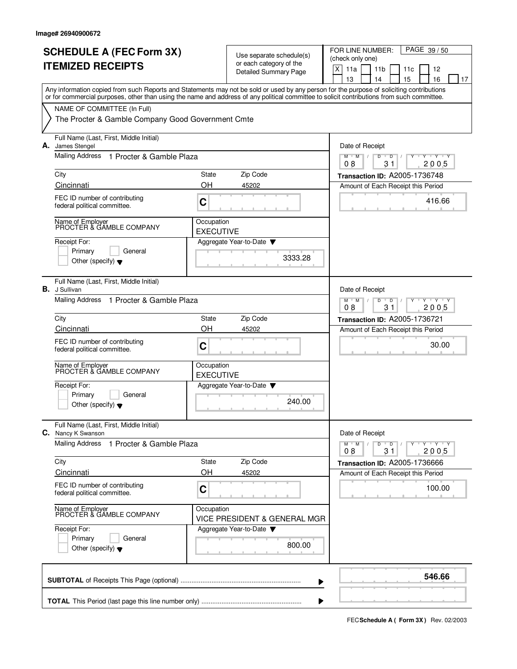|    | <b>SCHEDULE A (FEC Form 3X)</b><br><b>ITEMIZED RECEIPTS</b>                                                                                                                                                                                                                             |                                | Use separate schedule(s)<br>or each category of the<br>Detailed Summary Page | PAGE 39/50<br>FOR LINE NUMBER:<br>(check only one)<br>$\mathsf X$<br>11a<br>11 <sub>b</sub><br>12<br>11c<br>13<br>15<br>16<br>14<br>17 |  |  |  |  |  |  |  |
|----|-----------------------------------------------------------------------------------------------------------------------------------------------------------------------------------------------------------------------------------------------------------------------------------------|--------------------------------|------------------------------------------------------------------------------|----------------------------------------------------------------------------------------------------------------------------------------|--|--|--|--|--|--|--|
|    | Any information copied from such Reports and Statements may not be sold or used by any person for the purpose of soliciting contributions<br>or for commercial purposes, other than using the name and address of any political committee to solicit contributions from such committee. |                                |                                                                              |                                                                                                                                        |  |  |  |  |  |  |  |
|    | NAME OF COMMITTEE (In Full)<br>The Procter & Gamble Company Good Government Cmte                                                                                                                                                                                                        |                                |                                                                              |                                                                                                                                        |  |  |  |  |  |  |  |
| А. | Full Name (Last, First, Middle Initial)<br>James Stengel                                                                                                                                                                                                                                |                                |                                                                              | Date of Receipt                                                                                                                        |  |  |  |  |  |  |  |
|    | Mailing Address 1 Procter & Gamble Plaza                                                                                                                                                                                                                                                |                                |                                                                              | D<br>M<br>M<br>D<br>Y 'Y 'Y<br>08<br>31<br>2005                                                                                        |  |  |  |  |  |  |  |
|    | City                                                                                                                                                                                                                                                                                    | State                          | Zip Code                                                                     | Transaction ID: A2005-1736748                                                                                                          |  |  |  |  |  |  |  |
|    | Cincinnati                                                                                                                                                                                                                                                                              | OH                             | 45202                                                                        | Amount of Each Receipt this Period                                                                                                     |  |  |  |  |  |  |  |
|    | FEC ID number of contributing<br>federal political committee.                                                                                                                                                                                                                           | C                              |                                                                              | 416.66                                                                                                                                 |  |  |  |  |  |  |  |
|    | Name of Employer<br>PROCTER & GAMBLE COMPANY                                                                                                                                                                                                                                            | Occupation<br><b>EXECUTIVE</b> |                                                                              |                                                                                                                                        |  |  |  |  |  |  |  |
|    | Receipt For:<br>Primary<br>General<br>Other (specify) $\blacktriangledown$                                                                                                                                                                                                              |                                | Aggregate Year-to-Date<br>3333.28                                            |                                                                                                                                        |  |  |  |  |  |  |  |
|    | Full Name (Last, First, Middle Initial)<br><b>B.</b> J Sullivan                                                                                                                                                                                                                         |                                |                                                                              | Date of Receipt                                                                                                                        |  |  |  |  |  |  |  |
|    | Mailing Address 1 Procter & Gamble Plaza                                                                                                                                                                                                                                                |                                |                                                                              | $Y - Y - Y$<br>$M$ <sup><math>+</math></sup><br>M<br>$\overline{D}$<br>D<br>08<br>31<br>2005                                           |  |  |  |  |  |  |  |
|    | City                                                                                                                                                                                                                                                                                    | State                          | Zip Code                                                                     | Transaction ID: A2005-1736721                                                                                                          |  |  |  |  |  |  |  |
|    | Cincinnati                                                                                                                                                                                                                                                                              | OH                             | 45202                                                                        | Amount of Each Receipt this Period                                                                                                     |  |  |  |  |  |  |  |
|    | FEC ID number of contributing<br>federal political committee.                                                                                                                                                                                                                           | C                              |                                                                              | 30.00                                                                                                                                  |  |  |  |  |  |  |  |
|    | Name of Employer<br>PROCTER & GAMBLE COMPANY                                                                                                                                                                                                                                            | Occupation<br><b>EXECUTIVE</b> |                                                                              |                                                                                                                                        |  |  |  |  |  |  |  |
|    | Receipt For:<br>General                                                                                                                                                                                                                                                                 |                                | Aggregate Year-to-Date                                                       |                                                                                                                                        |  |  |  |  |  |  |  |
|    | Primary<br>Other (specify) $\blacktriangledown$                                                                                                                                                                                                                                         |                                | 240.00                                                                       |                                                                                                                                        |  |  |  |  |  |  |  |
|    | Full Name (Last, First, Middle Initial)<br>C. Nancy K Swanson                                                                                                                                                                                                                           |                                |                                                                              | Date of Receipt                                                                                                                        |  |  |  |  |  |  |  |
|    | Mailing Address<br>1 Procter & Gamble Plaza                                                                                                                                                                                                                                             |                                |                                                                              | $Y - Y - Y - Y$<br>$M$ $M$<br>D<br>$\overline{D}$<br>2005<br>08<br>31                                                                  |  |  |  |  |  |  |  |
|    | City                                                                                                                                                                                                                                                                                    | State                          | Zip Code                                                                     | Transaction ID: A2005-1736666                                                                                                          |  |  |  |  |  |  |  |
|    | Cincinnati                                                                                                                                                                                                                                                                              | OH                             | 45202                                                                        | Amount of Each Receipt this Period                                                                                                     |  |  |  |  |  |  |  |
|    | FEC ID number of contributing<br>federal political committee.                                                                                                                                                                                                                           | C                              |                                                                              | 100.00                                                                                                                                 |  |  |  |  |  |  |  |
|    | Name of Employer<br>PROCTER & GAMBLE COMPANY                                                                                                                                                                                                                                            | Occupation                     | VICE PRESIDENT & GENERAL MGR                                                 |                                                                                                                                        |  |  |  |  |  |  |  |
|    | Receipt For:                                                                                                                                                                                                                                                                            |                                | Aggregate Year-to-Date                                                       |                                                                                                                                        |  |  |  |  |  |  |  |
|    | Primary<br>General<br>Other (specify) $\blacktriangledown$                                                                                                                                                                                                                              |                                | 800.00                                                                       |                                                                                                                                        |  |  |  |  |  |  |  |
|    |                                                                                                                                                                                                                                                                                         |                                |                                                                              | 546.66                                                                                                                                 |  |  |  |  |  |  |  |

**FECSchedule A ( Form 3X)** Rev. 02/2003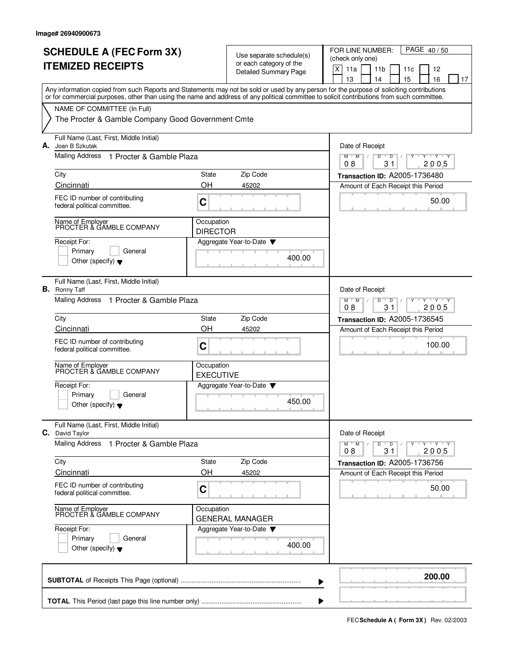|    | <b>SCHEDULE A (FEC Form 3X)</b><br><b>ITEMIZED RECEIPTS</b>                                                                                                                                                                                                                             |                                | Use separate schedule(s)<br>or each category of the<br><b>Detailed Summary Page</b> | PAGE 40/50<br>FOR LINE NUMBER:<br>(check only one)<br>$\mathsf X$<br>11a<br>11 <sub>b</sub><br>12<br>11c<br>13<br>15<br>16<br>14<br>17 |
|----|-----------------------------------------------------------------------------------------------------------------------------------------------------------------------------------------------------------------------------------------------------------------------------------------|--------------------------------|-------------------------------------------------------------------------------------|----------------------------------------------------------------------------------------------------------------------------------------|
|    | Any information copied from such Reports and Statements may not be sold or used by any person for the purpose of soliciting contributions<br>or for commercial purposes, other than using the name and address of any political committee to solicit contributions from such committee. |                                |                                                                                     |                                                                                                                                        |
|    | NAME OF COMMITTEE (In Full)<br>The Procter & Gamble Company Good Government Cmte                                                                                                                                                                                                        |                                |                                                                                     |                                                                                                                                        |
| А. | Full Name (Last, First, Middle Initial)<br>Joan B Szkutak                                                                                                                                                                                                                               |                                |                                                                                     | Date of Receipt                                                                                                                        |
|    | Mailing Address<br>1 Procter & Gamble Plaza                                                                                                                                                                                                                                             |                                |                                                                                     | D<br>$M$ $M$<br>D<br>Y 'Y 'Y<br>08<br>31<br>2005                                                                                       |
|    | City                                                                                                                                                                                                                                                                                    | State                          | Zip Code                                                                            | Transaction ID: A2005-1736480                                                                                                          |
|    | Cincinnati<br>FEC ID number of contributing                                                                                                                                                                                                                                             | OΗ<br>C                        | 45202                                                                               | Amount of Each Receipt this Period<br>50.00                                                                                            |
|    | federal political committee.                                                                                                                                                                                                                                                            |                                |                                                                                     |                                                                                                                                        |
|    | Name of Employer<br>PROCTER & GAMBLE COMPANY                                                                                                                                                                                                                                            | Occupation<br><b>DIRECTOR</b>  |                                                                                     |                                                                                                                                        |
|    | Receipt For:<br>Primary<br>General<br>Other (specify) $\blacktriangledown$                                                                                                                                                                                                              |                                | Aggregate Year-to-Date<br>400.00                                                    |                                                                                                                                        |
| В. | Full Name (Last, First, Middle Initial)<br>Ronny Taff                                                                                                                                                                                                                                   |                                |                                                                                     | Date of Receipt                                                                                                                        |
|    | Mailing Address 1 Procter & Gamble Plaza                                                                                                                                                                                                                                                |                                |                                                                                     | $Y + Y + Y$<br>M<br>M<br>$\overline{D}$<br>D<br>08<br>31<br>2005                                                                       |
|    | City                                                                                                                                                                                                                                                                                    | State                          | Zip Code                                                                            | Transaction ID: A2005-1736545                                                                                                          |
|    | Cincinnati                                                                                                                                                                                                                                                                              | OH                             | 45202                                                                               | Amount of Each Receipt this Period                                                                                                     |
|    | FEC ID number of contributing<br>federal political committee.                                                                                                                                                                                                                           | C                              |                                                                                     | 100.00                                                                                                                                 |
|    | Name of Employer<br>PROCTER & GAMBLE COMPANY                                                                                                                                                                                                                                            | Occupation<br><b>EXECUTIVE</b> |                                                                                     |                                                                                                                                        |
|    | Receipt For:                                                                                                                                                                                                                                                                            |                                | Aggregate Year-to-Date                                                              |                                                                                                                                        |
|    | Primary<br>General<br>Other (specify) $\blacktriangledown$                                                                                                                                                                                                                              |                                | 450.00                                                                              |                                                                                                                                        |
|    | Full Name (Last, First, Middle Initial)<br>C. David Taylor                                                                                                                                                                                                                              |                                |                                                                                     | Date of Receipt                                                                                                                        |
|    | <b>Mailing Address</b><br>1 Procter & Gamble Plaza                                                                                                                                                                                                                                      |                                |                                                                                     | $Y - Y - Y - Y$<br>$M$ $M$<br>D<br>$\overline{D}$<br>2005<br>08<br>31                                                                  |
|    | City                                                                                                                                                                                                                                                                                    | State                          | Zip Code                                                                            | Transaction ID: A2005-1736756                                                                                                          |
|    | Cincinnati                                                                                                                                                                                                                                                                              | OH                             | 45202                                                                               | Amount of Each Receipt this Period                                                                                                     |
|    | FEC ID number of contributing<br>federal political committee.                                                                                                                                                                                                                           | C                              |                                                                                     | 50.00                                                                                                                                  |
|    | Name of Employer<br>PROCTER & GAMBLE COMPANY                                                                                                                                                                                                                                            | Occupation                     | <b>GENERAL MANAGER</b>                                                              |                                                                                                                                        |
|    | Receipt For:                                                                                                                                                                                                                                                                            |                                | Aggregate Year-to-Date                                                              |                                                                                                                                        |
|    | Primary<br>General<br>Other (specify) $\blacktriangledown$                                                                                                                                                                                                                              |                                | 400.00                                                                              |                                                                                                                                        |
|    |                                                                                                                                                                                                                                                                                         |                                |                                                                                     | 200.00                                                                                                                                 |

**FECSchedule A ( Form 3X)** Rev. 02/2003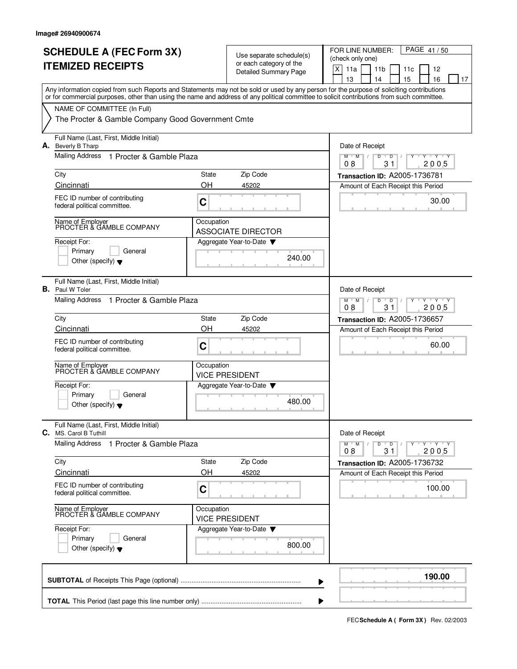| <b>SCHEDULE A (FEC Form 3X)</b><br><b>ITEMIZED RECEIPTS</b>                                                                                                                                                                                                                             |                    | Use separate schedule(s)<br>or each category of the<br><b>Detailed Summary Page</b> | FOR LINE NUMBER:<br>PAGE 41/50<br>(check only one)<br>X<br>11a<br>11 <sub>b</sub><br>12<br>11c<br>13<br>14<br>15<br>16<br>17 |
|-----------------------------------------------------------------------------------------------------------------------------------------------------------------------------------------------------------------------------------------------------------------------------------------|--------------------|-------------------------------------------------------------------------------------|------------------------------------------------------------------------------------------------------------------------------|
| Any information copied from such Reports and Statements may not be sold or used by any person for the purpose of soliciting contributions<br>or for commercial purposes, other than using the name and address of any political committee to solicit contributions from such committee. |                    |                                                                                     |                                                                                                                              |
| NAME OF COMMITTEE (In Full)<br>The Procter & Gamble Company Good Government Cmte                                                                                                                                                                                                        |                    |                                                                                     |                                                                                                                              |
| Full Name (Last, First, Middle Initial)<br>A. Beverly B Tharp                                                                                                                                                                                                                           |                    |                                                                                     | Date of Receipt                                                                                                              |
| Mailing Address<br>1 Procter & Gamble Plaza                                                                                                                                                                                                                                             |                    |                                                                                     | $M$ $M$<br>D<br>D<br>$+Y+Y$<br>2005<br>08<br>31                                                                              |
| City<br>Cincinnati                                                                                                                                                                                                                                                                      | <b>State</b><br>OH | Zip Code<br>45202                                                                   | Transaction ID: A2005-1736781<br>Amount of Each Receipt this Period                                                          |
| FEC ID number of contributing<br>federal political committee.                                                                                                                                                                                                                           | C                  |                                                                                     | 30.00                                                                                                                        |
| Name of Employer<br>PROCTER & GAMBLE COMPANY                                                                                                                                                                                                                                            | Occupation         | <b>ASSOCIATE DIRECTOR</b>                                                           |                                                                                                                              |
| Receipt For:<br>Primary<br>General<br>Other (specify) $\blacktriangledown$                                                                                                                                                                                                              |                    | Aggregate Year-to-Date<br>240.00                                                    |                                                                                                                              |
| Full Name (Last, First, Middle Initial)<br><b>B.</b> Paul W Toler                                                                                                                                                                                                                       |                    |                                                                                     | Date of Receipt                                                                                                              |
| Mailing Address 1 Procter & Gamble Plaza                                                                                                                                                                                                                                                |                    |                                                                                     | $Y - Y - Y$<br>$M$ <sup><math>+</math></sup><br>M<br>D<br>$\overline{D}$<br>08<br>31<br>2005                                 |
| City<br>Cincinnati                                                                                                                                                                                                                                                                      | State<br>OH        | Zip Code<br>45202                                                                   | <b>Transaction ID: A2005-1736657</b><br>Amount of Each Receipt this Period                                                   |
| FEC ID number of contributing<br>federal political committee.                                                                                                                                                                                                                           | C                  |                                                                                     | 60.00                                                                                                                        |
| Name of Employer<br>PROCTER & GAMBLE COMPANY                                                                                                                                                                                                                                            | Occupation         | <b>VICE PRESIDENT</b>                                                               |                                                                                                                              |
| Receipt For:<br>Primary<br>General<br>Other (specify) $\blacktriangledown$                                                                                                                                                                                                              |                    | Aggregate Year-to-Date<br>480.00                                                    |                                                                                                                              |
| Full Name (Last, First, Middle Initial)<br>C. MS. Carol B Tuthill                                                                                                                                                                                                                       |                    |                                                                                     | Date of Receipt                                                                                                              |
| <b>Mailing Address</b><br>1 Procter & Gamble Plaza                                                                                                                                                                                                                                      |                    |                                                                                     | $M$ $M$<br>Y 'Y 'Y<br>D<br>$\overline{D}$<br>31<br>08<br>2005                                                                |
| City<br>Cincinnati                                                                                                                                                                                                                                                                      | State<br>OH        | Zip Code<br>45202                                                                   | Transaction ID: A2005-1736732<br>Amount of Each Receipt this Period                                                          |
| FEC ID number of contributing<br>federal political committee.                                                                                                                                                                                                                           | C                  |                                                                                     | 100.00                                                                                                                       |
| Name of Employer<br>PROCTER & GAMBLE COMPANY                                                                                                                                                                                                                                            | Occupation         | <b>VICE PRESIDENT</b>                                                               |                                                                                                                              |
| Receipt For:<br>Primary<br>General<br>Other (specify) $\blacktriangledown$                                                                                                                                                                                                              |                    | Aggregate Year-to-Date<br>800.00                                                    |                                                                                                                              |
|                                                                                                                                                                                                                                                                                         |                    |                                                                                     | 190.00                                                                                                                       |
|                                                                                                                                                                                                                                                                                         |                    |                                                                                     |                                                                                                                              |

**FECSchedule A ( Form 3X)** Rev. 02/2003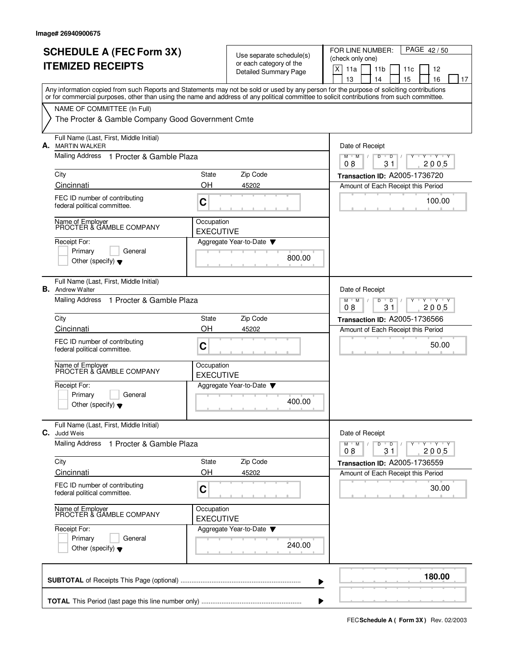| <b>SCHEDULE A (FEC Form 3X)</b>                                                                                                                                                                                                                                                         |                                | Use separate schedule(s)                                | FOR LINE NUMBER:<br>PAGE 42/50                                        |
|-----------------------------------------------------------------------------------------------------------------------------------------------------------------------------------------------------------------------------------------------------------------------------------------|--------------------------------|---------------------------------------------------------|-----------------------------------------------------------------------|
| <b>ITEMIZED RECEIPTS</b>                                                                                                                                                                                                                                                                |                                | or each category of the<br><b>Detailed Summary Page</b> | (check only one)<br>X<br>11a<br>11 <sub>b</sub><br>12<br>11c          |
| Any information copied from such Reports and Statements may not be sold or used by any person for the purpose of soliciting contributions<br>or for commercial purposes, other than using the name and address of any political committee to solicit contributions from such committee. |                                |                                                         | 13<br>14<br>15<br>16<br>17                                            |
| NAME OF COMMITTEE (In Full)                                                                                                                                                                                                                                                             |                                |                                                         |                                                                       |
| The Procter & Gamble Company Good Government Cmte                                                                                                                                                                                                                                       |                                |                                                         |                                                                       |
| Full Name (Last, First, Middle Initial)<br>A. MARTIN WALKER                                                                                                                                                                                                                             |                                |                                                         | Date of Receipt                                                       |
| Mailing Address 1 Procter & Gamble Plaza                                                                                                                                                                                                                                                |                                |                                                         | $M$ $M$<br>D<br>D<br>$\mathbf{y}$ $\mathbf{y}$<br>2005<br>08<br>31    |
| City                                                                                                                                                                                                                                                                                    | State                          | Zip Code                                                | Transaction ID: A2005-1736720                                         |
| Cincinnati                                                                                                                                                                                                                                                                              | OH                             | 45202                                                   | Amount of Each Receipt this Period                                    |
| FEC ID number of contributing<br>federal political committee.                                                                                                                                                                                                                           | C                              |                                                         | 100.00                                                                |
| Name of Employer<br>PROCTER & GAMBLE COMPANY                                                                                                                                                                                                                                            | Occupation<br><b>EXECUTIVE</b> |                                                         |                                                                       |
| Receipt For:                                                                                                                                                                                                                                                                            |                                | Aggregate Year-to-Date                                  |                                                                       |
| Primary<br>General<br>Other (specify) $\blacktriangledown$                                                                                                                                                                                                                              |                                | 800.00                                                  |                                                                       |
| Full Name (Last, First, Middle Initial)<br><b>B.</b> Andrew Walter                                                                                                                                                                                                                      |                                |                                                         | Date of Receipt                                                       |
| Mailing Address 1 Procter & Gamble Plaza                                                                                                                                                                                                                                                |                                |                                                         | $Y - Y - Y$<br>$M$ <sup>U</sup><br>M<br>D<br>D<br>08<br>31<br>2005    |
| City                                                                                                                                                                                                                                                                                    | State                          | Zip Code                                                | <b>Transaction ID: A2005-1736566</b>                                  |
| Cincinnati                                                                                                                                                                                                                                                                              | OH                             | 45202                                                   | Amount of Each Receipt this Period                                    |
| FEC ID number of contributing<br>federal political committee.                                                                                                                                                                                                                           | C                              |                                                         | 50.00                                                                 |
| Name of Employer<br>PROCTER & GAMBLE COMPANY                                                                                                                                                                                                                                            | Occupation<br><b>EXECUTIVE</b> |                                                         |                                                                       |
| Receipt For:                                                                                                                                                                                                                                                                            |                                | Aggregate Year-to-Date                                  |                                                                       |
| Primary<br>General<br>Other (specify) $\blacktriangledown$                                                                                                                                                                                                                              |                                | 400.00                                                  |                                                                       |
| Full Name (Last, First, Middle Initial)<br>C. Judd Weis                                                                                                                                                                                                                                 |                                |                                                         | Date of Receipt                                                       |
| Mailing Address<br>1 Procter & Gamble Plaza                                                                                                                                                                                                                                             |                                |                                                         | $Y - Y - Y - Y$<br>$M^+$ M<br>D<br>$\overline{D}$<br>08<br>31<br>2005 |
| City                                                                                                                                                                                                                                                                                    | State                          | Zip Code                                                | Transaction ID: A2005-1736559                                         |
| Cincinnati                                                                                                                                                                                                                                                                              | OH                             | 45202                                                   | Amount of Each Receipt this Period                                    |
| FEC ID number of contributing<br>federal political committee.                                                                                                                                                                                                                           | C                              |                                                         | 30.00                                                                 |
| Name of Employer<br>PROCTER & GAMBLE COMPANY                                                                                                                                                                                                                                            | Occupation<br><b>EXECUTIVE</b> |                                                         |                                                                       |
| Receipt For:                                                                                                                                                                                                                                                                            |                                | Aggregate Year-to-Date                                  |                                                                       |
| Primary<br>General<br>Other (specify) $\blacktriangledown$                                                                                                                                                                                                                              |                                | 240.00                                                  |                                                                       |
|                                                                                                                                                                                                                                                                                         |                                |                                                         | 180.00                                                                |

**FECSchedule A ( Form 3X)** Rev. 02/2003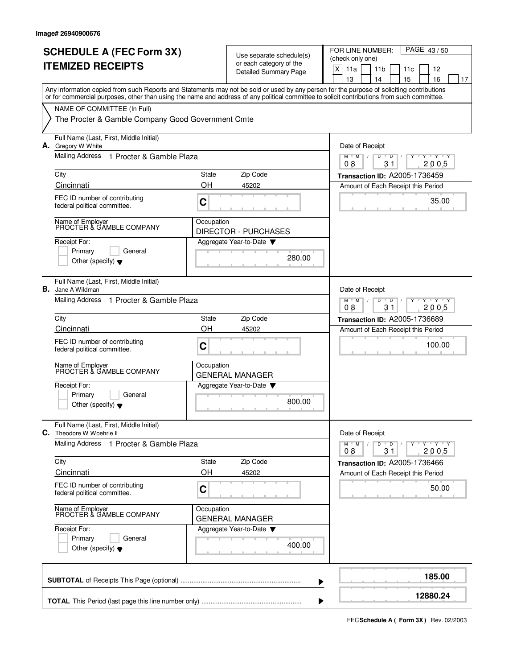|    | <b>SCHEDULE A (FEC Form 3X)</b><br><b>ITEMIZED RECEIPTS</b>                                                                                                                                                                                                                             |             | Use separate schedule(s)<br>or each category of the<br><b>Detailed Summary Page</b> | PAGE 43/50<br>FOR LINE NUMBER:<br>(check only one)<br>X<br>11a<br>11 <sub>b</sub><br>12<br>11c<br>13<br>15<br>16<br>14<br>17 |
|----|-----------------------------------------------------------------------------------------------------------------------------------------------------------------------------------------------------------------------------------------------------------------------------------------|-------------|-------------------------------------------------------------------------------------|------------------------------------------------------------------------------------------------------------------------------|
|    | Any information copied from such Reports and Statements may not be sold or used by any person for the purpose of soliciting contributions<br>or for commercial purposes, other than using the name and address of any political committee to solicit contributions from such committee. |             |                                                                                     |                                                                                                                              |
|    | NAME OF COMMITTEE (In Full)<br>The Procter & Gamble Company Good Government Cmte                                                                                                                                                                                                        |             |                                                                                     |                                                                                                                              |
|    | Full Name (Last, First, Middle Initial)<br>A. Gregory W White                                                                                                                                                                                                                           |             |                                                                                     | Date of Receipt                                                                                                              |
|    | Mailing Address<br>1 Procter & Gamble Plaza                                                                                                                                                                                                                                             |             |                                                                                     | D<br>$M$ $M$<br>D<br>$\cdots$ Y $\cdots$ Y<br>08<br>31<br>2005                                                               |
|    | City                                                                                                                                                                                                                                                                                    | State       | Zip Code                                                                            | Transaction ID: A2005-1736459                                                                                                |
|    | Cincinnati                                                                                                                                                                                                                                                                              | OH          | 45202                                                                               | Amount of Each Receipt this Period                                                                                           |
|    | FEC ID number of contributing<br>federal political committee.                                                                                                                                                                                                                           | C           |                                                                                     | 35.00                                                                                                                        |
|    | Name of Employer<br>PROCTER & GAMBLE COMPANY                                                                                                                                                                                                                                            | Occupation  | <b>DIRECTOR - PURCHASES</b>                                                         |                                                                                                                              |
|    | Receipt For:<br>Primary<br>General<br>Other (specify) $\blacktriangledown$                                                                                                                                                                                                              |             | Aggregate Year-to-Date<br>280.00                                                    |                                                                                                                              |
| В. | Full Name (Last, First, Middle Initial)<br>Jane A Wildman                                                                                                                                                                                                                               |             |                                                                                     | Date of Receipt                                                                                                              |
|    | Mailing Address<br>1 Procter & Gamble Plaza                                                                                                                                                                                                                                             |             |                                                                                     | $Y - Y - Y$<br>$M$ <sup>U</sup><br>M<br>D<br>D<br>31<br>2005<br>08                                                           |
|    | City                                                                                                                                                                                                                                                                                    | State       | Zip Code                                                                            | Transaction ID: A2005-1736689                                                                                                |
|    | Cincinnati<br>FEC ID number of contributing<br>federal political committee.                                                                                                                                                                                                             | OH<br>C     | 45202                                                                               | Amount of Each Receipt this Period<br>100.00                                                                                 |
|    | Name of Employer<br>PROCTER & GAMBLE COMPANY                                                                                                                                                                                                                                            | Occupation  | <b>GENERAL MANAGER</b>                                                              |                                                                                                                              |
|    | Receipt For:<br>Primary<br>General<br>Other (specify) $\blacktriangledown$                                                                                                                                                                                                              |             | Aggregate Year-to-Date<br>800.00                                                    |                                                                                                                              |
|    | Full Name (Last, First, Middle Initial)<br>C. Theodore W Woehrle II                                                                                                                                                                                                                     |             |                                                                                     | Date of Receipt                                                                                                              |
|    | Mailing Address<br>1 Procter & Gamble Plaza                                                                                                                                                                                                                                             |             |                                                                                     | $Y - Y - Y$<br>$M$ $M$ /<br>D<br>$\overline{D}$<br>08<br>31<br>2005                                                          |
|    | City<br>Cincinnati                                                                                                                                                                                                                                                                      | State<br>OH | Zip Code<br>45202                                                                   | Transaction ID: A2005-1736466<br>Amount of Each Receipt this Period                                                          |
|    | FEC ID number of contributing<br>federal political committee.                                                                                                                                                                                                                           | C           |                                                                                     | 50.00                                                                                                                        |
|    | Name of Employer<br>PROCTER & GAMBLE COMPANY                                                                                                                                                                                                                                            | Occupation  | <b>GENERAL MANAGER</b>                                                              |                                                                                                                              |
|    | Receipt For:<br>Primary<br>General<br>Other (specify) $\blacktriangledown$                                                                                                                                                                                                              |             | Aggregate Year-to-Date<br>400.00                                                    |                                                                                                                              |
|    |                                                                                                                                                                                                                                                                                         |             |                                                                                     | 185.00                                                                                                                       |
|    |                                                                                                                                                                                                                                                                                         |             |                                                                                     | 12880.24                                                                                                                     |

**FECSchedule A ( Form 3X)** Rev. 02/2003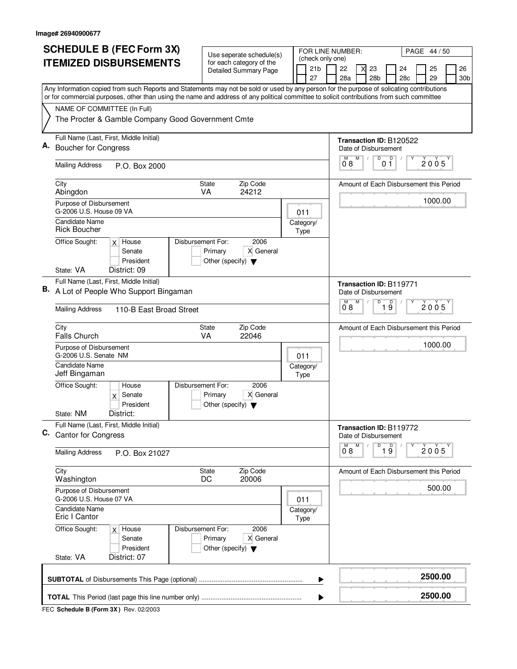| (check only one)<br><b>ITEMIZED DISBURSEMENTS</b><br>for each category of the<br>21 <sub>b</sub><br>22<br>23<br>24<br>25<br><b>Detailed Summary Page</b><br>29<br>27<br>28a<br>28 <sub>b</sub><br>28c<br>Any Information copied from such Reports and Statements may not be sold or used by any person for the purpose of solicating contributions<br>or for commercial purposes, other than using the name and address of any political committee to solicit contributions from such committee<br>NAME OF COMMITTEE (In Full)<br>The Procter & Gamble Company Good Government Cmte<br>Full Name (Last, First, Middle Initial)<br>Transaction ID: B120522<br>А.<br><b>Boucher for Congress</b><br>Date of Disbursement<br>M<br>0 <sup>0</sup><br>D<br>2005<br>08<br><b>Mailing Address</b><br>P.O. Box 2000<br>Zip Code<br>City<br><b>State</b><br>Amount of Each Disbursement this Period<br>VA<br>24212<br>Abingdon<br>1000.00<br>Purpose of Disbursement<br>G-2006 U.S. House 09 VA<br>011<br>Candidate Name<br>Category/<br><b>Rick Boucher</b><br>Type<br>Disbursement For:<br>2006<br>Office Sought:<br>$x$ House<br>Senate<br>Primary<br>X General<br>President<br>Other (specify) $\blacktriangledown$<br>State: VA<br>District: 09<br>Full Name (Last, First, Middle Initial)<br><b>Transaction ID: B119771</b><br>B. A Lot of People Who Support Bingaman<br>Date of Disbursement<br>M<br>D<br>D<br>M<br>2005<br>19<br>08<br><b>Mailing Address</b><br>110-B East Broad Street<br>Zip Code<br>City<br>State<br>Amount of Each Disbursement this Period<br><b>Falls Church</b><br>VA<br>22046<br>1000.00<br>Purpose of Disbursement<br>G-2006 U.S. Senate NM<br>011<br>Candidate Name<br>Category/<br>Jeff Bingaman<br>Type<br>Office Sought:<br>Disbursement For:<br>2006<br>House<br>X General<br>$x$ Senate<br>Primary<br>President<br>Other (specify) $\blacktriangledown$<br>State: NM<br>District:<br>Full Name (Last, First, Middle Initial)<br>Transaction ID: B119772<br>C.<br><b>Cantor for Congress</b><br>Date of Disbursement<br>D<br>$\overline{1}$ $\overline{9}$<br>M<br>Υ<br>2005<br>0°8<br><b>Mailing Address</b><br>P.O. Box 21027<br>City<br>State<br>Zip Code<br>Amount of Each Disbursement this Period<br>DC<br>20006<br>Washington<br>500.00<br>Purpose of Disbursement<br>G-2006 U.S. House 07 VA<br>011<br>Candidate Name<br>Category/<br>Eric I Cantor<br><b>Type</b><br>Disbursement For:<br>2006<br>Office Sought:<br>$x$ House<br>X General<br>Senate<br>Primary<br>President<br>Other (specify) $\blacktriangledown$<br>State: VA<br>District: 07<br>2500.00<br>▶<br>2500.00 | <b>SCHEDULE B (FEC Form 3X)</b> | Use seperate schedule(s) |  | FOR LINE NUMBER: |  |  |  | PAGE 44 / 50 |           |
|----------------------------------------------------------------------------------------------------------------------------------------------------------------------------------------------------------------------------------------------------------------------------------------------------------------------------------------------------------------------------------------------------------------------------------------------------------------------------------------------------------------------------------------------------------------------------------------------------------------------------------------------------------------------------------------------------------------------------------------------------------------------------------------------------------------------------------------------------------------------------------------------------------------------------------------------------------------------------------------------------------------------------------------------------------------------------------------------------------------------------------------------------------------------------------------------------------------------------------------------------------------------------------------------------------------------------------------------------------------------------------------------------------------------------------------------------------------------------------------------------------------------------------------------------------------------------------------------------------------------------------------------------------------------------------------------------------------------------------------------------------------------------------------------------------------------------------------------------------------------------------------------------------------------------------------------------------------------------------------------------------------------------------------------------------------------------------------------------------------------------------------------------------------------------------------------------------------------------------------------------------------------------------------------------------------------------------------------------------------------------------------------------------------------------------------------------------------------------------------------------------------------------------------------------------------------------------------------------------------------|---------------------------------|--------------------------|--|------------------|--|--|--|--------------|-----------|
|                                                                                                                                                                                                                                                                                                                                                                                                                                                                                                                                                                                                                                                                                                                                                                                                                                                                                                                                                                                                                                                                                                                                                                                                                                                                                                                                                                                                                                                                                                                                                                                                                                                                                                                                                                                                                                                                                                                                                                                                                                                                                                                                                                                                                                                                                                                                                                                                                                                                                                                                                                                                                      |                                 |                          |  |                  |  |  |  |              | 26<br>30b |
|                                                                                                                                                                                                                                                                                                                                                                                                                                                                                                                                                                                                                                                                                                                                                                                                                                                                                                                                                                                                                                                                                                                                                                                                                                                                                                                                                                                                                                                                                                                                                                                                                                                                                                                                                                                                                                                                                                                                                                                                                                                                                                                                                                                                                                                                                                                                                                                                                                                                                                                                                                                                                      |                                 |                          |  |                  |  |  |  |              |           |
|                                                                                                                                                                                                                                                                                                                                                                                                                                                                                                                                                                                                                                                                                                                                                                                                                                                                                                                                                                                                                                                                                                                                                                                                                                                                                                                                                                                                                                                                                                                                                                                                                                                                                                                                                                                                                                                                                                                                                                                                                                                                                                                                                                                                                                                                                                                                                                                                                                                                                                                                                                                                                      |                                 |                          |  |                  |  |  |  |              |           |
|                                                                                                                                                                                                                                                                                                                                                                                                                                                                                                                                                                                                                                                                                                                                                                                                                                                                                                                                                                                                                                                                                                                                                                                                                                                                                                                                                                                                                                                                                                                                                                                                                                                                                                                                                                                                                                                                                                                                                                                                                                                                                                                                                                                                                                                                                                                                                                                                                                                                                                                                                                                                                      |                                 |                          |  |                  |  |  |  |              |           |
|                                                                                                                                                                                                                                                                                                                                                                                                                                                                                                                                                                                                                                                                                                                                                                                                                                                                                                                                                                                                                                                                                                                                                                                                                                                                                                                                                                                                                                                                                                                                                                                                                                                                                                                                                                                                                                                                                                                                                                                                                                                                                                                                                                                                                                                                                                                                                                                                                                                                                                                                                                                                                      |                                 |                          |  |                  |  |  |  |              |           |
|                                                                                                                                                                                                                                                                                                                                                                                                                                                                                                                                                                                                                                                                                                                                                                                                                                                                                                                                                                                                                                                                                                                                                                                                                                                                                                                                                                                                                                                                                                                                                                                                                                                                                                                                                                                                                                                                                                                                                                                                                                                                                                                                                                                                                                                                                                                                                                                                                                                                                                                                                                                                                      |                                 |                          |  |                  |  |  |  |              |           |
|                                                                                                                                                                                                                                                                                                                                                                                                                                                                                                                                                                                                                                                                                                                                                                                                                                                                                                                                                                                                                                                                                                                                                                                                                                                                                                                                                                                                                                                                                                                                                                                                                                                                                                                                                                                                                                                                                                                                                                                                                                                                                                                                                                                                                                                                                                                                                                                                                                                                                                                                                                                                                      |                                 |                          |  |                  |  |  |  |              |           |
|                                                                                                                                                                                                                                                                                                                                                                                                                                                                                                                                                                                                                                                                                                                                                                                                                                                                                                                                                                                                                                                                                                                                                                                                                                                                                                                                                                                                                                                                                                                                                                                                                                                                                                                                                                                                                                                                                                                                                                                                                                                                                                                                                                                                                                                                                                                                                                                                                                                                                                                                                                                                                      |                                 |                          |  |                  |  |  |  |              |           |
|                                                                                                                                                                                                                                                                                                                                                                                                                                                                                                                                                                                                                                                                                                                                                                                                                                                                                                                                                                                                                                                                                                                                                                                                                                                                                                                                                                                                                                                                                                                                                                                                                                                                                                                                                                                                                                                                                                                                                                                                                                                                                                                                                                                                                                                                                                                                                                                                                                                                                                                                                                                                                      |                                 |                          |  |                  |  |  |  |              |           |
|                                                                                                                                                                                                                                                                                                                                                                                                                                                                                                                                                                                                                                                                                                                                                                                                                                                                                                                                                                                                                                                                                                                                                                                                                                                                                                                                                                                                                                                                                                                                                                                                                                                                                                                                                                                                                                                                                                                                                                                                                                                                                                                                                                                                                                                                                                                                                                                                                                                                                                                                                                                                                      |                                 |                          |  |                  |  |  |  |              |           |
|                                                                                                                                                                                                                                                                                                                                                                                                                                                                                                                                                                                                                                                                                                                                                                                                                                                                                                                                                                                                                                                                                                                                                                                                                                                                                                                                                                                                                                                                                                                                                                                                                                                                                                                                                                                                                                                                                                                                                                                                                                                                                                                                                                                                                                                                                                                                                                                                                                                                                                                                                                                                                      |                                 |                          |  |                  |  |  |  |              |           |
|                                                                                                                                                                                                                                                                                                                                                                                                                                                                                                                                                                                                                                                                                                                                                                                                                                                                                                                                                                                                                                                                                                                                                                                                                                                                                                                                                                                                                                                                                                                                                                                                                                                                                                                                                                                                                                                                                                                                                                                                                                                                                                                                                                                                                                                                                                                                                                                                                                                                                                                                                                                                                      |                                 |                          |  |                  |  |  |  |              |           |
|                                                                                                                                                                                                                                                                                                                                                                                                                                                                                                                                                                                                                                                                                                                                                                                                                                                                                                                                                                                                                                                                                                                                                                                                                                                                                                                                                                                                                                                                                                                                                                                                                                                                                                                                                                                                                                                                                                                                                                                                                                                                                                                                                                                                                                                                                                                                                                                                                                                                                                                                                                                                                      |                                 |                          |  |                  |  |  |  |              |           |
|                                                                                                                                                                                                                                                                                                                                                                                                                                                                                                                                                                                                                                                                                                                                                                                                                                                                                                                                                                                                                                                                                                                                                                                                                                                                                                                                                                                                                                                                                                                                                                                                                                                                                                                                                                                                                                                                                                                                                                                                                                                                                                                                                                                                                                                                                                                                                                                                                                                                                                                                                                                                                      |                                 |                          |  |                  |  |  |  |              |           |
|                                                                                                                                                                                                                                                                                                                                                                                                                                                                                                                                                                                                                                                                                                                                                                                                                                                                                                                                                                                                                                                                                                                                                                                                                                                                                                                                                                                                                                                                                                                                                                                                                                                                                                                                                                                                                                                                                                                                                                                                                                                                                                                                                                                                                                                                                                                                                                                                                                                                                                                                                                                                                      |                                 |                          |  |                  |  |  |  |              |           |
|                                                                                                                                                                                                                                                                                                                                                                                                                                                                                                                                                                                                                                                                                                                                                                                                                                                                                                                                                                                                                                                                                                                                                                                                                                                                                                                                                                                                                                                                                                                                                                                                                                                                                                                                                                                                                                                                                                                                                                                                                                                                                                                                                                                                                                                                                                                                                                                                                                                                                                                                                                                                                      |                                 |                          |  |                  |  |  |  |              |           |
|                                                                                                                                                                                                                                                                                                                                                                                                                                                                                                                                                                                                                                                                                                                                                                                                                                                                                                                                                                                                                                                                                                                                                                                                                                                                                                                                                                                                                                                                                                                                                                                                                                                                                                                                                                                                                                                                                                                                                                                                                                                                                                                                                                                                                                                                                                                                                                                                                                                                                                                                                                                                                      |                                 |                          |  |                  |  |  |  |              |           |
|                                                                                                                                                                                                                                                                                                                                                                                                                                                                                                                                                                                                                                                                                                                                                                                                                                                                                                                                                                                                                                                                                                                                                                                                                                                                                                                                                                                                                                                                                                                                                                                                                                                                                                                                                                                                                                                                                                                                                                                                                                                                                                                                                                                                                                                                                                                                                                                                                                                                                                                                                                                                                      |                                 |                          |  |                  |  |  |  |              |           |
|                                                                                                                                                                                                                                                                                                                                                                                                                                                                                                                                                                                                                                                                                                                                                                                                                                                                                                                                                                                                                                                                                                                                                                                                                                                                                                                                                                                                                                                                                                                                                                                                                                                                                                                                                                                                                                                                                                                                                                                                                                                                                                                                                                                                                                                                                                                                                                                                                                                                                                                                                                                                                      |                                 |                          |  |                  |  |  |  |              |           |
|                                                                                                                                                                                                                                                                                                                                                                                                                                                                                                                                                                                                                                                                                                                                                                                                                                                                                                                                                                                                                                                                                                                                                                                                                                                                                                                                                                                                                                                                                                                                                                                                                                                                                                                                                                                                                                                                                                                                                                                                                                                                                                                                                                                                                                                                                                                                                                                                                                                                                                                                                                                                                      |                                 |                          |  |                  |  |  |  |              |           |
|                                                                                                                                                                                                                                                                                                                                                                                                                                                                                                                                                                                                                                                                                                                                                                                                                                                                                                                                                                                                                                                                                                                                                                                                                                                                                                                                                                                                                                                                                                                                                                                                                                                                                                                                                                                                                                                                                                                                                                                                                                                                                                                                                                                                                                                                                                                                                                                                                                                                                                                                                                                                                      |                                 |                          |  |                  |  |  |  |              |           |
|                                                                                                                                                                                                                                                                                                                                                                                                                                                                                                                                                                                                                                                                                                                                                                                                                                                                                                                                                                                                                                                                                                                                                                                                                                                                                                                                                                                                                                                                                                                                                                                                                                                                                                                                                                                                                                                                                                                                                                                                                                                                                                                                                                                                                                                                                                                                                                                                                                                                                                                                                                                                                      |                                 |                          |  |                  |  |  |  |              |           |
|                                                                                                                                                                                                                                                                                                                                                                                                                                                                                                                                                                                                                                                                                                                                                                                                                                                                                                                                                                                                                                                                                                                                                                                                                                                                                                                                                                                                                                                                                                                                                                                                                                                                                                                                                                                                                                                                                                                                                                                                                                                                                                                                                                                                                                                                                                                                                                                                                                                                                                                                                                                                                      |                                 |                          |  |                  |  |  |  |              |           |
|                                                                                                                                                                                                                                                                                                                                                                                                                                                                                                                                                                                                                                                                                                                                                                                                                                                                                                                                                                                                                                                                                                                                                                                                                                                                                                                                                                                                                                                                                                                                                                                                                                                                                                                                                                                                                                                                                                                                                                                                                                                                                                                                                                                                                                                                                                                                                                                                                                                                                                                                                                                                                      |                                 |                          |  |                  |  |  |  |              |           |
|                                                                                                                                                                                                                                                                                                                                                                                                                                                                                                                                                                                                                                                                                                                                                                                                                                                                                                                                                                                                                                                                                                                                                                                                                                                                                                                                                                                                                                                                                                                                                                                                                                                                                                                                                                                                                                                                                                                                                                                                                                                                                                                                                                                                                                                                                                                                                                                                                                                                                                                                                                                                                      |                                 |                          |  |                  |  |  |  |              |           |
|                                                                                                                                                                                                                                                                                                                                                                                                                                                                                                                                                                                                                                                                                                                                                                                                                                                                                                                                                                                                                                                                                                                                                                                                                                                                                                                                                                                                                                                                                                                                                                                                                                                                                                                                                                                                                                                                                                                                                                                                                                                                                                                                                                                                                                                                                                                                                                                                                                                                                                                                                                                                                      |                                 |                          |  |                  |  |  |  |              |           |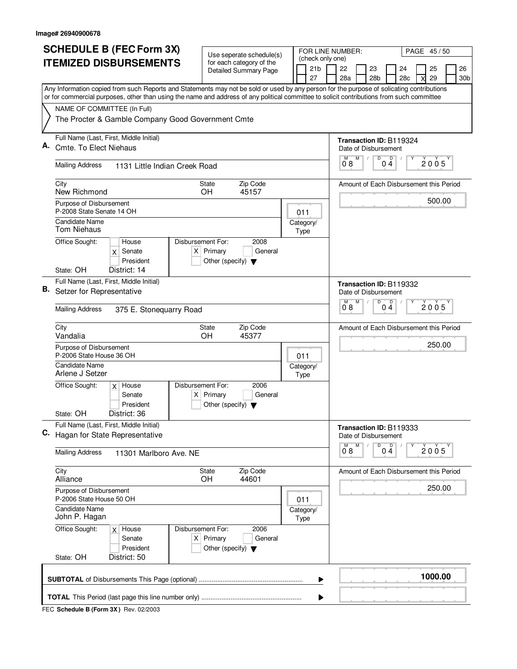|    | <b>SCHEDULE B (FEC Form 3X)</b>                                                                                                                                                                                                                                                        |                                                     | Use seperate schedule(s)     |  | FOR LINE NUMBER:                    |                               |   |                 |                                                 | PAGE 45/50 |        |                 |
|----|----------------------------------------------------------------------------------------------------------------------------------------------------------------------------------------------------------------------------------------------------------------------------------------|-----------------------------------------------------|------------------------------|--|-------------------------------------|-------------------------------|---|-----------------|-------------------------------------------------|------------|--------|-----------------|
|    | <b>ITEMIZED DISBURSEMENTS</b>                                                                                                                                                                                                                                                          |                                                     | for each category of the     |  | (check only one)<br>21 <sub>b</sub> | 22                            |   | 23              | 24                                              | 25         |        | 26              |
|    |                                                                                                                                                                                                                                                                                        |                                                     | <b>Detailed Summary Page</b> |  | 27                                  | 28a                           |   | 28 <sub>b</sub> | 28c                                             | 29         |        | 30 <sub>b</sub> |
|    | Any Information copied from such Reports and Statements may not be sold or used by any person for the purpose of solicating contributions<br>or for commercial purposes, other than using the name and address of any political committee to solicit contributions from such committee |                                                     |                              |  |                                     |                               |   |                 |                                                 |            |        |                 |
|    | NAME OF COMMITTEE (In Full)                                                                                                                                                                                                                                                            |                                                     |                              |  |                                     |                               |   |                 |                                                 |            |        |                 |
|    | The Procter & Gamble Company Good Government Cmte                                                                                                                                                                                                                                      |                                                     |                              |  |                                     |                               |   |                 |                                                 |            |        |                 |
|    | Full Name (Last, First, Middle Initial)                                                                                                                                                                                                                                                |                                                     |                              |  |                                     |                               |   |                 | Transaction ID: B119324                         |            |        |                 |
| Α. | Cmte. To Elect Niehaus                                                                                                                                                                                                                                                                 |                                                     |                              |  |                                     | М                             | M | D               | Date of Disbursement<br>D                       |            |        |                 |
|    | <b>Mailing Address</b><br>1131 Little Indian Creek Road                                                                                                                                                                                                                                |                                                     |                              |  |                                     | 08                            |   |                 | 04                                              | 2005       |        |                 |
|    | City<br>New Richmond                                                                                                                                                                                                                                                                   | <b>State</b><br>OH.                                 | Zip Code<br>45157            |  |                                     |                               |   |                 | Amount of Each Disbursement this Period         |            |        |                 |
|    | Purpose of Disbursement<br>P-2008 State Senate 14 OH                                                                                                                                                                                                                                   |                                                     |                              |  | 011                                 |                               |   |                 |                                                 |            | 500.00 |                 |
|    | Candidate Name<br><b>Tom Niehaus</b>                                                                                                                                                                                                                                                   |                                                     |                              |  | Category/<br>Type                   |                               |   |                 |                                                 |            |        |                 |
|    | Office Sought:<br>Disbursement For:<br>House<br>Senate<br>X<br>President                                                                                                                                                                                                               | $X$ Primary<br>Other (specify) $\blacktriangledown$ | 2008<br>General              |  |                                     |                               |   |                 |                                                 |            |        |                 |
|    | State: OH<br>District: 14                                                                                                                                                                                                                                                              |                                                     |                              |  |                                     |                               |   |                 |                                                 |            |        |                 |
| В. | Full Name (Last, First, Middle Initial)<br>Setzer for Representative                                                                                                                                                                                                                   |                                                     |                              |  |                                     |                               |   |                 | Transaction ID: B119332<br>Date of Disbursement |            |        |                 |
|    | <b>Mailing Address</b><br>375 E. Stonequarry Road                                                                                                                                                                                                                                      |                                                     |                              |  |                                     | M<br>08                       | М | D               | D<br>04                                         | 2005       |        |                 |
|    | City<br>Vandalia                                                                                                                                                                                                                                                                       | State<br>OH                                         | Zip Code<br>45377            |  |                                     |                               |   |                 | Amount of Each Disbursement this Period         |            |        |                 |
|    | Purpose of Disbursement<br>P-2006 State House 36 OH                                                                                                                                                                                                                                    |                                                     |                              |  | 011                                 |                               |   |                 |                                                 |            | 250.00 |                 |
|    | <b>Candidate Name</b><br>Arlene J Setzer                                                                                                                                                                                                                                               |                                                     |                              |  | Category/<br>Type                   |                               |   |                 |                                                 |            |        |                 |
|    | Office Sought:<br>Disbursement For:<br>$x$ House<br>Senate<br>President                                                                                                                                                                                                                | $X$ Primary<br>Other (specify) $\blacktriangledown$ | 2006<br>General              |  |                                     |                               |   |                 |                                                 |            |        |                 |
|    | District: 36<br>State: OH                                                                                                                                                                                                                                                              |                                                     |                              |  |                                     |                               |   |                 |                                                 |            |        |                 |
| C. | Full Name (Last, First, Middle Initial)<br>Hagan for State Representative                                                                                                                                                                                                              |                                                     |                              |  |                                     |                               |   |                 | Transaction ID: B119333<br>Date of Disbursement |            |        |                 |
|    | <b>Mailing Address</b><br>11301 Marlboro Ave. NE                                                                                                                                                                                                                                       |                                                     |                              |  |                                     | $\overline{0}^{\mathsf{M}}$ 8 | M | D               | $0\stackrel{D}{4}$                              | 2005       |        |                 |
|    | City<br>Alliance                                                                                                                                                                                                                                                                       | State<br>OH                                         | Zip Code<br>44601            |  |                                     |                               |   |                 | Amount of Each Disbursement this Period         |            |        |                 |
|    | Purpose of Disbursement<br>P-2006 State House 50 OH                                                                                                                                                                                                                                    |                                                     |                              |  | 011                                 |                               |   |                 |                                                 |            | 250.00 |                 |
|    | Candidate Name<br>John P. Hagan                                                                                                                                                                                                                                                        |                                                     |                              |  | Category/<br>Type                   |                               |   |                 |                                                 |            |        |                 |
|    | Office Sought:<br>Disbursement For:<br>$x$ House<br>Senate<br>President                                                                                                                                                                                                                | $X$ Primary<br>Other (specify) $\blacktriangledown$ | 2006<br>General              |  |                                     |                               |   |                 |                                                 |            |        |                 |
|    | State: OH<br>District: 50                                                                                                                                                                                                                                                              |                                                     |                              |  |                                     |                               |   |                 |                                                 |            |        |                 |
|    |                                                                                                                                                                                                                                                                                        |                                                     |                              |  | ▶                                   |                               |   |                 |                                                 | 1000.00    |        |                 |
|    |                                                                                                                                                                                                                                                                                        |                                                     |                              |  |                                     |                               |   |                 |                                                 |            |        |                 |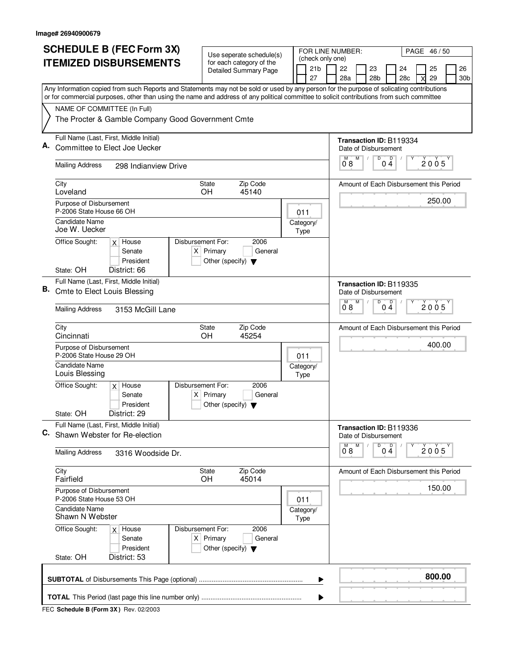|    |                                                     | <b>SCHEDULE B (FEC Form 3X)</b>                                                                                                           |                   |                                                     | Use seperate schedule(s)                                 |      | FOR LINE NUMBER:                          |                               |   |                       |                                                                             |   | PAGE 46/50 |                       |
|----|-----------------------------------------------------|-------------------------------------------------------------------------------------------------------------------------------------------|-------------------|-----------------------------------------------------|----------------------------------------------------------|------|-------------------------------------------|-------------------------------|---|-----------------------|-----------------------------------------------------------------------------|---|------------|-----------------------|
|    |                                                     | <b>ITEMIZED DISBURSEMENTS</b>                                                                                                             |                   |                                                     | for each category of the<br><b>Detailed Summary Page</b> |      | (check only one)<br>21 <sub>b</sub><br>27 | 22<br>28a                     |   | 23<br>28 <sub>b</sub> | 24<br>28c                                                                   |   | 25<br>29   | 26<br>30 <sub>b</sub> |
|    |                                                     | Any Information copied from such Reports and Statements may not be sold or used by any person for the purpose of solicating contributions |                   |                                                     |                                                          |      |                                           |                               |   |                       |                                                                             |   |            |                       |
|    |                                                     | or for commercial purposes, other than using the name and address of any political committee to solicit contributions from such committee |                   |                                                     |                                                          |      |                                           |                               |   |                       |                                                                             |   |            |                       |
|    | NAME OF COMMITTEE (In Full)                         | The Procter & Gamble Company Good Government Cmte                                                                                         |                   |                                                     |                                                          |      |                                           |                               |   |                       |                                                                             |   |            |                       |
| А. | <b>Mailing Address</b>                              | Full Name (Last, First, Middle Initial)<br>Committee to Elect Joe Uecker<br>298 Indianview Drive                                          |                   |                                                     |                                                          |      |                                           | M<br>08                       | M | D                     | <b>Transaction ID: B119334</b><br>Date of Disbursement<br>$\mathsf D$<br>04 |   | 2005       |                       |
|    |                                                     |                                                                                                                                           |                   |                                                     |                                                          |      |                                           |                               |   |                       |                                                                             |   |            |                       |
|    | City<br>Loveland                                    |                                                                                                                                           |                   | <b>State</b><br><b>OH</b>                           | Zip Code<br>45140                                        |      |                                           |                               |   |                       | Amount of Each Disbursement this Period                                     |   |            |                       |
|    | Purpose of Disbursement<br>P-2006 State House 66 OH |                                                                                                                                           |                   |                                                     |                                                          | 011  |                                           |                               |   |                       |                                                                             |   | 250.00     |                       |
|    | Candidate Name<br>Joe W. Uecker                     |                                                                                                                                           |                   |                                                     |                                                          | Type | Category/                                 |                               |   |                       |                                                                             |   |            |                       |
|    | Office Sought:                                      | $x$ House<br>Senate<br>President                                                                                                          | Disbursement For: | $X$ Primary<br>Other (specify) $\blacktriangledown$ | 2006<br>General                                          |      |                                           |                               |   |                       |                                                                             |   |            |                       |
|    | State: OH                                           | District: 66                                                                                                                              |                   |                                                     |                                                          |      |                                           |                               |   |                       |                                                                             |   |            |                       |
| В. | <b>Cmte to Elect Louis Blessing</b>                 | Full Name (Last, First, Middle Initial)                                                                                                   |                   |                                                     |                                                          |      |                                           |                               | M | D                     | <b>Transaction ID: B119335</b><br>Date of Disbursement<br>D                 |   |            |                       |
|    | <b>Mailing Address</b>                              | 3153 McGill Lane                                                                                                                          |                   |                                                     |                                                          |      |                                           | 08                            |   |                       | $0\bar{4}$                                                                  |   | 2005       |                       |
|    | City<br>Cincinnati                                  |                                                                                                                                           |                   | State<br>OH                                         | Zip Code<br>45254                                        |      |                                           |                               |   |                       | Amount of Each Disbursement this Period                                     |   |            |                       |
|    | Purpose of Disbursement<br>P-2006 State House 29 OH |                                                                                                                                           |                   |                                                     |                                                          | 011  |                                           |                               |   |                       |                                                                             |   | 400.00     |                       |
|    | <b>Candidate Name</b><br>Louis Blessing             |                                                                                                                                           |                   |                                                     |                                                          | Type | Category/                                 |                               |   |                       |                                                                             |   |            |                       |
|    | Office Sought:                                      | $x$ House<br>Senate<br>President                                                                                                          | Disbursement For: | $X$ Primary<br>Other (specify) $\blacktriangledown$ | 2006<br>General                                          |      |                                           |                               |   |                       |                                                                             |   |            |                       |
|    | State: OH                                           | District: 29                                                                                                                              |                   |                                                     |                                                          |      |                                           |                               |   |                       |                                                                             |   |            |                       |
| C. |                                                     | Full Name (Last, First, Middle Initial)<br>Shawn Webster for Re-election                                                                  |                   |                                                     |                                                          |      |                                           |                               | M | D                     | Transaction ID: B119336<br>Date of Disbursement                             | Υ |            |                       |
|    | <b>Mailing Address</b>                              | 3316 Woodside Dr.                                                                                                                         |                   |                                                     |                                                          |      |                                           | $\overline{0}^{\mathsf{M}}$ 8 |   |                       | $0\stackrel{D}{4}$                                                          |   | 2005       |                       |
|    | City<br>Fairfield                                   |                                                                                                                                           |                   | State<br>OH                                         | Zip Code<br>45014                                        |      |                                           |                               |   |                       | Amount of Each Disbursement this Period                                     |   |            |                       |
|    | Purpose of Disbursement<br>P-2006 State House 53 OH |                                                                                                                                           |                   |                                                     |                                                          | 011  |                                           |                               |   |                       |                                                                             |   | 150.00     |                       |
|    | Candidate Name<br>Shawn N Webster                   |                                                                                                                                           |                   |                                                     |                                                          | Type | Category/                                 |                               |   |                       |                                                                             |   |            |                       |
|    | Office Sought:                                      | $x$ House<br>Senate<br>President                                                                                                          | Disbursement For: | $X$ Primary<br>Other (specify) $\blacktriangledown$ | 2006<br>General                                          |      |                                           |                               |   |                       |                                                                             |   |            |                       |
|    | State: OH                                           | District: 53                                                                                                                              |                   |                                                     |                                                          |      |                                           |                               |   |                       |                                                                             |   |            |                       |
|    |                                                     |                                                                                                                                           |                   |                                                     |                                                          |      | ▶                                         |                               |   |                       |                                                                             |   | 800.00     |                       |
|    |                                                     |                                                                                                                                           |                   |                                                     |                                                          |      |                                           |                               |   |                       |                                                                             |   |            |                       |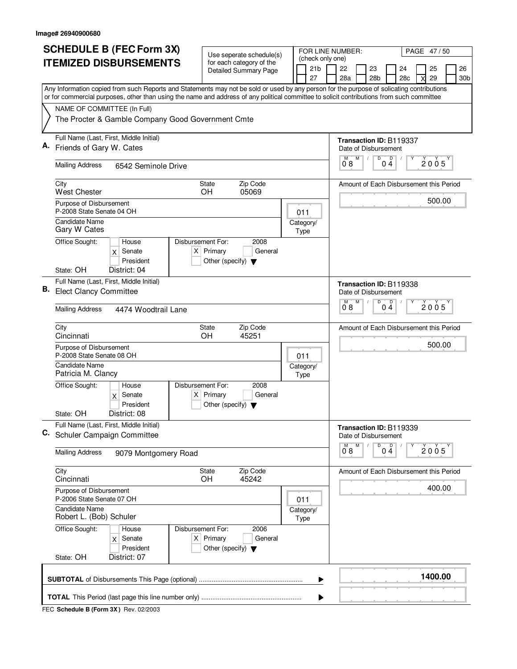|    | <b>SCHEDULE B (FEC Form 3X)</b>                                                                                                                                                                                                                                                        |                                                     | Use seperate schedule(s)                |                   |  | FOR LINE NUMBER:                    |  |                                                 |                                                                       |                                          |                                         | PAGE 47/50 |         |  |                 |  |  |  |
|----|----------------------------------------------------------------------------------------------------------------------------------------------------------------------------------------------------------------------------------------------------------------------------------------|-----------------------------------------------------|-----------------------------------------|-------------------|--|-------------------------------------|--|-------------------------------------------------|-----------------------------------------------------------------------|------------------------------------------|-----------------------------------------|------------|---------|--|-----------------|--|--|--|
|    | <b>ITEMIZED DISBURSEMENTS</b>                                                                                                                                                                                                                                                          |                                                     | for each category of the                |                   |  | (check only one)<br>21 <sub>b</sub> |  | 22<br>23                                        |                                                                       |                                          | 24                                      |            | 25      |  | 26              |  |  |  |
|    |                                                                                                                                                                                                                                                                                        |                                                     | <b>Detailed Summary Page</b>            |                   |  | 27                                  |  | 28a                                             |                                                                       | 28 <sub>b</sub>                          | 28c                                     |            | 29      |  | 30 <sub>b</sub> |  |  |  |
|    | Any Information copied from such Reports and Statements may not be sold or used by any person for the purpose of solicating contributions<br>or for commercial purposes, other than using the name and address of any political committee to solicit contributions from such committee |                                                     |                                         |                   |  |                                     |  |                                                 |                                                                       |                                          |                                         |            |         |  |                 |  |  |  |
|    | NAME OF COMMITTEE (In Full)                                                                                                                                                                                                                                                            |                                                     |                                         |                   |  |                                     |  |                                                 |                                                                       |                                          |                                         |            |         |  |                 |  |  |  |
|    | The Procter & Gamble Company Good Government Cmte                                                                                                                                                                                                                                      |                                                     |                                         |                   |  |                                     |  |                                                 |                                                                       |                                          |                                         |            |         |  |                 |  |  |  |
|    | Full Name (Last, First, Middle Initial)                                                                                                                                                                                                                                                |                                                     |                                         |                   |  |                                     |  |                                                 |                                                                       |                                          | <b>Transaction ID: B119337</b>          |            |         |  |                 |  |  |  |
| А. | Friends of Gary W. Cates                                                                                                                                                                                                                                                               |                                                     |                                         |                   |  |                                     |  |                                                 |                                                                       | Date of Disbursement<br>M<br>D<br>Ď<br>М |                                         |            |         |  |                 |  |  |  |
|    | <b>Mailing Address</b><br>6542 Seminole Drive                                                                                                                                                                                                                                          |                                                     |                                         |                   |  |                                     |  |                                                 |                                                                       | 2005<br>08<br>04                         |                                         |            |         |  |                 |  |  |  |
|    | City<br><b>State</b><br><b>West Chester</b><br>OH.                                                                                                                                                                                                                                     | Amount of Each Disbursement this Period             |                                         |                   |  |                                     |  |                                                 |                                                                       |                                          |                                         |            |         |  |                 |  |  |  |
|    | Purpose of Disbursement<br>P-2008 State Senate 04 OH                                                                                                                                                                                                                                   | 011                                                 |                                         |                   |  |                                     |  |                                                 | 500.00                                                                |                                          |                                         |            |         |  |                 |  |  |  |
|    | Candidate Name<br>Gary W Cates                                                                                                                                                                                                                                                         |                                                     |                                         |                   |  | Category/<br>Type                   |  |                                                 |                                                                       |                                          |                                         |            |         |  |                 |  |  |  |
|    | Office Sought:<br>Disbursement For:<br>House<br>Senate<br>X<br>President                                                                                                                                                                                                               | $X$ Primary<br>Other (specify) $\blacktriangledown$ | 2008<br>General                         |                   |  |                                     |  |                                                 |                                                                       |                                          |                                         |            |         |  |                 |  |  |  |
|    | State: OH<br>District: 04                                                                                                                                                                                                                                                              |                                                     |                                         |                   |  |                                     |  |                                                 |                                                                       |                                          |                                         |            |         |  |                 |  |  |  |
| В. | Full Name (Last, First, Middle Initial)<br><b>Elect Clancy Committee</b>                                                                                                                                                                                                               |                                                     |                                         |                   |  |                                     |  |                                                 | <b>Transaction ID: B119338</b><br>Date of Disbursement                |                                          |                                         |            |         |  |                 |  |  |  |
|    | <b>Mailing Address</b><br>4474 Woodtrail Lane                                                                                                                                                                                                                                          |                                                     |                                         |                   |  |                                     |  |                                                 |                                                                       | D<br>D<br>M<br>М<br>2005<br>08<br>04     |                                         |            |         |  |                 |  |  |  |
|    | City<br>State<br>OH<br>Cincinnati                                                                                                                                                                                                                                                      |                                                     | Amount of Each Disbursement this Period |                   |  |                                     |  |                                                 |                                                                       |                                          |                                         |            |         |  |                 |  |  |  |
|    | Purpose of Disbursement<br>P-2008 State Senate 08 OH                                                                                                                                                                                                                                   |                                                     | 011                                     |                   |  |                                     |  |                                                 |                                                                       |                                          | 500.00                                  |            |         |  |                 |  |  |  |
|    | Candidate Name<br>Patricia M. Clancy                                                                                                                                                                                                                                                   |                                                     |                                         | Category/<br>Type |  |                                     |  |                                                 |                                                                       |                                          |                                         |            |         |  |                 |  |  |  |
|    | Office Sought:<br>Disbursement For:<br>House<br>$x$ Senate<br>President                                                                                                                                                                                                                | $X$ Primary<br>Other (specify) $\blacktriangledown$ | 2008<br>General                         |                   |  |                                     |  |                                                 |                                                                       |                                          |                                         |            |         |  |                 |  |  |  |
|    | District: 08<br>State: OH                                                                                                                                                                                                                                                              |                                                     |                                         |                   |  |                                     |  |                                                 |                                                                       |                                          |                                         |            |         |  |                 |  |  |  |
| C. | Full Name (Last, First, Middle Initial)<br>Schuler Campaign Committee                                                                                                                                                                                                                  |                                                     |                                         |                   |  |                                     |  | Transaction ID: B119339<br>Date of Disbursement |                                                                       |                                          |                                         |            |         |  |                 |  |  |  |
|    | <b>Mailing Address</b><br>9079 Montgomery Road                                                                                                                                                                                                                                         |                                                     |                                         |                   |  |                                     |  |                                                 | D<br>M<br>$0\stackrel{D}{4}$<br>$\overline{0}^{\mathsf{M}}$ 8<br>2005 |                                          |                                         |            |         |  |                 |  |  |  |
|    | City<br>Cincinnati                                                                                                                                                                                                                                                                     | State<br>OH                                         | Zip Code<br>45242                       |                   |  |                                     |  |                                                 |                                                                       |                                          | Amount of Each Disbursement this Period |            |         |  |                 |  |  |  |
|    | Purpose of Disbursement<br>P-2006 State Senate 07 OH                                                                                                                                                                                                                                   |                                                     |                                         | 011               |  |                                     |  |                                                 |                                                                       |                                          | 400.00                                  |            |         |  |                 |  |  |  |
|    | Candidate Name<br>Robert L. (Bob) Schuler                                                                                                                                                                                                                                              |                                                     | Category/<br>Type                       |                   |  |                                     |  |                                                 |                                                                       |                                          |                                         |            |         |  |                 |  |  |  |
|    | Office Sought:<br>Disbursement For:<br>House<br>Senate<br>$\times$<br>President                                                                                                                                                                                                        | $X$ Primary<br>Other (specify) $\blacktriangledown$ | 2006<br>General                         |                   |  |                                     |  |                                                 |                                                                       |                                          |                                         |            |         |  |                 |  |  |  |
|    | State: OH<br>District: 07                                                                                                                                                                                                                                                              |                                                     |                                         |                   |  |                                     |  |                                                 |                                                                       |                                          |                                         |            |         |  |                 |  |  |  |
|    |                                                                                                                                                                                                                                                                                        |                                                     |                                         |                   |  | ▶                                   |  |                                                 |                                                                       |                                          |                                         |            | 1400.00 |  |                 |  |  |  |
|    |                                                                                                                                                                                                                                                                                        |                                                     |                                         |                   |  |                                     |  |                                                 |                                                                       |                                          |                                         |            |         |  |                 |  |  |  |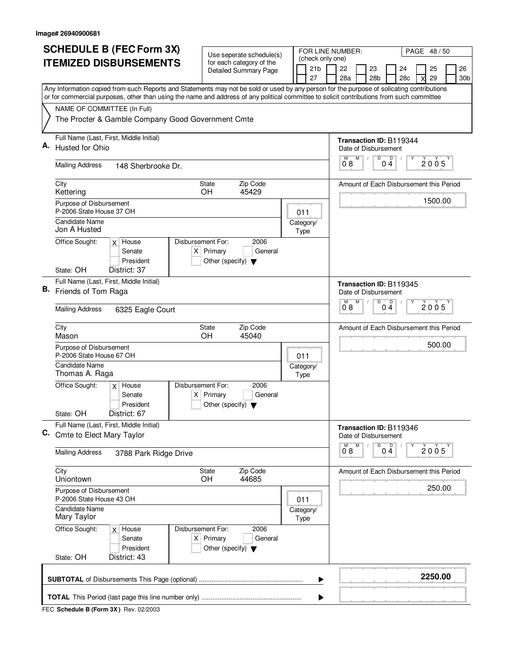|    | <b>SCHEDULE B (FEC Form 3X)</b>                                                                                                           | Use seperate schedule(s)                                       |                                                           |                                                 | FOR LINE NUMBER:                          |                      |                                    |   |                                         |                                         | PAGE 48/50 |          |                       |  |  |
|----|-------------------------------------------------------------------------------------------------------------------------------------------|----------------------------------------------------------------|-----------------------------------------------------------|-------------------------------------------------|-------------------------------------------|----------------------|------------------------------------|---|-----------------------------------------|-----------------------------------------|------------|----------|-----------------------|--|--|
|    | <b>ITEMIZED DISBURSEMENTS</b>                                                                                                             | for each category of the<br>Detailed Summary Page              |                                                           |                                                 | (check only one)<br>21 <sub>b</sub><br>27 |                      | 22<br>23<br>28a<br>28 <sub>b</sub> |   |                                         | 24<br>28c                               |            | 25<br>29 | 26<br>30 <sub>b</sub> |  |  |
|    | Any Information copied from such Reports and Statements may not be sold or used by any person for the purpose of solicating contributions |                                                                |                                                           |                                                 |                                           |                      |                                    |   |                                         |                                         |            |          |                       |  |  |
|    | or for commercial purposes, other than using the name and address of any political committee to solicit contributions from such committee |                                                                |                                                           |                                                 |                                           |                      |                                    |   |                                         |                                         |            |          |                       |  |  |
|    | NAME OF COMMITTEE (In Full)<br>The Procter & Gamble Company Good Government Cmte                                                          |                                                                |                                                           |                                                 |                                           |                      |                                    |   |                                         |                                         |            |          |                       |  |  |
| Α. | Full Name (Last, First, Middle Initial)                                                                                                   |                                                                | Transaction ID: B119344                                   |                                                 |                                           |                      |                                    |   |                                         |                                         |            |          |                       |  |  |
|    | Husted for Ohio                                                                                                                           |                                                                | Date of Disbursement<br>M<br>D<br>$0\stackrel{D}{4}$<br>М |                                                 |                                           |                      |                                    |   |                                         |                                         |            |          |                       |  |  |
|    | <b>Mailing Address</b><br>148 Sherbrooke Dr.                                                                                              |                                                                | 2005<br>08                                                |                                                 |                                           |                      |                                    |   |                                         |                                         |            |          |                       |  |  |
|    | City<br><b>State</b><br><b>OH</b><br>Kettering                                                                                            |                                                                |                                                           |                                                 |                                           |                      |                                    |   | Amount of Each Disbursement this Period |                                         |            |          |                       |  |  |
|    | Purpose of Disbursement                                                                                                                   |                                                                |                                                           |                                                 |                                           |                      |                                    |   | 1500.00                                 |                                         |            |          |                       |  |  |
|    | P-2006 State House 37 OH<br>Candidate Name                                                                                                |                                                                |                                                           | 011                                             |                                           |                      |                                    |   |                                         |                                         |            |          |                       |  |  |
|    | Jon A Husted                                                                                                                              | Category/<br>Type                                              |                                                           |                                                 |                                           |                      |                                    |   |                                         |                                         |            |          |                       |  |  |
|    | Disbursement For:<br>Office Sought:<br>$x$ House<br>$X$ Primary<br>Senate                                                                 |                                                                |                                                           |                                                 |                                           |                      |                                    |   |                                         |                                         |            |          |                       |  |  |
|    | President                                                                                                                                 |                                                                |                                                           |                                                 |                                           |                      |                                    |   |                                         |                                         |            |          |                       |  |  |
|    | State: OH<br>District: 37                                                                                                                 |                                                                |                                                           |                                                 |                                           |                      |                                    |   |                                         |                                         |            |          |                       |  |  |
| В. | Full Name (Last, First, Middle Initial)<br>Friends of Tom Raga                                                                            |                                                                |                                                           | Transaction ID: B119345<br>Date of Disbursement |                                           |                      |                                    |   |                                         |                                         |            |          |                       |  |  |
|    | <b>Mailing Address</b><br>6325 Eagle Court                                                                                                |                                                                | M<br>D<br>M<br>D<br>2005<br>0 <sub>4</sub><br>08          |                                                 |                                           |                      |                                    |   |                                         |                                         |            |          |                       |  |  |
|    | City<br><b>State</b>                                                                                                                      | Amount of Each Disbursement this Period                        |                                                           |                                                 |                                           |                      |                                    |   |                                         |                                         |            |          |                       |  |  |
|    | OH<br>Mason<br>Purpose of Disbursement                                                                                                    |                                                                |                                                           |                                                 |                                           |                      |                                    |   |                                         |                                         | 500.00     |          |                       |  |  |
|    | P-2006 State House 67 OH                                                                                                                  |                                                                |                                                           | 011                                             |                                           |                      |                                    |   |                                         |                                         |            |          |                       |  |  |
|    | Candidate Name<br>Thomas A. Raga                                                                                                          |                                                                |                                                           | Category/<br>Type                               |                                           |                      |                                    |   |                                         |                                         |            |          |                       |  |  |
|    | Office Sought:<br>$x$ House                                                                                                               | Disbursement For:<br>2006                                      |                                                           |                                                 |                                           |                      |                                    |   |                                         |                                         |            |          |                       |  |  |
|    | Senate<br>President                                                                                                                       | $X$ Primary<br>General<br>Other (specify) $\blacktriangledown$ |                                                           |                                                 |                                           |                      |                                    |   |                                         |                                         |            |          |                       |  |  |
|    | District: 67<br>State: OH                                                                                                                 |                                                                |                                                           |                                                 |                                           |                      |                                    |   |                                         |                                         |            |          |                       |  |  |
| C. | Full Name (Last, First, Middle Initial)<br>Cmte to Elect Mary Taylor                                                                      |                                                                |                                                           |                                                 |                                           | Date of Disbursement |                                    |   | Transaction ID: B119346                 |                                         |            |          |                       |  |  |
|    | <b>Mailing Address</b><br>3788 Park Ridge Drive                                                                                           |                                                                |                                                           |                                                 |                                           | $0^{\degree}8$       | M                                  | D | $0\stackrel{D}{4}$                      |                                         | 2005       |          |                       |  |  |
|    | City<br>Uniontown                                                                                                                         | Zip Code<br>State<br>OH<br>44685                               |                                                           |                                                 |                                           |                      |                                    |   |                                         | Amount of Each Disbursement this Period |            |          |                       |  |  |
|    | Purpose of Disbursement<br>P-2006 State House 43 OH                                                                                       |                                                                |                                                           |                                                 |                                           |                      |                                    |   |                                         |                                         | 250.00     |          |                       |  |  |
|    | Candidate Name                                                                                                                            |                                                                |                                                           |                                                 | 011<br>Category/                          |                      |                                    |   |                                         |                                         |            |          |                       |  |  |
|    | Mary Taylor<br>Office Sought:<br>$x$ House                                                                                                | Disbursement For:<br>2006                                      |                                                           |                                                 | Type                                      |                      |                                    |   |                                         |                                         |            |          |                       |  |  |
|    | Senate<br>President                                                                                                                       | $X$ Primary<br>General<br>Other (specify) $\blacktriangledown$ |                                                           |                                                 |                                           |                      |                                    |   |                                         |                                         |            |          |                       |  |  |
|    | State: OH<br>District: 43                                                                                                                 |                                                                |                                                           |                                                 |                                           |                      |                                    |   |                                         |                                         |            |          |                       |  |  |
|    |                                                                                                                                           |                                                                |                                                           |                                                 | ▶                                         |                      |                                    |   |                                         |                                         |            | 2250.00  |                       |  |  |
|    |                                                                                                                                           |                                                                |                                                           |                                                 | ▶                                         |                      |                                    |   |                                         |                                         |            |          |                       |  |  |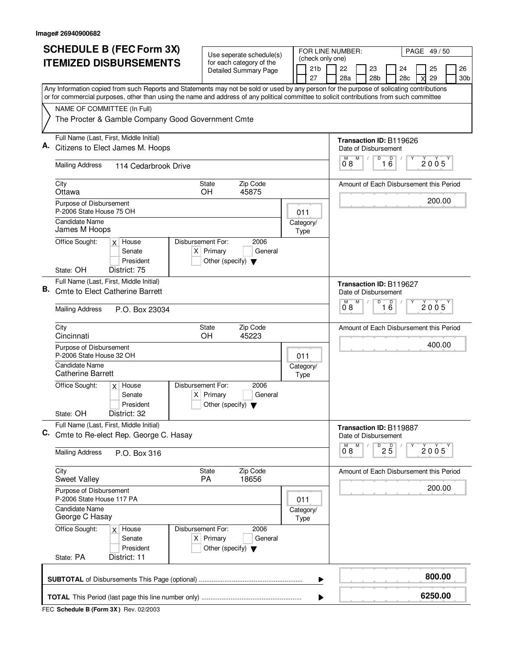|                                                                              | <b>SCHEDULE B (FEC Form 3X)</b>                                                                                                                                          |                                                                                                                                           | Use seperate schedule(s) |                                                                                      |                                                   | FOR LINE NUMBER: |                                           |           |                                                                  |                                                                                    |                       | PAGE 49/50 |                                                 |          |                       |  |  |  |  |
|------------------------------------------------------------------------------|--------------------------------------------------------------------------------------------------------------------------------------------------------------------------|-------------------------------------------------------------------------------------------------------------------------------------------|--------------------------|--------------------------------------------------------------------------------------|---------------------------------------------------|------------------|-------------------------------------------|-----------|------------------------------------------------------------------|------------------------------------------------------------------------------------|-----------------------|------------|-------------------------------------------------|----------|-----------------------|--|--|--|--|
| <b>ITEMIZED DISBURSEMENTS</b>                                                |                                                                                                                                                                          |                                                                                                                                           |                          | for each category of the<br><b>Detailed Summary Page</b>                             |                                                   |                  | (check only one)<br>21 <sub>b</sub><br>27 |           | 22<br>28a                                                        |                                                                                    | 23<br>28 <sub>b</sub> | 24<br>28c  |                                                 | 25<br>29 | 26<br>30 <sub>b</sub> |  |  |  |  |
|                                                                              |                                                                                                                                                                          | Any Information copied from such Reports and Statements may not be sold or used by any person for the purpose of solicating contributions |                          |                                                                                      |                                                   |                  |                                           |           |                                                                  |                                                                                    |                       |            |                                                 |          |                       |  |  |  |  |
|                                                                              | or for commercial purposes, other than using the name and address of any political committee to solicit contributions from such committee<br>NAME OF COMMITTEE (In Full) |                                                                                                                                           |                          |                                                                                      |                                                   |                  |                                           |           |                                                                  |                                                                                    |                       |            |                                                 |          |                       |  |  |  |  |
|                                                                              | The Procter & Gamble Company Good Government Cmte                                                                                                                        |                                                                                                                                           |                          |                                                                                      |                                                   |                  |                                           |           |                                                                  |                                                                                    |                       |            |                                                 |          |                       |  |  |  |  |
| Α.                                                                           | Full Name (Last, First, Middle Initial)<br>Citizens to Elect James M. Hoops<br><b>Mailing Address</b><br>114 Cedarbrook Drive                                            |                                                                                                                                           |                          |                                                                                      |                                                   |                  |                                           |           |                                                                  | Transaction ID: B119626<br>Date of Disbursement<br>M<br>D<br>16<br>M<br>2005<br>08 |                       |            |                                                 |          |                       |  |  |  |  |
| City<br>Ottawa                                                               |                                                                                                                                                                          |                                                                                                                                           |                          | Zip Code<br><b>State</b><br><b>OH</b><br>45875                                       |                                                   |                  |                                           |           |                                                                  | Amount of Each Disbursement this Period                                            |                       |            |                                                 |          |                       |  |  |  |  |
| Purpose of Disbursement<br>P-2006 State House 75 OH                          |                                                                                                                                                                          |                                                                                                                                           |                          |                                                                                      |                                                   | 011              |                                           |           |                                                                  |                                                                                    |                       |            |                                                 | 200.00   |                       |  |  |  |  |
|                                                                              | <b>Candidate Name</b><br>James M Hoops                                                                                                                                   |                                                                                                                                           | Disbursement For:        |                                                                                      | 2006                                              |                  | Type                                      | Category/ |                                                                  |                                                                                    |                       |            |                                                 |          |                       |  |  |  |  |
|                                                                              | Office Sought:<br>State: OH                                                                                                                                              | $x$ House<br>Senate<br>President<br>District: 75                                                                                          |                          | $X$ Primary<br>Other (specify) $\blacktriangledown$                                  | General                                           |                  |                                           |           |                                                                  |                                                                                    |                       |            |                                                 |          |                       |  |  |  |  |
|                                                                              |                                                                                                                                                                          | Full Name (Last, First, Middle Initial)                                                                                                   |                          |                                                                                      |                                                   |                  |                                           |           |                                                                  |                                                                                    |                       |            |                                                 |          |                       |  |  |  |  |
| В.                                                                           | <b>Cmte to Elect Catherine Barrett</b>                                                                                                                                   |                                                                                                                                           |                          |                                                                                      |                                                   |                  |                                           |           | <b>Transaction ID: B119627</b><br>Date of Disbursement<br>М<br>D |                                                                                    |                       |            |                                                 |          |                       |  |  |  |  |
|                                                                              | <b>Mailing Address</b><br>P.O. Box 23034<br>Zip Code                                                                                                                     |                                                                                                                                           |                          |                                                                                      |                                                   |                  |                                           |           |                                                                  | $\overline{16}$<br>2005<br>08                                                      |                       |            |                                                 |          |                       |  |  |  |  |
|                                                                              | City<br>Cincinnati                                                                                                                                                       |                                                                                                                                           | State<br>OH              |                                                                                      | Amount of Each Disbursement this Period<br>400.00 |                  |                                           |           |                                                                  |                                                                                    |                       |            |                                                 |          |                       |  |  |  |  |
| Purpose of Disbursement<br>P-2006 State House 32 OH<br><b>Candidate Name</b> |                                                                                                                                                                          |                                                                                                                                           | 011<br>Category/         |                                                                                      |                                                   |                  |                                           |           |                                                                  |                                                                                    |                       |            |                                                 |          |                       |  |  |  |  |
|                                                                              | <b>Catherine Barrett</b>                                                                                                                                                 |                                                                                                                                           |                          |                                                                                      |                                                   |                  | Type                                      |           |                                                                  |                                                                                    |                       |            |                                                 |          |                       |  |  |  |  |
|                                                                              | Office Sought:<br>State: OH                                                                                                                                              | $x$ House<br>Senate<br>President<br>District: 32                                                                                          | Disbursement For:        | $X$ Primary<br>Other (specify) $\blacktriangledown$                                  | 2006<br>General                                   |                  |                                           |           |                                                                  |                                                                                    |                       |            |                                                 |          |                       |  |  |  |  |
| C.                                                                           |                                                                                                                                                                          | Full Name (Last, First, Middle Initial)<br>Cmte to Re-elect Rep. George C. Hasay                                                          |                          |                                                                                      |                                                   |                  |                                           |           |                                                                  |                                                                                    |                       |            | Transaction ID: B119887<br>Date of Disbursement |          |                       |  |  |  |  |
|                                                                              | <b>Mailing Address</b>                                                                                                                                                   |                                                                                                                                           |                          | $D^D$ <sub>2</sub> $\overline{5}$<br>$\overline{0}^{\mathsf{M}}$ 8<br>M<br>Υ<br>2005 |                                                   |                  |                                           |           |                                                                  |                                                                                    |                       |            |                                                 |          |                       |  |  |  |  |
|                                                                              | City<br>Sweet Valley                                                                                                                                                     |                                                                                                                                           |                          | State<br><b>PA</b>                                                                   | Zip Code<br>18656                                 |                  |                                           |           |                                                                  |                                                                                    |                       |            | Amount of Each Disbursement this Period         |          |                       |  |  |  |  |
|                                                                              | Purpose of Disbursement<br>P-2006 State House 117 PA                                                                                                                     |                                                                                                                                           |                          |                                                                                      |                                                   |                  |                                           | 011       |                                                                  |                                                                                    |                       |            |                                                 |          | 200.00                |  |  |  |  |
|                                                                              | <b>Candidate Name</b><br>George C Hasay                                                                                                                                  |                                                                                                                                           |                          |                                                                                      |                                                   |                  | Type                                      | Category/ |                                                                  |                                                                                    |                       |            |                                                 |          |                       |  |  |  |  |
|                                                                              | Office Sought:                                                                                                                                                           | $x$ House<br>Senate<br>President                                                                                                          | Disbursement For:        | $X$ Primary<br>Other (specify) $\blacktriangledown$                                  | 2006<br>General                                   |                  |                                           |           |                                                                  |                                                                                    |                       |            |                                                 |          |                       |  |  |  |  |
|                                                                              | State: PA                                                                                                                                                                | District: 11                                                                                                                              |                          |                                                                                      |                                                   |                  |                                           |           |                                                                  |                                                                                    |                       |            |                                                 |          | 800.00                |  |  |  |  |
|                                                                              |                                                                                                                                                                          |                                                                                                                                           |                          |                                                                                      |                                                   |                  |                                           | ▶         |                                                                  |                                                                                    |                       |            |                                                 |          | 6250.00               |  |  |  |  |
|                                                                              |                                                                                                                                                                          |                                                                                                                                           |                          |                                                                                      |                                                   |                  |                                           |           |                                                                  |                                                                                    |                       |            |                                                 |          |                       |  |  |  |  |